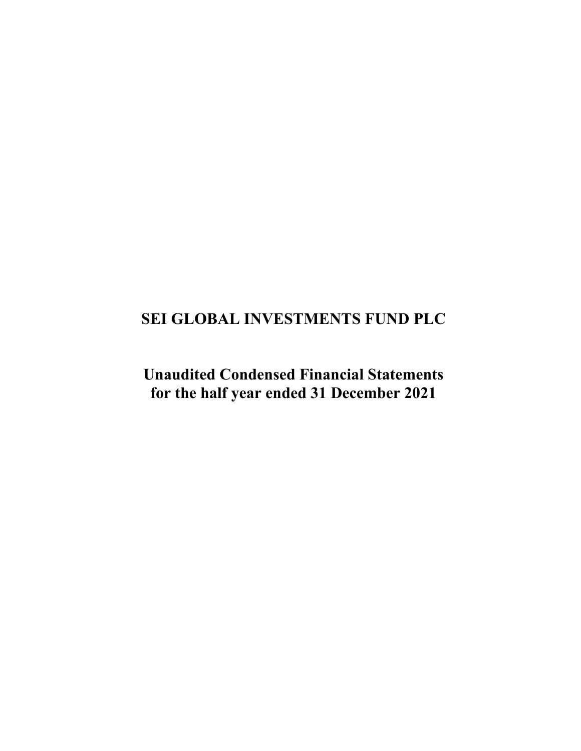# **SEI GLOBAL INVESTMENTS FUND PLC**

**Unaudited Condensed Financial Statements for the half year ended 31 December 2021**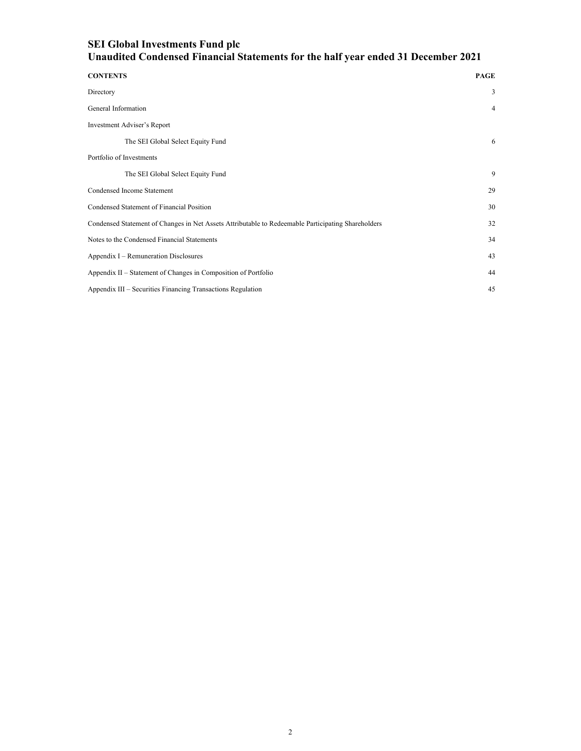| <b>CONTENTS</b>                                                                                    | <b>PAGE</b>    |
|----------------------------------------------------------------------------------------------------|----------------|
| Directory                                                                                          | 3              |
| General Information                                                                                | $\overline{4}$ |
| Investment Adviser's Report                                                                        |                |
| The SEI Global Select Equity Fund                                                                  | 6              |
| Portfolio of Investments                                                                           |                |
| The SEI Global Select Equity Fund                                                                  | 9              |
| Condensed Income Statement                                                                         | 29             |
| Condensed Statement of Financial Position                                                          | 30             |
| Condensed Statement of Changes in Net Assets Attributable to Redeemable Participating Shareholders | 32             |
| Notes to the Condensed Financial Statements                                                        | 34             |
| Appendix I – Remuneration Disclosures                                                              | 43             |
| Appendix II - Statement of Changes in Composition of Portfolio                                     | 44             |
| Appendix III - Securities Financing Transactions Regulation                                        | 45             |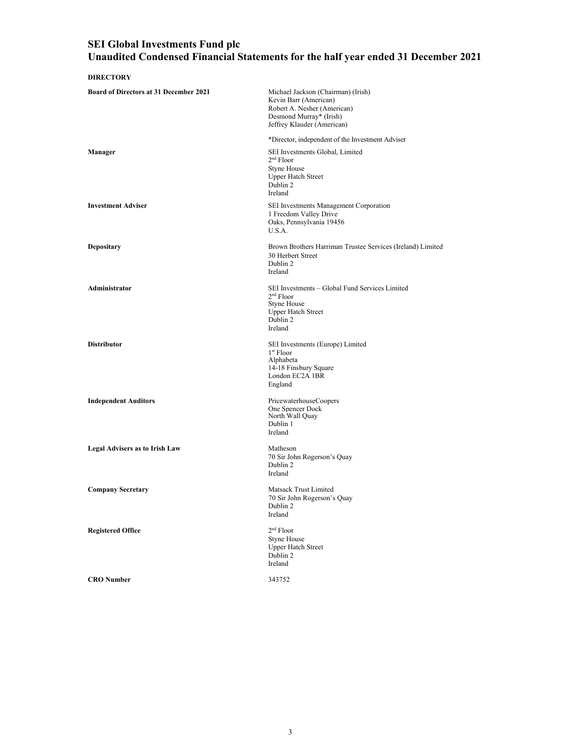| <b>DIRECTORY</b>                              |                                                                                                                                                     |
|-----------------------------------------------|-----------------------------------------------------------------------------------------------------------------------------------------------------|
| <b>Board of Directors at 31 December 2021</b> | Michael Jackson (Chairman) (Irish)<br>Kevin Barr (American)<br>Robert A. Nesher (American)<br>Desmond Murray* (Irish)<br>Jeffrey Klauder (American) |
|                                               | *Director, independent of the Investment Adviser                                                                                                    |
| Manager                                       | SEI Investments Global, Limited<br>$2nd$ Floor<br><b>Styne House</b><br><b>Upper Hatch Street</b><br>Dublin 2<br>Ireland                            |
| <b>Investment Adviser</b>                     | SEI Investments Management Corporation<br>1 Freedom Valley Drive<br>Oaks, Pennsylvania 19456<br>U.S.A.                                              |
| Depositary                                    | Brown Brothers Harriman Trustee Services (Ireland) Limited<br>30 Herbert Street<br>Dublin 2<br>Ireland                                              |
| Administrator                                 | SEI Investments – Global Fund Services Limited<br>$2nd$ Floor<br><b>Styne House</b><br><b>Upper Hatch Street</b><br>Dublin 2<br>Ireland             |
| <b>Distributor</b>                            | SEI Investments (Europe) Limited<br>$1st$ Floor<br>Alphabeta<br>14-18 Finsbury Square<br>London EC2A 1BR<br>England                                 |
| <b>Independent Auditors</b>                   | PricewaterhouseCoopers<br>One Spencer Dock<br>North Wall Quay<br>Dublin 1<br>Ireland                                                                |
| <b>Legal Advisers as to Irish Law</b>         | Matheson<br>70 Sir John Rogerson's Quay<br>Dublin 2<br>Ireland                                                                                      |
| <b>Company Secretary</b>                      | Matsack Trust Limited<br>70 Sir John Rogerson's Quay<br>Dublin 2<br>Ireland                                                                         |
| <b>Registered Office</b>                      | 2 <sup>nd</sup> Floor<br><b>Styne House</b><br><b>Upper Hatch Street</b><br>Dublin 2<br>Ireland                                                     |
| <b>CRO</b> Number                             | 343752                                                                                                                                              |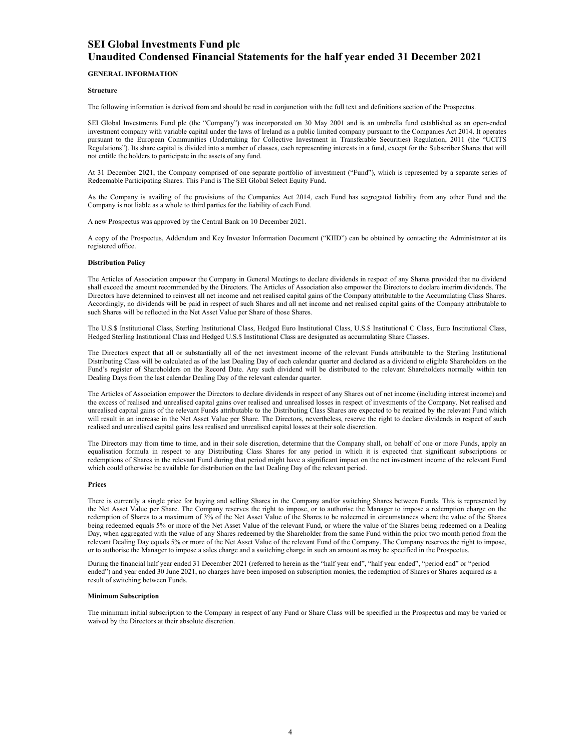#### **GENERAL INFORMATION**

#### **Structure**

The following information is derived from and should be read in conjunction with the full text and definitions section of the Prospectus.

SEI Global Investments Fund plc (the "Company") was incorporated on 30 May 2001 and is an umbrella fund established as an open-ended investment company with variable capital under the laws of Ireland as a public limited company pursuant to the Companies Act 2014. It operates pursuant to the European Communities (Undertaking for Collective Investment in Transferable Securities) Regulation, 2011 (the "UCITS Regulations"). Its share capital is divided into a number of classes, each representing interests in a fund, except for the Subscriber Shares that will not entitle the holders to participate in the assets of any fund.

At 31 December 2021, the Company comprised of one separate portfolio of investment ("Fund"), which is represented by a separate series of Redeemable Participating Shares. This Fund is The SEI Global Select Equity Fund.

As the Company is availing of the provisions of the Companies Act 2014, each Fund has segregated liability from any other Fund and the Company is not liable as a whole to third parties for the liability of each Fund.

A new Prospectus was approved by the Central Bank on 10 December 2021.

A copy of the Prospectus, Addendum and Key Investor Information Document ("KIID") can be obtained by contacting the Administrator at its registered office.

#### **Distribution Policy**

The Articles of Association empower the Company in General Meetings to declare dividends in respect of any Shares provided that no dividend shall exceed the amount recommended by the Directors. The Articles of Association also empower the Directors to declare interim dividends. The Directors have determined to reinvest all net income and net realised capital gains of the Company attributable to the Accumulating Class Shares. Accordingly, no dividends will be paid in respect of such Shares and all net income and net realised capital gains of the Company attributable to such Shares will be reflected in the Net Asset Value per Share of those Shares.

The U.S.\$ Institutional Class, Sterling Institutional Class, Hedged Euro Institutional Class, U.S.\$ Institutional C Class, Euro Institutional Class, Hedged Sterling Institutional Class and Hedged U.S.\$ Institutional Class are designated as accumulating Share Classes.

The Directors expect that all or substantially all of the net investment income of the relevant Funds attributable to the Sterling Institutional Distributing Class will be calculated as of the last Dealing Day of each calendar quarter and declared as a dividend to eligible Shareholders on the Fund's register of Shareholders on the Record Date. Any such dividend will be distributed to the relevant Shareholders normally within ten Dealing Days from the last calendar Dealing Day of the relevant calendar quarter.

The Articles of Association empower the Directors to declare dividends in respect of any Shares out of net income (including interest income) and the excess of realised and unrealised capital gains over realised and unrealised losses in respect of investments of the Company. Net realised and unrealised capital gains of the relevant Funds attributable to the Distributing Class Shares are expected to be retained by the relevant Fund which will result in an increase in the Net Asset Value per Share. The Directors, nevertheless, reserve the right to declare dividends in respect of such realised and unrealised capital gains less realised and unrealised capital losses at their sole discretion.

The Directors may from time to time, and in their sole discretion, determine that the Company shall, on behalf of one or more Funds, apply an equalisation formula in respect to any Distributing Class Shares for any period in which it is expected that significant subscriptions or redemptions of Shares in the relevant Fund during that period might have a significant impact on the net investment income of the relevant Fund which could otherwise be available for distribution on the last Dealing Day of the relevant period.

#### **Prices**

There is currently a single price for buying and selling Shares in the Company and/or switching Shares between Funds. This is represented by the Net Asset Value per Share. The Company reserves the right to impose, or to authorise the Manager to impose a redemption charge on the redemption of Shares to a maximum of 3% of the Net Asset Value of the Shares to be redeemed in circumstances where the value of the Shares being redeemed equals 5% or more of the Net Asset Value of the relevant Fund, or where the value of the Shares being redeemed on a Dealing Day, when aggregated with the value of any Shares redeemed by the Shareholder from the same Fund within the prior two month period from the relevant Dealing Day equals 5% or more of the Net Asset Value of the relevant Fund of the Company. The Company reserves the right to impose, or to authorise the Manager to impose a sales charge and a switching charge in such an amount as may be specified in the Prospectus.

During the financial half year ended 31 December 2021 (referred to herein as the "half year end", "half year ended", "period end" or "period ended") and year ended 30 June 2021, no charges have been imposed on subscription monies, the redemption of Shares or Shares acquired as a result of switching between Funds.

#### **Minimum Subscription**

The minimum initial subscription to the Company in respect of any Fund or Share Class will be specified in the Prospectus and may be varied or waived by the Directors at their absolute discretion.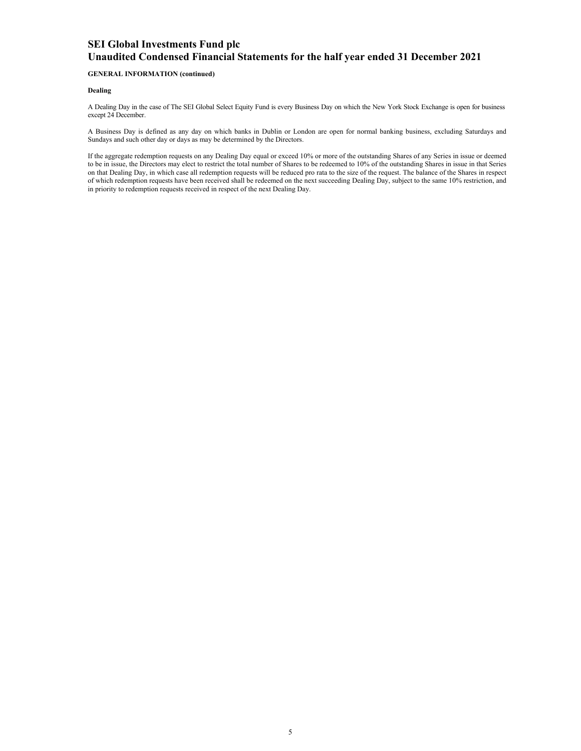### **GENERAL INFORMATION (continued)**

#### **Dealing**

A Dealing Day in the case of The SEI Global Select Equity Fund is every Business Day on which the New York Stock Exchange is open for business except 24 December.

A Business Day is defined as any day on which banks in Dublin or London are open for normal banking business, excluding Saturdays and Sundays and such other day or days as may be determined by the Directors.

If the aggregate redemption requests on any Dealing Day equal or exceed 10% or more of the outstanding Shares of any Series in issue or deemed to be in issue, the Directors may elect to restrict the total number of Shares to be redeemed to 10% of the outstanding Shares in issue in that Series on that Dealing Day, in which case all redemption requests will be reduced pro rata to the size of the request. The balance of the Shares in respect of which redemption requests have been received shall be redeemed on the next succeeding Dealing Day, subject to the same 10% restriction, and in priority to redemption requests received in respect of the next Dealing Day.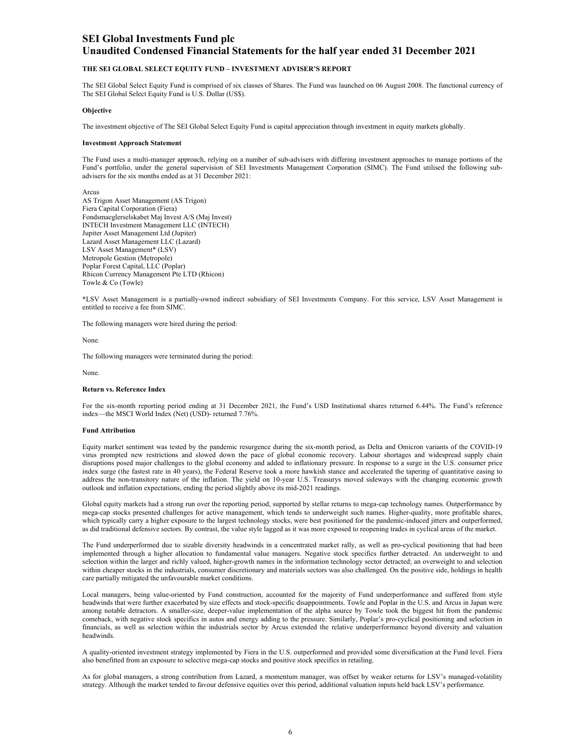#### **THE SEI GLOBAL SELECT EQUITY FUND – INVESTMENT ADVISER'S REPORT**

The SEI Global Select Equity Fund is comprised of six classes of Shares. The Fund was launched on 06 August 2008. The functional currency of The SEI Global Select Equity Fund is U.S. Dollar (US\$).

#### **Objective**

The investment objective of The SEI Global Select Equity Fund is capital appreciation through investment in equity markets globally.

#### **Investment Approach Statement**

The Fund uses a multi-manager approach, relying on a number of sub-advisers with differing investment approaches to manage portions of the Fund's portfolio, under the general supervision of SEI Investments Management Corporation (SIMC). The Fund utilised the following subadvisers for the six months ended as at 31 December 2021:

Arcus AS Trigon Asset Management (AS Trigon) Fiera Capital Corporation (Fiera) Fondsmaeglerselskabet Maj Invest A/S (Maj Invest) INTECH Investment Management LLC (INTECH) Jupiter Asset Management Ltd (Jupiter) Lazard Asset Management LLC (Lazard) LSV Asset Management\* (LSV) Metropole Gestion (Metropole) Poplar Forest Capital, LLC (Poplar) Rhicon Currency Management Pte LTD (Rhicon) Towle & Co (Towle)

\*LSV Asset Management is a partially-owned indirect subsidiary of SEI Investments Company. For this service, LSV Asset Management is entitled to receive a fee from SIMC.

The following managers were hired during the period:

None.

The following managers were terminated during the period:

None.

#### **Return vs. Reference Index**

For the six-month reporting period ending at 31 December 2021, the Fund's USD Institutional shares returned 6.44%. The Fund's reference index—the MSCI World Index (Net) (USD)- returned 7.76%.

#### **Fund Attribution**

Equity market sentiment was tested by the pandemic resurgence during the six-month period, as Delta and Omicron variants of the COVID-19 virus prompted new restrictions and slowed down the pace of global economic recovery. Labour shortages and widespread supply chain disruptions posed major challenges to the global economy and added to inflationary pressure. In response to a surge in the U.S. consumer price index surge (the fastest rate in 40 years), the Federal Reserve took a more hawkish stance and accelerated the tapering of quantitative easing to address the non-transitory nature of the inflation. The yield on 10-year U.S. Treasurys moved sideways with the changing economic growth outlook and inflation expectations, ending the period slightly above its mid-2021 readings.

Global equity markets had a strong run over the reporting period, supported by stellar returns to mega-cap technology names. Outperformance by mega-cap stocks presented challenges for active management, which tends to underweight such names. Higher-quality, more profitable shares, which typically carry a higher exposure to the largest technology stocks, were best positioned for the pandemic-induced jitters and outperformed, as did traditional defensive sectors. By contrast, the value style lagged as it was more exposed to reopening trades in cyclical areas of the market.

The Fund underperformed due to sizable diversity headwinds in a concentrated market rally, as well as pro-cyclical positioning that had been implemented through a higher allocation to fundamental value managers. Negative stock specifics further detracted. An underweight to and selection within the larger and richly valued, higher-growth names in the information technology sector detracted; an overweight to and selection within cheaper stocks in the industrials, consumer discretionary and materials sectors was also challenged. On the positive side, holdings in health care partially mitigated the unfavourable market conditions.

Local managers, being value-oriented by Fund construction, accounted for the majority of Fund underperformance and suffered from style headwinds that were further exacerbated by size effects and stock-specific disappointments. Towle and Poplar in the U.S. and Arcus in Japan were among notable detractors. A smaller-size, deeper-value implementation of the alpha source by Towle took the biggest hit from the pandemic comeback, with negative stock specifics in autos and energy adding to the pressure. Similarly, Poplar's pro-cyclical positioning and selection in financials, as well as selection within the industrials sector by Arcus extended the relative underperformance beyond diversity and valuation headwinds.

A quality-oriented investment strategy implemented by Fiera in the U.S. outperformed and provided some diversification at the Fund level. Fiera also benefitted from an exposure to selective mega-cap stocks and positive stock specifics in retailing.

As for global managers, a strong contribution from Lazard, a momentum manager, was offset by weaker returns for LSV's managed-volatility strategy. Although the market tended to favour defensive equities over this period, additional valuation inputs held back LSV's performance.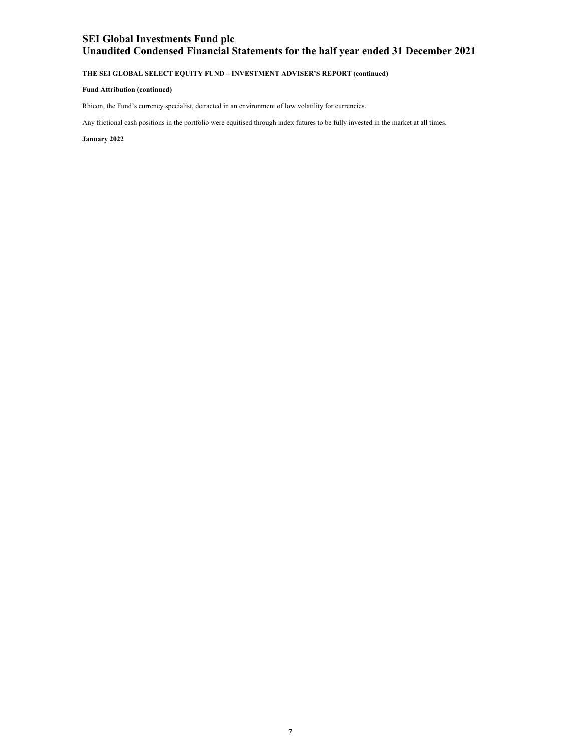## **THE SEI GLOBAL SELECT EQUITY FUND – INVESTMENT ADVISER'S REPORT (continued)**

#### **Fund Attribution (continued)**

Rhicon, the Fund's currency specialist, detracted in an environment of low volatility for currencies.

Any frictional cash positions in the portfolio were equitised through index futures to be fully invested in the market at all times.

**January 2022**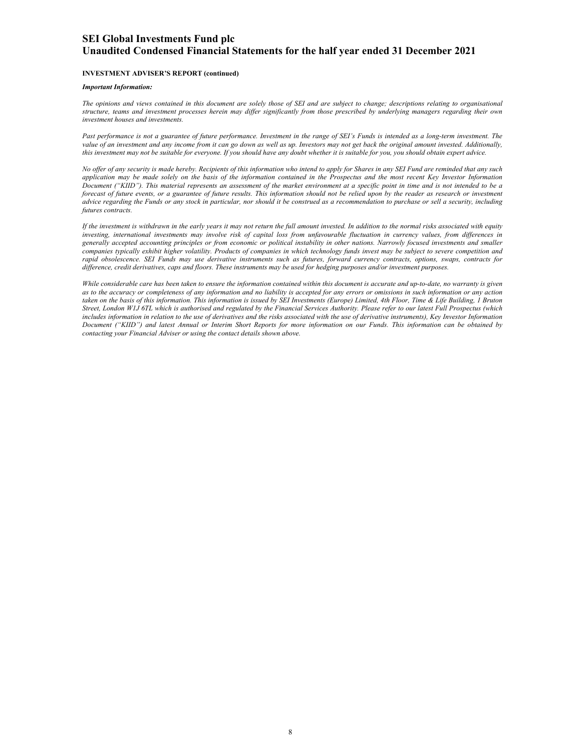#### **INVESTMENT ADVISER'S REPORT (continued)**

#### *Important Information:*

*The opinions and views contained in this document are solely those of SEI and are subject to change; descriptions relating to organisational structure, teams and investment processes herein may differ significantly from those prescribed by underlying managers regarding their own investment houses and investments.* 

*Past performance is not a guarantee of future performance. Investment in the range of SEI's Funds is intended as a long-term investment. The value of an investment and any income from it can go down as well as up. Investors may not get back the original amount invested. Additionally, this investment may not be suitable for everyone. If you should have any doubt whether it is suitable for you, you should obtain expert advice.* 

*No offer of any security is made hereby. Recipients of this information who intend to apply for Shares in any SEI Fund are reminded that any such application may be made solely on the basis of the information contained in the Prospectus and the most recent Key Investor Information Document ("KIID"). This material represents an assessment of the market environment at a specific point in time and is not intended to be a forecast of future events, or a guarantee of future results. This information should not be relied upon by the reader as research or investment advice regarding the Funds or any stock in particular, nor should it be construed as a recommendation to purchase or sell a security, including futures contracts.* 

*If the investment is withdrawn in the early years it may not return the full amount invested. In addition to the normal risks associated with equity investing, international investments may involve risk of capital loss from unfavourable fluctuation in currency values, from differences in generally accepted accounting principles or from economic or political instability in other nations. Narrowly focused investments and smaller companies typically exhibit higher volatility. Products of companies in which technology funds invest may be subject to severe competition and rapid obsolescence. SEI Funds may use derivative instruments such as futures, forward currency contracts, options, swaps, contracts for difference, credit derivatives, caps and floors. These instruments may be used for hedging purposes and/or investment purposes.*

*While considerable care has been taken to ensure the information contained within this document is accurate and up-to-date, no warranty is given as to the accuracy or completeness of any information and no liability is accepted for any errors or omissions in such information or any action taken on the basis of this information. This information is issued by SEI Investments (Europe) Limited, 4th Floor, Time & Life Building, 1 Bruton Street, London W1J 6TL which is authorised and regulated by the Financial Services Authority. Please refer to our latest Full Prospectus (which*  includes information in relation to the use of derivatives and the risks associated with the use of derivative instruments), Key Investor Information *Document ("KIID") and latest Annual or Interim Short Reports for more information on our Funds. This information can be obtained by contacting your Financial Adviser or using the contact details shown above.*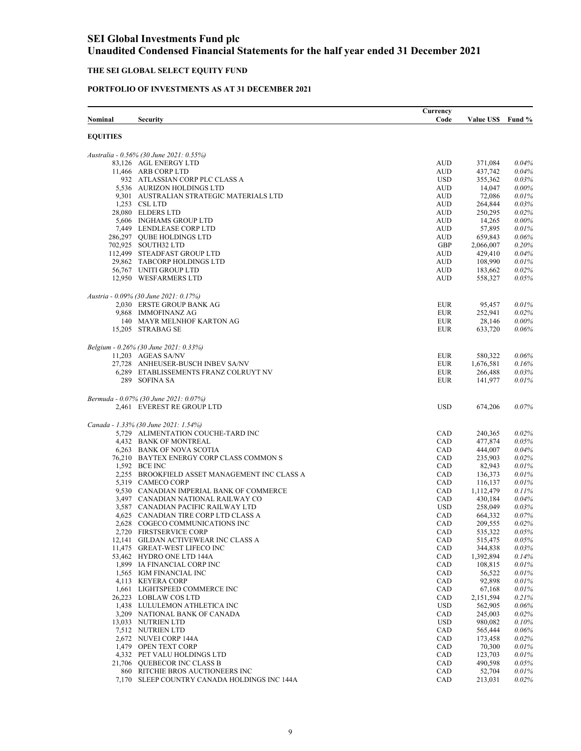### **THE SEI GLOBAL SELECT EQUITY FUND**

### **PORTFOLIO OF INVESTMENTS AS AT 31 DECEMBER 2021**

| Nominal         | <b>Security</b>                                                        | Currency<br>Code         | Value US\$ Fund %  |                   |
|-----------------|------------------------------------------------------------------------|--------------------------|--------------------|-------------------|
| <b>EQUITIES</b> |                                                                        |                          |                    |                   |
|                 | Australia - 0.56% (30 June 2021: 0.55%)                                |                          |                    |                   |
|                 | 83,126 AGL ENERGY LTD                                                  | <b>AUD</b>               | 371,084            | 0.04%             |
|                 | 11,466 ARB CORP LTD                                                    | <b>AUD</b>               | 437,742            | 0.04%             |
|                 | 932 ATLASSIAN CORP PLC CLASS A                                         | <b>USD</b>               | 355,362            | 0.03%             |
|                 | 5,536 AURIZON HOLDINGS LTD<br>9,301 AUSTRALIAN STRATEGIC MATERIALS LTD | <b>AUD</b><br><b>AUD</b> | 14,047<br>72,086   | 0.00%<br>0.01%    |
|                 | 1,253 CSL LTD                                                          | <b>AUD</b>               | 264,844            | 0.03%             |
|                 | 28,080 ELDERS LTD                                                      | <b>AUD</b>               | 250,295            | 0.02%             |
|                 | 5,606 INGHAMS GROUP LTD                                                | <b>AUD</b>               | 14,265             | 0.00%             |
|                 | 7,449 LENDLEASE CORP LTD                                               | <b>AUD</b>               | 57,895             | 0.01%             |
|                 | 286,297 OUBE HOLDINGS LTD                                              | <b>AUD</b>               | 659,843            | 0.06%             |
|                 | 702,925 SOUTH32 LTD                                                    | GBP                      | 2,066,007          | 0.20%             |
|                 | 112,499 STEADFAST GROUP LTD                                            | <b>AUD</b>               | 429,410            | 0.04%             |
|                 | 29,862 TABCORP HOLDINGS LTD                                            | <b>AUD</b>               | 108,990            | 0.01%             |
|                 | 56,767 UNITI GROUP LTD                                                 | <b>AUD</b>               | 183,662            | 0.02%             |
|                 | 12,950 WESFARMERS LTD                                                  | <b>AUD</b>               | 558,327            | 0.05%             |
|                 | Austria - 0.09% (30 June 2021: 0.17%)                                  |                          |                    |                   |
|                 | 2,030 ERSTE GROUP BANK AG                                              | <b>EUR</b>               | 95,457             | 0.01%             |
|                 | 9,868 IMMOFINANZ AG<br>140 MAYR MELNHOF KARTON AG                      | <b>EUR</b>               | 252,941            | 0.02%             |
|                 | 15,205 STRABAG SE                                                      | <b>EUR</b><br><b>EUR</b> | 28,146<br>633,720  | $0.00\%$<br>0.06% |
|                 | Belgium - 0.26% (30 June 2021: 0.33%)                                  |                          |                    |                   |
|                 | 11,203 AGEAS SA/NV                                                     | <b>EUR</b>               | 580,322            | 0.06%             |
|                 | 27,728 ANHEUSER-BUSCH INBEV SA/NV                                      | <b>EUR</b>               | 1,676,581          | 0.16%             |
|                 | 6,289 ETABLISSEMENTS FRANZ COLRUYT NV                                  | <b>EUR</b>               | 266,488            | 0.03%             |
|                 | 289 SOFINA SA                                                          | <b>EUR</b>               | 141,977            | 0.01%             |
|                 | Bermuda - 0.07% (30 June 2021: 0.07%)<br>2,461 EVEREST RE GROUP LTD    | <b>USD</b>               | 674,206            | 0.07%             |
|                 |                                                                        |                          |                    |                   |
|                 | Canada - 1.33% (30 June 2021: 1.54%)                                   |                          |                    |                   |
|                 | 5,729 ALIMENTATION COUCHE-TARD INC                                     | CAD                      | 240,365            | 0.02%             |
|                 | 4,432 BANK OF MONTREAL                                                 | CAD                      | 477,874            | 0.05%             |
|                 | 6,263 BANK OF NOVA SCOTIA                                              | CAD                      | 444,007            | 0.04%             |
|                 | 76.210 BAYTEX ENERGY CORP CLASS COMMON S                               | CAD                      | 235,903            | 0.02%             |
|                 | 1,592 BCE INC                                                          | CAD                      | 82,943             | 0.01%             |
|                 | 2,255 BROOKFIELD ASSET MANAGEMENT INC CLASS A<br>5,319 CAMECO CORP     | CAD<br>CAD               | 136,373<br>116,137 | 0.01%<br>0.01%    |
|                 | 9,530 CANADIAN IMPERIAL BANK OF COMMERCE                               | CAD                      | 1,112,479          | 0.11%             |
|                 | 3,497 CANADIAN NATIONAL RAILWAY CO                                     | CAD                      | 430,184            | 0.04%             |
|                 | 3,587 CANADIAN PACIFIC RAILWAY LTD                                     | <b>USD</b>               | 258,049            | 0.03%             |
|                 | 4,625 CANADIAN TIRE CORP LTD CLASS A                                   | CAD                      | 664,332            | 0.07%             |
|                 | 2,628 COGECO COMMUNICATIONS INC                                        | CAD                      | 209,555            | 0.02%             |
|                 | 2,720 FIRSTSERVICE CORP                                                | CAD                      | 535,322            | $0.05\%$          |
|                 | 12,141 GILDAN ACTIVEWEAR INC CLASS A                                   | CAD                      | 515,475            | 0.05%             |
|                 | 11,475 GREAT-WEST LIFECO INC                                           | CAD                      | 344,838            | 0.03%             |
|                 | 53,462 HYDRO ONE LTD 144A                                              | CAD                      | 1,392,894          | 0.14%             |
|                 | 1,899 IA FINANCIAL CORP INC                                            | CAD                      | 108,815            | 0.01%             |
|                 | 1,565 IGM FINANCIAL INC                                                | <b>CAD</b>               | 56,522             | 0.01%             |
|                 | 4,113 KEYERA CORP                                                      | CAD                      | 92,898             | 0.01%             |
|                 | 1,661 LIGHTSPEED COMMERCE INC                                          | CAD                      | 67,168             | 0.01%             |
|                 | 26,223 LOBLAW COS LTD                                                  | CAD<br><b>USD</b>        | 2,151,594          | 0.21%<br>0.06%    |
|                 | 1,438 LULULEMON ATHLETICA INC<br>3,209 NATIONAL BANK OF CANADA         | CAD                      | 562,905<br>245,003 | 0.02%             |
|                 | 13,033 NUTRIEN LTD                                                     | <b>USD</b>               | 980,082            | 0.10%             |
|                 | 7,512 NUTRIEN LTD                                                      | CAD                      | 565,444            | 0.06%             |
|                 | 2,672 NUVEI CORP 144A                                                  | CAD                      | 173,458            | 0.02%             |
|                 | 1,479 OPEN TEXT CORP                                                   | CAD                      | 70,300             | 0.01%             |
|                 | 4,332 PET VALU HOLDINGS LTD                                            | CAD                      | 123,703            | 0.01%             |
|                 | 21,706 QUEBECOR INC CLASS B                                            | CAD                      | 490,598            | 0.05%             |
|                 | 860 RITCHIE BROS AUCTIONEERS INC                                       | CAD                      | 52,704             | 0.01%             |
|                 | 7,170 SLEEP COUNTRY CANADA HOLDINGS INC 144A                           | CAD                      | 213,031            | 0.02%             |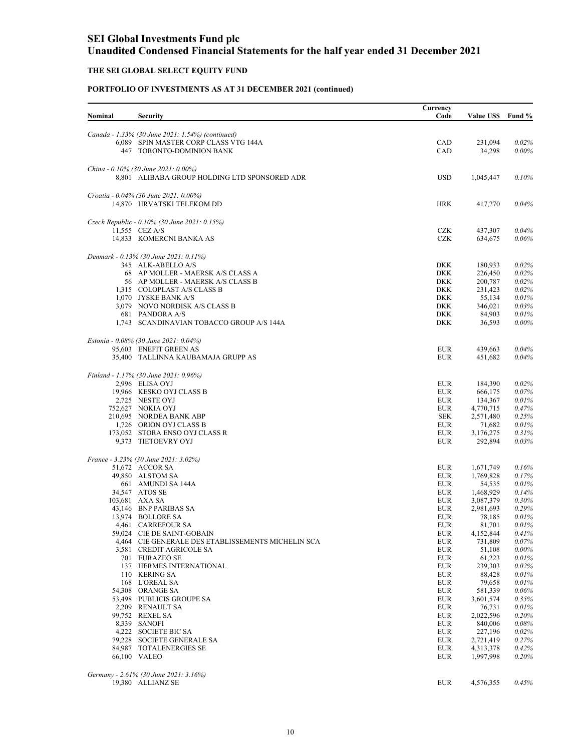### **THE SEI GLOBAL SELECT EQUITY FUND**

| Nominal | <b>Security</b>                                                  | Currency<br>Code         | Value US\$ Fund %  |                |
|---------|------------------------------------------------------------------|--------------------------|--------------------|----------------|
|         |                                                                  |                          |                    |                |
|         | Canada - 1.33% (30 June 2021: 1.54%) (continued)                 |                          |                    |                |
|         | 6,089 SPIN MASTER CORP CLASS VTG 144A                            | CAD                      | 231,094            | 0.02%          |
|         | 447 TORONTO-DOMINION BANK                                        | CAD                      | 34,298             | $0.00\%$       |
|         |                                                                  |                          |                    |                |
|         | China - 0.10% (30 June 2021: 0.00%)                              | <b>USD</b>               |                    |                |
|         | 8,801 ALIBABA GROUP HOLDING LTD SPONSORED ADR                    |                          | 1,045,447          | 0.10%          |
|         | Croatia - 0.04% (30 June 2021: 0.00%)                            |                          |                    |                |
|         | 14,870 HRVATSKI TELEKOM DD                                       | <b>HRK</b>               | 417,270            | 0.04%          |
|         |                                                                  |                          |                    |                |
|         | Czech Republic - 0.10% (30 June 2021: 0.15%)<br>11,555 CEZ A/S   | <b>CZK</b>               | 437,307            | 0.04%          |
|         | 14,833 KOMERCNI BANKA AS                                         | <b>CZK</b>               | 634,675            | 0.06%          |
|         |                                                                  |                          |                    |                |
|         | Denmark - 0.13% (30 June 2021: 0.11%)                            |                          |                    |                |
|         | 345 ALK-ABELLO A/S                                               | DKK                      | 180,933            | 0.02%          |
|         | 68 AP MOLLER - MAERSK A/S CLASS A                                | <b>DKK</b>               | 226,450            | 0.02%          |
|         | 56 AP MOLLER - MAERSK A/S CLASS B<br>1.315 COLOPLAST A/S CLASS B | <b>DKK</b><br><b>DKK</b> | 200,787<br>231,423 | 0.02%<br>0.02% |
|         | 1,070 JYSKE BANK A/S                                             | <b>DKK</b>               | 55,134             | 0.01%          |
|         | 3,079 NOVO NORDISK A/S CLASS B                                   | <b>DKK</b>               | 346,021            | 0.03%          |
|         | 681 PANDORA A/S                                                  | <b>DKK</b>               | 84,903             | 0.01%          |
|         | 1,743 SCANDINAVIAN TOBACCO GROUP A/S 144A                        | <b>DKK</b>               | 36,593             | $0.00\%$       |
|         |                                                                  |                          |                    |                |
|         | Estonia - 0.08% (30 June 2021: 0.04%)                            |                          |                    |                |
|         | 95,603 ENEFIT GREEN AS                                           | <b>EUR</b>               | 439,663            | 0.04%          |
|         | 35,400 TALLINNA KAUBAMAJA GRUPP AS                               | <b>EUR</b>               | 451,682            | 0.04%          |
|         | Finland - 1.17% (30 June 2021: 0.96%)                            |                          |                    |                |
|         | 2,996 ELISA OYJ                                                  | <b>EUR</b>               | 184,390            | 0.02%          |
|         | 19,966 KESKO OYJ CLASS B                                         | <b>EUR</b>               | 666,175            | 0.07%          |
|         | 2,725 NESTE OYJ                                                  | <b>EUR</b>               | 134,367            | 0.01%          |
|         | 752,627 NOKIA OYJ                                                | <b>EUR</b>               | 4,770,715          | 0.47%          |
|         | 210,695 NORDEA BANK ABP                                          | <b>SEK</b>               | 2,571,480          | 0.25%          |
|         | 1,726 ORION OYJ CLASS B                                          | <b>EUR</b>               | 71,682             | 0.01%          |
|         | 173,052 STORA ENSO OYJ CLASS R                                   | <b>EUR</b>               | 3,176,275          | 0.31%          |
|         | 9,373 TIETOEVRY OYJ                                              | <b>EUR</b>               | 292,894            | 0.03%          |
|         | France - 3.23% (30 June 2021: 3.02%)                             |                          |                    |                |
|         | 51,672 ACCOR SA                                                  | <b>EUR</b>               | 1,671,749          | 0.16%          |
|         | 49,850 ALSTOM SA                                                 | <b>EUR</b>               | 1,769,828          | 0.17%          |
|         | 661 AMUNDI SA 144A                                               | <b>EUR</b>               | 54,535             | 0.01%          |
|         | 34,547 ATOS SE                                                   | <b>EUR</b>               | 1,468,929          | 0.14%          |
|         | 103,681 AXA SA                                                   | <b>EUR</b>               | 3,087,379          | 0.30%          |
|         | 43,146 BNP PARIBAS SA                                            | <b>EUR</b>               | 2,981,693          | 0.29%          |
|         | 13,974 BOLLORE SA                                                | <b>EUR</b>               | 78,185             | 0.01%          |
|         | 4,461 CARREFOUR SA                                               | <b>EUR</b>               | 81,701             | 0.01%          |
|         | 59,024 CIE DE SAINT-GOBAIN                                       | ${\rm EUR}$              | 4,152,844          | 0.41%          |
|         | 4,464 CIE GENERALE DES ETABLISSEMENTS MICHELIN SCA               | <b>EUR</b>               | 731,809            | 0.07%          |
|         | 3,581 CREDIT AGRICOLE SA                                         | <b>EUR</b>               | 51,108             | $0.00\%$       |
|         | 701 EURAZEO SE                                                   | <b>EUR</b>               | 61,223             | 0.01%          |
|         | 137 HERMES INTERNATIONAL<br>110 KERING SA                        | <b>EUR</b>               | 239,303            | 0.02%          |
|         | 168 L'OREAL SA                                                   | <b>EUR</b><br><b>EUR</b> | 88,428<br>79,658   | 0.01%<br>0.01% |
|         | 54,308 ORANGE SA                                                 | ${\rm EUR}$              | 581,339            | 0.06%          |
|         | 53,498 PUBLICIS GROUPE SA                                        | ${\rm EUR}$              | 3,601,574          | 0.35%          |
|         | 2,209 RENAULT SA                                                 | <b>EUR</b>               | 76,731             | 0.01%          |
|         | 99,752 REXEL SA                                                  | <b>EUR</b>               | 2,022,596          | 0.20%          |
|         | 8,339 SANOFI                                                     | <b>EUR</b>               | 840,006            | 0.08%          |
|         | 4,222 SOCIETE BIC SA                                             | <b>EUR</b>               | 227,196            | 0.02%          |
|         | 79,228 SOCIETE GENERALE SA                                       | <b>EUR</b>               | 2,721,419          | 0.27%          |
|         | 84.987 TOTALENERGIES SE                                          | <b>EUR</b>               | 4,313,378          | 0.42%          |
|         | 66,100 VALEO                                                     | <b>EUR</b>               | 1,997,998          | 0.20%          |
|         |                                                                  |                          |                    |                |
|         | Germany - 2.61% (30 June 2021: 3.16%)<br>19,380 ALLIANZ SE       | <b>EUR</b>               | 4,576,355          | 0.45%          |
|         |                                                                  |                          |                    |                |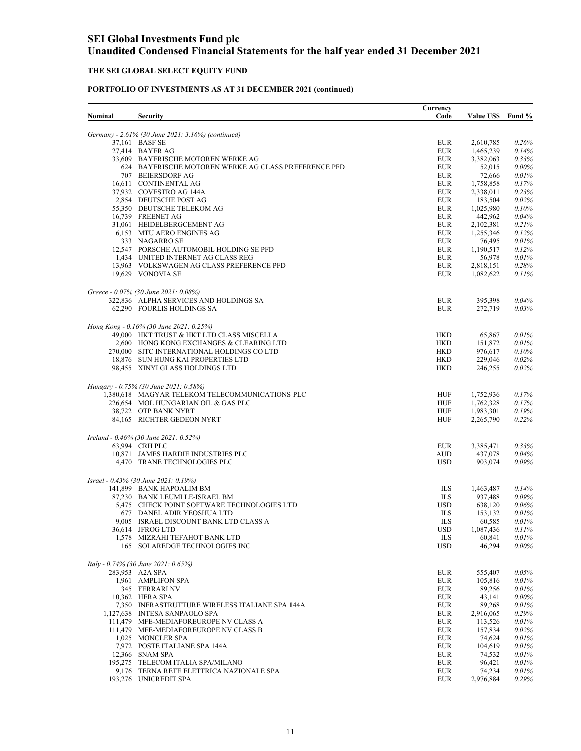## **THE SEI GLOBAL SELECT EQUITY FUND**

|         |                                                                                        | Currency                 |                        |                |
|---------|----------------------------------------------------------------------------------------|--------------------------|------------------------|----------------|
| Nominal | <b>Security</b>                                                                        | Code                     | <b>Value USS</b>       | Fund %         |
|         |                                                                                        |                          |                        |                |
|         | Germany - 2.61% (30 June 2021: 3.16%) (continued)                                      | <b>EUR</b>               |                        |                |
|         | 37,161 BASF SE<br>27,414 BAYER AG                                                      | <b>EUR</b>               | 2,610,785<br>1,465,239 | 0.26%<br>0.14% |
|         | 33,609 BAYERISCHE MOTOREN WERKE AG                                                     | <b>EUR</b>               | 3,382,063              | 0.33%          |
|         | 624 BAYERISCHE MOTOREN WERKE AG CLASS PREFERENCE PFD                                   | <b>EUR</b>               | 52,015                 | 0.00%          |
|         | 707 BEIERSDORF AG                                                                      | <b>EUR</b>               | 72,666                 | 0.01%          |
|         | 16,611 CONTINENTAL AG                                                                  | <b>EUR</b>               | 1,758,858              | 0.17%          |
|         | 37,932 COVESTRO AG 144A                                                                | <b>EUR</b>               | 2,338,011              | 0.23%          |
|         | 2,854 DEUTSCHE POST AG                                                                 | <b>EUR</b>               | 183,504                | 0.02%          |
|         | 55,350 DEUTSCHE TELEKOM AG                                                             | <b>EUR</b>               | 1,025,980              | 0.10%          |
|         | 16,739 FREENET AG<br>31,061 HEIDELBERGCEMENT AG                                        | <b>EUR</b><br><b>EUR</b> | 442,962                | 0.04%<br>0.21% |
|         | 6,153 MTU AERO ENGINES AG                                                              | <b>EUR</b>               | 2,102,381<br>1,255,346 | 0.12%          |
|         | 333 NAGARRO SE                                                                         | <b>EUR</b>               | 76,495                 | 0.01%          |
|         | 12,547 PORSCHE AUTOMOBIL HOLDING SE PFD                                                | <b>EUR</b>               | 1,190,517              | 0.12%          |
|         | 1,434 UNITED INTERNET AG CLASS REG                                                     | <b>EUR</b>               | 56,978                 | 0.01%          |
|         | 13,963 VOLKSWAGEN AG CLASS PREFERENCE PFD                                              | <b>EUR</b>               | 2,818,151              | 0.28%          |
|         | 19,629 VONOVIA SE                                                                      | <b>EUR</b>               | 1,082,622              | 0.11%          |
|         |                                                                                        |                          |                        |                |
|         | Greece - 0.07% (30 June 2021: 0.08%)                                                   |                          |                        |                |
|         | 322,836 ALPHA SERVICES AND HOLDINGS SA                                                 | <b>EUR</b>               | 395,398                | 0.04%          |
|         | 62,290 FOURLIS HOLDINGS SA                                                             | <b>EUR</b>               | 272,719                | 0.03%          |
|         |                                                                                        |                          |                        |                |
|         | Hong Kong - 0.16% (30 June 2021: 0.25%)                                                |                          |                        |                |
|         | 49,000 HKT TRUST & HKT LTD CLASS MISCELLA                                              | <b>HKD</b>               | 65,867                 | 0.01%          |
|         | 2,600 HONG KONG EXCHANGES & CLEARING LTD<br>270,000 SITC INTERNATIONAL HOLDINGS CO LTD | <b>HKD</b><br><b>HKD</b> | 151,872<br>976,617     | 0.01%<br>0.10% |
|         | 18,876 SUN HUNG KAI PROPERTIES LTD                                                     | <b>HKD</b>               | 229,046                | 0.02%          |
|         | 98,455 XINYI GLASS HOLDINGS LTD                                                        | <b>HKD</b>               | 246,255                | 0.02%          |
|         |                                                                                        |                          |                        |                |
|         | Hungary - 0.75% (30 June 2021: 0.58%)                                                  |                          |                        |                |
|         | 1,380,618 MAGYAR TELEKOM TELECOMMUNICATIONS PLC                                        | HUF                      | 1,752,936              | 0.17%          |
|         | 226,654 MOL HUNGARIAN OIL & GAS PLC                                                    | HUF                      | 1,762,328              | 0.17%          |
|         | 38,722 OTP BANK NYRT                                                                   | HUF                      | 1,983,301              | 0.19%          |
|         | 84,165 RICHTER GEDEON NYRT                                                             | <b>HUF</b>               | 2,265,790              | 0.22%          |
|         |                                                                                        |                          |                        |                |
|         | Ireland - 0.46% (30 June 2021: 0.52%)                                                  |                          |                        |                |
|         | 63.994 CRH PLC                                                                         | <b>EUR</b>               | 3,385,471              | 0.33%          |
|         | 10,871 JAMES HARDIE INDUSTRIES PLC                                                     | <b>AUD</b><br><b>USD</b> | 437,078                | 0.04%<br>0.09% |
|         | 4,470 TRANE TECHNOLOGIES PLC                                                           |                          | 903,074                |                |
|         | Israel - 0.43% (30 June 2021: 0.19%)                                                   |                          |                        |                |
|         | 141,899 BANK HAPOALIM BM                                                               | ILS                      | 1,463,487              | 0.14%          |
|         | 87,230 BANK LEUMI LE-ISRAEL BM                                                         | ILS                      | 937,488                | 0.09%          |
|         | 5,475 CHECK POINT SOFTWARE TECHNOLOGIES LTD                                            | <b>USD</b>               | 638,120                | 0.06%          |
|         | 677 DANEL ADIR YEOSHUA LTD                                                             | <b>ILS</b>               | 153,132                | 0.01%          |
|         | 9,005 ISRAEL DISCOUNT BANK LTD CLASS A                                                 | ILS                      | 60,585                 | 0.01%          |
|         | 36,614 JFROG LTD                                                                       | <b>USD</b>               | 1,087,436              | 0.11%          |
|         | 1,578 MIZRAHI TEFAHOT BANK LTD                                                         | ILS                      | 60,841                 | 0.01%          |
|         | 165 SOLAREDGE TECHNOLOGIES INC                                                         | <b>USD</b>               | 46,294                 | $0.00\%$       |
|         |                                                                                        |                          |                        |                |
|         | Italy - 0.74% (30 June 2021: 0.65%)                                                    |                          |                        |                |
|         | 283,953 A2A SPA                                                                        | <b>EUR</b>               | 555,407                | 0.05%          |
|         | 1,961 AMPLIFON SPA<br>345 FERRARI NV                                                   | <b>EUR</b><br><b>EUR</b> | 105,816<br>89,256      | 0.01%<br>0.01% |
|         | 10,362 HERA SPA                                                                        | <b>EUR</b>               | 43,141                 | $0.00\%$       |
|         | 7,350 INFRASTRUTTURE WIRELESS ITALIANE SPA 144A                                        | <b>EUR</b>               | 89,268                 | 0.01%          |
|         | 1,127,638 INTESA SANPAOLO SPA                                                          | <b>EUR</b>               | 2,916,065              | 0.29%          |
|         | 111,479 MFE-MEDIAFOREUROPE NV CLASS A                                                  | <b>EUR</b>               | 113,526                | 0.01%          |
|         | 111,479 MFE-MEDIAFOREUROPE NV CLASS B                                                  | <b>EUR</b>               | 157,834                | 0.02%          |
|         | 1,025 MONCLER SPA                                                                      | <b>EUR</b>               | 74,624                 | 0.01%          |
|         | 7,972 POSTE ITALIANE SPA 144A                                                          | <b>EUR</b>               | 104,619                | 0.01%          |
|         | 12,366 SNAM SPA                                                                        | <b>EUR</b>               | 74,532                 | 0.01%          |
|         | 195,275 TELECOM ITALIA SPA/MILANO                                                      | EUR                      | 96,421                 | 0.01%          |
|         | 9,176 TERNA RETE ELETTRICA NAZIONALE SPA<br>193,276 UNICREDIT SPA                      | <b>EUR</b><br><b>EUR</b> | 74,234<br>2,976,884    | 0.01%<br>0.29% |
|         |                                                                                        |                          |                        |                |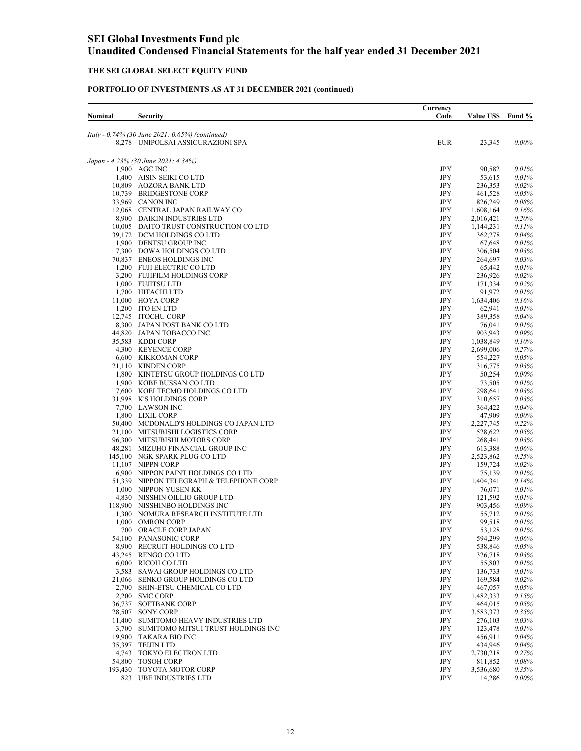### **THE SEI GLOBAL SELECT EQUITY FUND**

| Nominal | <b>Security</b>                                                                      | Currency<br>Code         | <b>Value US\$</b>      | Fund %               |
|---------|--------------------------------------------------------------------------------------|--------------------------|------------------------|----------------------|
|         |                                                                                      |                          |                        |                      |
|         | Italy - 0.74% (30 June 2021: 0.65%) (continued)<br>8,278 UNIPOLSAI ASSICURAZIONI SPA | <b>EUR</b>               | 23,345                 | $0.00\%$             |
|         |                                                                                      |                          |                        |                      |
|         | Japan - 4.23% (30 June 2021: 4.34%)<br>1,900 AGC INC                                 | JPY                      | 90,582                 | 0.01%                |
|         | 1,400 AISIN SEIKI CO LTD                                                             | $\rm JPY$                | 53,615                 | 0.01%                |
|         | 10,809 AOZORA BANK LTD                                                               | JPY                      | 236,353                | 0.02%                |
|         | 10,739 BRIDGESTONE CORP                                                              | JPY                      | 461,528                | $0.05\%$             |
|         | 33,969 CANON INC                                                                     | JPY                      | 826,249                | $0.08\%$             |
|         | 12,068 CENTRAL JAPAN RAILWAY CO                                                      | JPY                      | 1,608,164              | $0.16\%$             |
|         | 8,900 DAIKIN INDUSTRIES LTD<br>10,005 DAITO TRUST CONSTRUCTION CO LTD                | JPY<br><b>JPY</b>        | 2,016,421<br>1,144,231 | $0.20\%$<br>0.11%    |
|         | 39,172 DCM HOLDINGS CO LTD                                                           | JPY                      | 362,278                | $0.04\%$             |
|         | 1,900 DENTSU GROUP INC                                                               | JPY                      | 67,648                 | 0.01%                |
|         | 7,300 DOWA HOLDINGS CO LTD                                                           | JPY                      | 306,504                | 0.03%                |
|         | 70,837 ENEOS HOLDINGS INC                                                            | JPY                      | 264,697                | 0.03%                |
|         | 1,200 FUJI ELECTRIC CO LTD                                                           | JPY                      | 65,442                 | 0.01%                |
|         | 3,200 FUJIFILM HOLDINGS CORP<br>1,000 FUJITSU LTD                                    | JPY<br>JPY               | 236,926<br>171,334     | $0.02\%$<br>$0.02\%$ |
|         | 1,700 HITACHI LTD                                                                    | <b>JPY</b>               | 91,972                 | 0.01%                |
|         | 11,000 HOYA CORP                                                                     | <b>JPY</b>               | 1,634,406              | 0.16%                |
|         | 1,200 ITO EN LTD                                                                     | JPY                      | 62,941                 | 0.01%                |
|         | 12,745 ITOCHU CORP                                                                   | JPY                      | 389,358                | $0.04\%$             |
|         | 8,300 JAPAN POST BANK CO LTD                                                         | JPY                      | 76,041                 | 0.01%                |
|         | 44,820 JAPAN TOBACCO INC                                                             | JPY                      | 903,943                | 0.09%                |
|         | 35,583 KDDI CORP                                                                     | JPY                      | 1,038,849              | $0.10\%$             |
|         | 4,300 KEYENCE CORP                                                                   | JPY                      | 2,699,006              | 0.27%                |
|         | 6,600 KIKKOMAN CORP<br>21,110 KINDEN CORP                                            | <b>JPY</b><br><b>JPY</b> | 554,227<br>316,775     | 0.05%<br>0.03%       |
|         | 1,800 KINTETSU GROUP HOLDINGS CO LTD                                                 | JPY                      | 50,254                 | $0.00\%$             |
|         | 1,900 KOBE BUSSAN COLTD                                                              | JPY                      | 73,505                 | 0.01%                |
|         | 7,600 KOEI TECMO HOLDINGS CO LTD                                                     | JPY                      | 298,641                | 0.03%                |
|         | 31,998 K'S HOLDINGS CORP                                                             | <b>JPY</b>               | 310,657                | 0.03%                |
|         | 7,700 LAWSON INC                                                                     | JPY                      | 364,422                | $0.04\%$             |
|         | 1,800 LIXIL CORP                                                                     | JPY                      | 47,909                 | $0.00\%$             |
|         | 50,400 MCDONALD'S HOLDINGS CO JAPAN LTD<br>21,100 MITSUBISHI LOGISTICS CORP          | JPY<br>JPY               | 2,227,745<br>528,622   | 0.22%<br>$0.05\%$    |
|         | 96,300 MITSUBISHI MOTORS CORP                                                        | JPY                      | 268,441                | $0.03\%$             |
|         | 48,281 MIZUHO FINANCIAL GROUP INC                                                    | JPY                      | 613,388                | $0.06\%$             |
|         | 145,100 NGK SPARK PLUG CO LTD                                                        | JPY                      | 2,523,862              | 0.25%                |
|         | 11,107 NIPPN CORP                                                                    | JPY                      | 159,724                | 0.02%                |
|         | 6,900 NIPPON PAINT HOLDINGS CO LTD                                                   | JPY                      | 75,139                 | 0.01%                |
|         | 51,339 NIPPON TELEGRAPH & TELEPHONE CORP                                             | JPY                      | 1,404,341              | 0.14%                |
|         | 1,000 NIPPON YUSEN KK                                                                | JPY                      | 76,071                 | 0.01%                |
|         | 4,830 NISSHIN OILLIO GROUP LTD<br>118,900 NISSHINBO HOLDINGS INC                     | JPY<br><b>JPY</b>        | 121,592<br>903,456     | 0.01%<br>0.09%       |
|         | 1,300 NOMURA RESEARCH INSTITUTE LTD                                                  | JPY                      | 55,712                 | 0.01%                |
|         | 1,000 OMRON CORP                                                                     | JPY                      | 99,518                 | 0.01%                |
|         | 700 ORACLE CORP JAPAN                                                                | <b>JPY</b>               | 53,128                 | 0.01%                |
|         | 54,100 PANASONIC CORP                                                                | JPY                      | 594,299                | 0.06%                |
|         | 8,900 RECRUIT HOLDINGS CO LTD                                                        | JPY                      | 538,846                | $0.05\%$             |
|         | 43,245 RENGO CO LTD                                                                  | JPY                      | 326,718                | $0.03\%$             |
|         | 6,000 RICOH CO LTD                                                                   | JPY<br><b>JPY</b>        | 55,803                 | 0.01%                |
|         | 3,583 SAWAI GROUP HOLDINGS CO LTD<br>21,066 SENKO GROUP HOLDINGS CO LTD              | JPY                      | 136,733<br>169,584     | 0.01%<br>0.02%       |
|         | 2,700 SHIN-ETSU CHEMICAL CO LTD                                                      | JPY                      | 467,057                | 0.05%                |
|         | 2,200 SMC CORP                                                                       | JPY                      | 1,482,333              | 0.15%                |
|         | 36,737 SOFTBANK CORP                                                                 | $\rm JPY$                | 464,015                | 0.05%                |
|         | 28,507 SONY CORP                                                                     | JPY                      | 3,583,373              | 0.35%                |
|         | 11,400 SUMITOMO HEAVY INDUSTRIES LTD                                                 | JPY                      | 276,103                | $0.03\%$             |
|         | 3,700 SUMITOMO MITSUI TRUST HOLDINGS INC                                             | JPY                      | 123,478                | 0.01%                |
|         | 19,900 TAKARA BIO INC<br>35,397 TEIJIN LTD                                           | JPY<br>$\rm JPY$         | 456,911                | $0.04\%$             |
|         | 4,743 TOKYO ELECTRON LTD                                                             | JPY                      | 434,946<br>2,730,218   | 0.04%<br>0.27%       |
|         | 54,800 TOSOH CORP                                                                    | JPY                      | 811,852                | 0.08%                |
|         | 193,430 TOYOTA MOTOR CORP                                                            | JPY                      | 3,536,680              | $0.35\%$             |
|         | 823 UBE INDUSTRIES LTD                                                               | <b>JPY</b>               | 14,286                 | $0.00\%$             |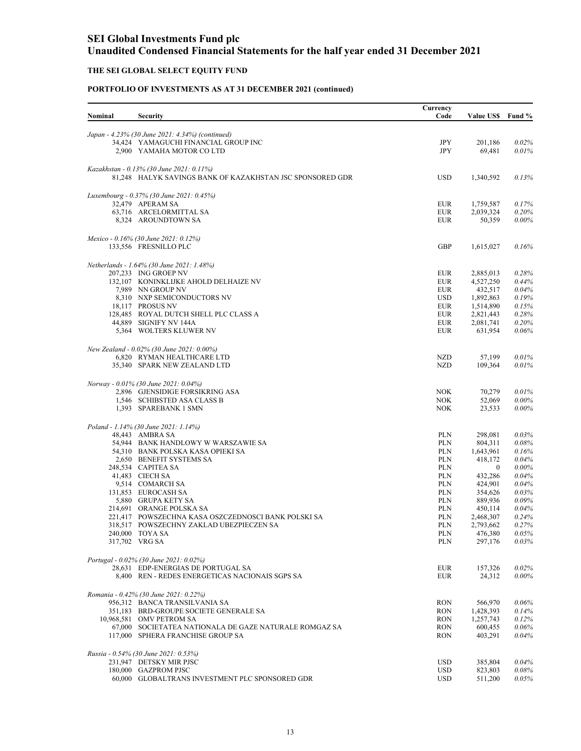### **THE SEI GLOBAL SELECT EQUITY FUND**

| Nominal | <b>Security</b>                                                                             | Currency<br>Code         | <b>Value US\$</b>      | Fund %            |
|---------|---------------------------------------------------------------------------------------------|--------------------------|------------------------|-------------------|
|         |                                                                                             |                          |                        |                   |
|         | Japan - 4.23% (30 June 2021: 4.34%) (continued)                                             |                          |                        |                   |
|         | 34,424 YAMAGUCHI FINANCIAL GROUP INC                                                        | JPY                      | 201,186                | 0.02%             |
|         | 2,900 YAMAHA MOTOR CO LTD                                                                   | <b>JPY</b>               | 69,481                 | 0.01%             |
|         | Kazakhstan - 0.13% (30 June 2021: 0.11%)                                                    |                          |                        |                   |
|         | 81,248 HALYK SAVINGS BANK OF KAZAKHSTAN JSC SPONSORED GDR                                   | <b>USD</b>               | 1,340,592              | 0.13%             |
|         |                                                                                             |                          |                        |                   |
|         | Luxembourg - 0.37% (30 June 2021: 0.45%)<br>32.479 APERAM SA                                |                          |                        |                   |
|         | 63,716 ARCELORMITTAL SA                                                                     | <b>EUR</b><br><b>EUR</b> | 1,759,587<br>2,039,324 | 0.17%<br>0.20%    |
|         | 8,324 AROUNDTOWN SA                                                                         | <b>EUR</b>               | 50,359                 | $0.00\%$          |
|         |                                                                                             |                          |                        |                   |
|         | Mexico - 0.16% (30 June 2021: 0.12%)                                                        |                          |                        |                   |
|         | 133,556 FRESNILLO PLC                                                                       | <b>GBP</b>               | 1,615,027              | 0.16%             |
|         | Netherlands - 1.64% (30 June 2021: 1.48%)                                                   |                          |                        |                   |
|         | 207,233 ING GROEP NV                                                                        | <b>EUR</b>               | 2,885,013              | 0.28%             |
|         | 132,107 KONINKLIJKE AHOLD DELHAIZE NV                                                       | <b>EUR</b>               | 4,527,250              | 0.44%             |
|         | 7.989 NN GROUP NV                                                                           | <b>EUR</b>               | 432,517                | 0.04%             |
|         | 8,310 NXP SEMICONDUCTORS NV                                                                 | <b>USD</b>               | 1,892,863              | 0.19%             |
|         | 18,117 PROSUS NV                                                                            | <b>EUR</b>               | 1,514,890              | 0.15%             |
|         | 128,485 ROYAL DUTCH SHELL PLC CLASS A                                                       | <b>EUR</b>               | 2,821,443              | 0.28%             |
|         | 44,889 SIGNIFY NV 144A<br>5,364 WOLTERS KLUWER NV                                           | <b>EUR</b><br><b>EUR</b> | 2,081,741<br>631,954   | 0.20%<br>0.06%    |
|         |                                                                                             |                          |                        |                   |
|         | New Zealand - 0.02% (30 June 2021: 0.00%)                                                   |                          |                        |                   |
|         | 6,820 RYMAN HEALTHCARE LTD                                                                  | NZD                      | 57,199                 | 0.01%             |
|         | 35,340 SPARK NEW ZEALAND LTD                                                                | <b>NZD</b>               | 109,364                | 0.01%             |
|         | Norway - 0.01% (30 June 2021: 0.04%)                                                        |                          |                        |                   |
|         | 2,896 GJENSIDIGE FORSIKRING ASA                                                             | <b>NOK</b>               | 70,279                 | 0.01%             |
|         | 1,546 SCHIBSTED ASA CLASS B                                                                 | <b>NOK</b>               | 52,069                 | $0.00\%$          |
|         | 1,393 SPAREBANK 1 SMN                                                                       | <b>NOK</b>               | 23,533                 | $0.00\%$          |
|         | Poland - 1.14% (30 June 2021: 1.14%)                                                        |                          |                        |                   |
|         | 48,443 AMBRA SA                                                                             | <b>PLN</b>               | 298,081                | 0.03%             |
|         | 54,944 BANK HANDLOWY W WARSZAWIE SA                                                         | <b>PLN</b>               | 804,311                | 0.08%             |
|         | 54,310 BANK POLSKA KASA OPIEKI SA                                                           | <b>PLN</b>               | 1,643,961              | 0.16%             |
|         | 2,650 BENEFIT SYSTEMS SA                                                                    | <b>PLN</b>               | 418,172                | 0.04%             |
|         | 248,534 CAPITEA SA                                                                          | <b>PLN</b>               | $\bf{0}$               | 0.00%             |
|         | 41,483 CIECH SA                                                                             | <b>PLN</b>               | 432,286                | 0.04%             |
|         | 9,514 COMARCH SA                                                                            | <b>PLN</b>               | 424,901                | 0.04%             |
|         | 131,853 EUROCASH SA                                                                         | <b>PLN</b>               | 354,626                | 0.03%             |
|         | 5,880 GRUPA KETY SA<br>214,691 ORANGE POLSKA SA                                             | <b>PLN</b><br><b>PLN</b> | 889,936<br>450,114     | 0.09%<br>0.04%    |
|         | 221,417 POWSZECHNA KASA OSZCZEDNOSCI BANK POLSKI SA                                         | <b>PLN</b>               | 2,468,307              | 0.24%             |
|         | 318,517 POWSZECHNY ZAKLAD UBEZPIECZEN SA                                                    | <b>PLN</b>               | 2,793,662              | 0.27%             |
|         | 240,000 TOYA SA                                                                             | <b>PLN</b>               | 476,380                | 0.05%             |
|         | 317,702 VRG SA                                                                              | <b>PLN</b>               | 297,176                | 0.03%             |
|         |                                                                                             |                          |                        |                   |
|         | Portugal - 0.02% (30 June 2021: 0.02%)<br>28,631 EDP-ENERGIAS DE PORTUGAL SA                |                          | 157,326                |                   |
|         | 8,400 REN - REDES ENERGETICAS NACIONAIS SGPS SA                                             | <b>EUR</b><br><b>EUR</b> | 24,312                 | 0.02%<br>$0.00\%$ |
|         |                                                                                             |                          |                        |                   |
|         | Romania - 0.42% (30 June 2021: 0.22%)                                                       |                          |                        |                   |
|         | 956,312 BANCA TRANSILVANIA SA                                                               | <b>RON</b>               | 566,970                | 0.06%             |
|         | 351,183 BRD-GROUPE SOCIETE GENERALE SA                                                      | <b>RON</b>               | 1,428,393              | 0.14%             |
|         | 10,968,581 OMV PETROM SA                                                                    | <b>RON</b>               | 1,257,743              | 0.12%             |
|         | 67,000 SOCIETATEA NATIONALA DE GAZE NATURALE ROMGAZ SA<br>117,000 SPHERA FRANCHISE GROUP SA | <b>RON</b>               | 600,455<br>403,291     | 0.06%             |
|         |                                                                                             | <b>RON</b>               |                        | 0.04%             |
|         | Russia - 0.54% (30 June 2021: 0.53%)                                                        |                          |                        |                   |
|         | 231,947 DETSKY MIR PJSC                                                                     | <b>USD</b>               | 385,804                | 0.04%             |
|         | 180,000 GAZPROM PJSC                                                                        | <b>USD</b>               | 823,803                | 0.08%             |
|         | 60,000 GLOBALTRANS INVESTMENT PLC SPONSORED GDR                                             | <b>USD</b>               | 511,200                | 0.05%             |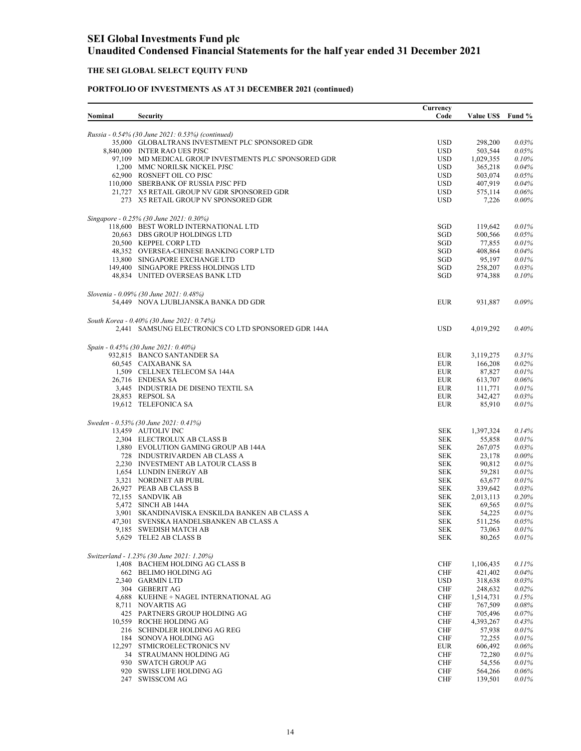### **THE SEI GLOBAL SELECT EQUITY FUND**

| Nominal | <b>Security</b>                                                              | Currency<br>Code         | <b>Value US\$</b>    | Fund %         |
|---------|------------------------------------------------------------------------------|--------------------------|----------------------|----------------|
|         |                                                                              |                          |                      |                |
|         | Russia - 0.54% (30 June 2021: 0.53%) (continued)                             |                          |                      |                |
|         | 35,000 GLOBALTRANS INVESTMENT PLC SPONSORED GDR                              | <b>USD</b>               | 298,200              | 0.03%          |
|         | 8,840,000 INTER RAO UES PJSC                                                 | <b>USD</b>               | 503,544              | 0.05%          |
|         | 97,109 MD MEDICAL GROUP INVESTMENTS PLC SPONSORED GDR                        | USD                      | 1,029,355            | 0.10%          |
|         | 1,200 MMC NORILSK NICKEL PJSC<br>62,900 ROSNEFT OIL CO PJSC                  | <b>USD</b><br><b>USD</b> | 365,218<br>503,074   | 0.04%<br>0.05% |
|         | 110,000 SBERBANK OF RUSSIA PJSC PFD                                          | <b>USD</b>               | 407,919              | 0.04%          |
|         | 21,727 X5 RETAIL GROUP NV GDR SPONSORED GDR                                  | <b>USD</b>               | 575,114              | 0.06%          |
|         | 273 X5 RETAIL GROUP NV SPONSORED GDR                                         | <b>USD</b>               | 7,226                | $0.00\%$       |
|         |                                                                              |                          |                      |                |
|         | Singapore - 0.25% (30 June 2021: 0.30%)                                      |                          |                      |                |
|         | 118,600 BEST WORLD INTERNATIONAL LTD<br>20,663 DBS GROUP HOLDINGS LTD        | SGD<br>SGD               | 119,642<br>500,566   | 0.01%<br>0.05% |
|         | 20,500 KEPPEL CORP LTD                                                       | SGD                      | 77,855               | 0.01%          |
|         | 48,352 OVERSEA-CHINESE BANKING CORP LTD                                      | SGD                      | 408,864              | 0.04%          |
|         | 13,800 SINGAPORE EXCHANGE LTD                                                | SGD                      | 95,197               | 0.01%          |
|         | 149,400 SINGAPORE PRESS HOLDINGS LTD                                         | SGD                      | 258,207              | 0.03%          |
|         | 48,834 UNITED OVERSEAS BANK LTD                                              | SGD                      | 974,388              | 0.10%          |
|         | Slovenia - 0.09% (30 June 2021: 0.48%)                                       |                          |                      |                |
|         | 54,449 NOVA LJUBLJANSKA BANKA DD GDR                                         | <b>EUR</b>               | 931,887              | 0.09%          |
|         |                                                                              |                          |                      |                |
|         | South Korea - 0.40% (30 June 2021: 0.74%)                                    |                          |                      |                |
|         | 2,441 SAMSUNG ELECTRONICS CO LTD SPONSORED GDR 144A                          | <b>USD</b>               | 4,019,292            | $0.40\%$       |
|         |                                                                              |                          |                      |                |
|         | Spain - 0.45% (30 June 2021: 0.40%)                                          |                          |                      |                |
|         | 932,815 BANCO SANTANDER SA<br>60,545 CAIXABANK SA                            | <b>EUR</b><br><b>EUR</b> | 3,119,275<br>166,208 | 0.31%<br>0.02% |
|         | 1,509 CELLNEX TELECOM SA 144A                                                | <b>EUR</b>               | 87,827               | 0.01%          |
|         | 26,716 ENDESA SA                                                             | <b>EUR</b>               | 613,707              | 0.06%          |
|         | 3,445 INDUSTRIA DE DISENO TEXTIL SA                                          | <b>EUR</b>               | 111,771              | 0.01%          |
|         | 28,853 REPSOL SA                                                             | <b>EUR</b>               | 342,427              | 0.03%          |
|         | 19,612 TELEFONICA SA                                                         | <b>EUR</b>               | 85,910               | 0.01%          |
|         | Sweden - 0.53% (30 June 2021: 0.41%)                                         |                          |                      |                |
|         | 13,459 AUTOLIV INC                                                           | SEK                      | 1,397,324            | 0.14%          |
|         | 2,304 ELECTROLUX AB CLASS B                                                  | <b>SEK</b>               | 55,858               | 0.01%          |
|         | 1,880 EVOLUTION GAMING GROUP AB 144A                                         | <b>SEK</b>               | 267,075              | 0.03%          |
|         | 728 INDUSTRIVARDEN AB CLASS A                                                | <b>SEK</b>               | 23,178               | $0.00\%$       |
|         | 2,230 INVESTMENT AB LATOUR CLASS B<br>1,654 LUNDIN ENERGY AB                 | <b>SEK</b>               | 90,812               | 0.01%<br>0.01% |
|         | 3,321 NORDNET AB PUBL                                                        | <b>SEK</b><br><b>SEK</b> | 59,281<br>63,677     | 0.01%          |
|         | 26,927 PEAB AB CLASS B                                                       | <b>SEK</b>               | 339,642              | 0.03%          |
|         | 72,155 SANDVIK AB                                                            | <b>SEK</b>               | 2,013,113            | 0.20%          |
|         | 5.472 SINCH AB 144A                                                          | <b>SEK</b>               | 69,565               | 0.01%          |
|         | 3,901 SKANDINAVISKA ENSKILDA BANKEN AB CLASS A                               | <b>SEK</b>               | 54,225               | 0.01%          |
|         | 47,301 SVENSKA HANDELSBANKEN AB CLASS A                                      | SEK                      | 511,256              | 0.05%          |
|         | 9,185 SWEDISH MATCH AB                                                       | <b>SEK</b>               | 73,063               | 0.01%          |
|         | 5,629 TELE2 AB CLASS B                                                       | SEK                      | 80,265               | 0.01%          |
|         |                                                                              |                          |                      |                |
|         | Switzerland - 1.23% (30 June 2021: 1.20%)<br>1,408 BACHEM HOLDING AG CLASS B | <b>CHF</b>               | 1,106,435            | 0.11%          |
|         | 662 BELIMO HOLDING AG                                                        | <b>CHF</b>               | 421,402              | 0.04%          |
|         | 2,340 GARMIN LTD                                                             | <b>USD</b>               | 318,638              | 0.03%          |
|         | 304 GEBERIT AG                                                               | <b>CHF</b>               | 248,632              | 0.02%          |
|         | 4,688 KUEHNE + NAGEL INTERNATIONAL AG                                        | <b>CHF</b>               | 1,514,731            | 0.15%          |
|         | 8,711 NOVARTIS AG                                                            | <b>CHF</b>               | 767,509              | 0.08%          |
|         | 425 PARTNERS GROUP HOLDING AG                                                | <b>CHF</b>               | 705,496              | 0.07%          |
|         | 10,559 ROCHE HOLDING AG                                                      | <b>CHF</b>               | 4,393,267            | 0.43%          |
|         | 216 SCHINDLER HOLDING AG REG                                                 | <b>CHF</b>               | 57,938               | 0.01%          |
|         | 184 SONOVA HOLDING AG                                                        | CHF                      | 72,255               | 0.01%          |
|         | 12,297 STMICROELECTRONICS NV                                                 | <b>EUR</b>               | 606,492              | 0.06%          |
|         | 34 STRAUMANN HOLDING AG                                                      | <b>CHF</b><br><b>CHF</b> | 72,280               | 0.01%          |
|         | 930 SWATCH GROUP AG<br>920 SWISS LIFE HOLDING AG                             | <b>CHF</b>               | 54,556<br>564,266    | 0.01%<br>0.06% |
|         | 247 SWISSCOM AG                                                              | <b>CHF</b>               | 139,501              | 0.01%          |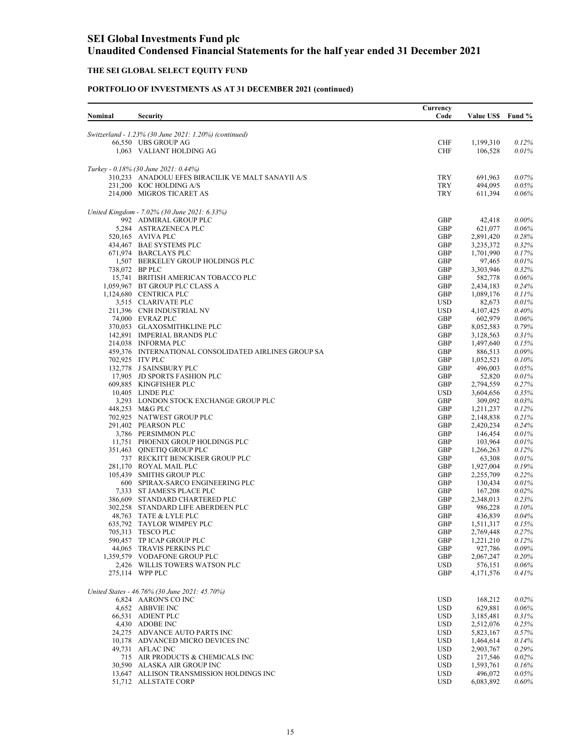### **THE SEI GLOBAL SELECT EQUITY FUND**

|         |                                                                | Currency                 |                      |                      |
|---------|----------------------------------------------------------------|--------------------------|----------------------|----------------------|
| Nominal | <b>Security</b>                                                | Code                     | <b>Value US\$</b>    | Fund %               |
|         | Switzerland - 1.23% (30 June 2021: 1.20%) (continued)          |                          |                      |                      |
|         | 66,550 UBS GROUP AG                                            | <b>CHF</b>               | 1,199,310            | 0.12%                |
|         | 1,063 VALIANT HOLDING AG                                       | <b>CHF</b>               | 106,528              | 0.01%                |
|         | Turkey - 0.18% (30 June 2021: 0.44%)                           |                          |                      |                      |
|         | 310,233 ANADOLU EFES BIRACILIK VE MALT SANAYII A/S             | <b>TRY</b>               | 691,963              | $0.07\%$             |
|         | 231,200 KOC HOLDING A/S                                        | <b>TRY</b>               | 494,095              | 0.05%                |
|         | 214,000 MIGROS TICARET AS                                      | <b>TRY</b>               | 611,394              | $0.06\%$             |
|         | United Kingdom - 7.02% (30 June 2021: 6.33%)                   |                          |                      |                      |
|         | 992 ADMIRAL GROUP PLC                                          | GBP                      | 42,418               | $0.00\%$             |
|         | 5,284 ASTRAZENECA PLC                                          | GBP                      | 621,077              | 0.06%                |
|         | 520,165 AVIVA PLC                                              | GBP                      | 2,891,420            | 0.28%                |
|         | 434,467 BAE SYSTEMS PLC                                        | GBP                      | 3,235,372            | 0.32%                |
|         | 671,974 BARCLAYS PLC<br>1,507 BERKELEY GROUP HOLDINGS PLC      | GBP<br>GBP               | 1,701,990<br>97,465  | 0.17%<br>0.01%       |
|         | 738,072 BP PLC                                                 | GBP                      | 3,303,946            | 0.32%                |
|         | 15,741 BRITISH AMERICAN TOBACCO PLC                            | GBP                      | 582,778              | $0.06\%$             |
|         | 1,059,967 BT GROUP PLC CLASS A                                 | GBP                      | 2,434,183            | 0.24%                |
|         | 1,124,680 CENTRICA PLC                                         | GBP                      | 1,089,176            | 0.11%                |
|         | 3,515 CLARIVATE PLC                                            | <b>USD</b>               | 82,673               | 0.01%                |
|         | 211,396 CNH INDUSTRIAL NV                                      | <b>USD</b>               | 4,107,425            | 0.40%                |
|         | 74,000 EVRAZ PLC<br>370,053 GLAXOSMITHKLINE PLC                | GBP<br>GBP               | 602,979<br>8,052,583 | $0.06\%$<br>0.79%    |
|         | 142,891 IMPERIAL BRANDS PLC                                    | GBP                      | 3,128,563            | 0.31%                |
|         | 214,038 INFORMA PLC                                            | GBP                      | 1,497,640            | 0.15%                |
|         | 459,376 INTERNATIONAL CONSOLIDATED AIRLINES GROUP SA           | GBP                      | 886,513              | $0.09\%$             |
|         | 702,925 ITV PLC                                                | GBP                      | 1,052,521            | $0.10\%$             |
|         | 132,778 J SAINSBURY PLC                                        | GBP                      | 496,003              | 0.05%                |
|         | 17,905 JD SPORTS FASHION PLC                                   | GBP                      | 52,820               | 0.01%                |
|         | 609,885 KINGFISHER PLC                                         | GBP                      | 2,794,559            | 0.27%                |
|         | 10,405 LINDE PLC                                               | <b>USD</b>               | 3,604,656            | 0.35%                |
|         | 3,293 LONDON STOCK EXCHANGE GROUP PLC<br>448,253 M&G PLC       | GBP<br>GBP               | 309,092<br>1,211,237 | 0.03%<br>0.12%       |
|         | 702,925 NATWEST GROUP PLC                                      | GBP                      | 2,148,838            | 0.21%                |
|         | 291,402 PEARSON PLC                                            | GBP                      | 2,420,234            | 0.24%                |
|         | 3,786 PERSIMMON PLC                                            | GBP                      | 146,454              | 0.01%                |
|         | 11,751 PHOENIX GROUP HOLDINGS PLC                              | GBP                      | 103,964              | 0.01%                |
|         | 351,463 QINETIQ GROUP PLC                                      | GBP                      | 1,266,263            | 0.12%                |
|         | 737 RECKITT BENCKISER GROUP PLC                                | GBP                      | 63,308               | 0.01%                |
|         | 281,170 ROYAL MAIL PLC                                         | GBP                      | 1,927,004            | 0.19%                |
|         | 105,439 SMITHS GROUP PLC                                       | GBP                      | 2,255,709            | 0.22%                |
|         | 600 SPIRAX-SARCO ENGINEERING PLC<br>7,333 ST JAMES'S PLACE PLC | GBP<br>GBP               | 130,434<br>167,208   | 0.01%<br>$0.02\%$    |
|         | 386,609 STANDARD CHARTERED PLC                                 | GBP                      | 2,348,013            | 0.23%                |
|         | 302,258 STANDARD LIFE ABERDEEN PLC                             | GBP                      | 986,228              | 0.10%                |
|         | 48,763 TATE & LYLE PLC                                         | GBP                      | 436,839              | 0.04%                |
|         | 635,792 TAYLOR WIMPEY PLC                                      | <b>GBP</b>               | 1,511,317            | 0.15%                |
|         | 705,313 TESCO PLC                                              | GBP                      | 2,769,448            | 0.27%                |
|         | 590,457 TP ICAP GROUP PLC                                      | GBP                      | 1,221,210            | 0.12%                |
|         | 44,065 TRAVIS PERKINS PLC                                      | GBP                      | 927,786              | 0.09%                |
|         | 1,359,579 VODAFONE GROUP PLC<br>2,426 WILLIS TOWERS WATSON PLC | GBP<br><b>USD</b>        | 2,067,247<br>576,151 | $0.20\%$<br>$0.06\%$ |
|         | 275,114 WPP PLC                                                | GBP                      | 4,171,576            | 0.41%                |
|         |                                                                |                          |                      |                      |
|         | United States - 46.76% (30 June 2021: 45.70%)                  |                          |                      |                      |
|         | 6,824 AARON'S CO INC<br>4,652 ABBVIE INC                       | <b>USD</b><br><b>USD</b> | 168,212<br>629,881   | $0.02\%$<br>$0.06\%$ |
|         | 66,531 ADIENT PLC                                              | <b>USD</b>               | 3,185,481            | 0.31%                |
|         | 4,430 ADOBE INC                                                | <b>USD</b>               | 2,512,076            | 0.25%                |
|         | 24,275 ADVANCE AUTO PARTS INC                                  | <b>USD</b>               | 5,823,167            | 0.57%                |
|         | 10,178 ADVANCED MICRO DEVICES INC                              | <b>USD</b>               | 1,464,614            | 0.14%                |
|         | 49,731 AFLAC INC                                               | <b>USD</b>               | 2,903,767            | $0.29\%$             |
|         | 715 AIR PRODUCTS & CHEMICALS INC                               | <b>USD</b>               | 217,546              | 0.02%                |
|         | 30,590 ALASKA AIR GROUP INC                                    | <b>USD</b>               | 1,593,761            | 0.16%                |
|         | 13,647 ALLISON TRANSMISSION HOLDINGS INC                       | <b>USD</b>               | 496,072              | $0.05\%$             |
|         | 51,712 ALLSTATE CORP                                           | <b>USD</b>               | 6,083,892            | $0.60\%$             |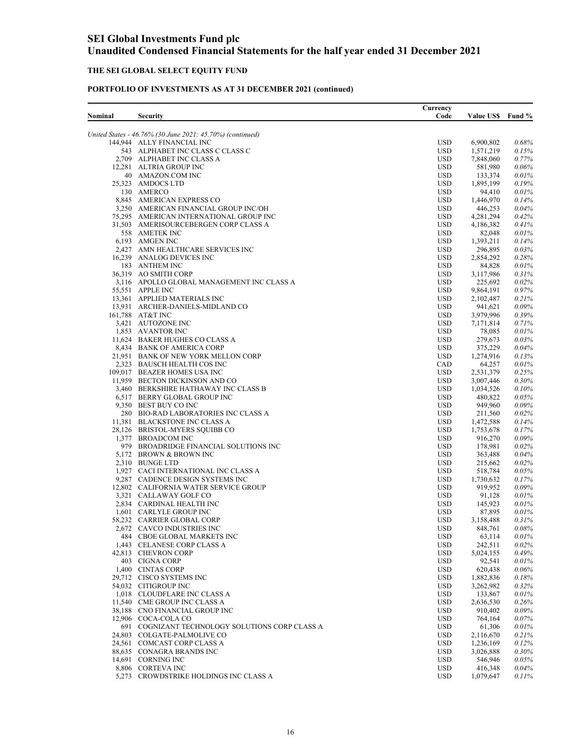## **THE SEI GLOBAL SELECT EQUITY FUND**

| Nominal | <b>Security</b>                                                                | Currency<br>Code         | <b>Value US\$</b>      | Fund %            |
|---------|--------------------------------------------------------------------------------|--------------------------|------------------------|-------------------|
|         | United States - 46.76% (30 June 2021: 45.70%) (continued)                      |                          |                        |                   |
|         | 144,944 ALLY FINANCIAL INC                                                     | <b>USD</b>               | 6,900,802              | 0.68%             |
|         | 543 ALPHABET INC CLASS C CLASS C                                               | <b>USD</b>               | 1,571,219              | 0.15%             |
|         | 2,709 ALPHABET INC CLASS A                                                     | <b>USD</b>               | 7,848,060              | 0.77%             |
|         | 12,281 ALTRIA GROUP INC                                                        | <b>USD</b><br><b>USD</b> | 581,980                | $0.06\%$<br>0.01% |
|         | 40 AMAZON.COM INC<br>25,323 AMDOCS LTD                                         | <b>USD</b>               | 133,374<br>1,895,199   | 0.19%             |
|         | 130 AMERCO                                                                     | <b>USD</b>               | 94,410                 | 0.01%             |
|         | 8,845 AMERICAN EXPRESS CO                                                      | <b>USD</b>               | 1,446,970              | 0.14%             |
|         | 3,250 AMERICAN FINANCIAL GROUP INC/OH                                          | <b>USD</b>               | 446,253                | $0.04\%$          |
|         | 75,295 AMERICAN INTERNATIONAL GROUP INC                                        | <b>USD</b>               | 4,281,294              | 0.42%             |
|         | 31,503 AMERISOURCEBERGEN CORP CLASS A                                          | <b>USD</b>               | 4,186,382              | 0.41%             |
|         | 558 AMETEK INC                                                                 | <b>USD</b>               | 82,048                 | 0.01%             |
|         | 6,193 AMGEN INC                                                                | <b>USD</b>               | 1,393,211              | 0.14%             |
|         | 2,427 AMN HEALTHCARE SERVICES INC                                              | <b>USD</b>               | 296,895                | 0.03%             |
|         | 16,239 ANALOG DEVICES INC<br>183 ANTHEM INC                                    | <b>USD</b>               | 2,854,292              | 0.28%<br>0.01%    |
|         | 36,319 AO SMITH CORP                                                           | <b>USD</b><br><b>USD</b> | 84,828<br>3,117,986    | 0.31%             |
|         | 3,116 APOLLO GLOBAL MANAGEMENT INC CLASS A                                     | <b>USD</b>               | 225,692                | $0.02\%$          |
|         | 55,551 APPLE INC                                                               | <b>USD</b>               | 9,864,191              | 0.97%             |
|         | 13,361 APPLIED MATERIALS INC                                                   | <b>USD</b>               | 2,102,487              | 0.21%             |
|         | 13,931 ARCHER-DANIELS-MIDLAND CO                                               | <b>USD</b>               | 941,621                | 0.09%             |
|         | 161,788 AT&T INC                                                               | <b>USD</b>               | 3,979,996              | $0.39\%$          |
|         | 3,421 AUTOZONE INC                                                             | <b>USD</b>               | 7,171,814              | 0.71%             |
|         | 1,853 AVANTOR INC                                                              | <b>USD</b>               | 78,085                 | 0.01%             |
|         | 11,624 BAKER HUGHES CO CLASS A                                                 | <b>USD</b>               | 279,673                | 0.03%             |
|         | 8,434 BANK OF AMERICA CORP<br>21,951 BANK OF NEW YORK MELLON CORP              | <b>USD</b>               | 375,229                | 0.04%             |
|         | 2,323 BAUSCH HEALTH COS INC                                                    | <b>USD</b><br>CAD        | 1,274,916<br>64,257    | 0.13%<br>0.01%    |
|         | 109,017 BEAZER HOMES USA INC                                                   | <b>USD</b>               | 2,531,379              | 0.25%             |
|         | 11,959 BECTON DICKINSON AND CO                                                 | <b>USD</b>               | 3,007,446              | 0.30%             |
|         | 3,460 BERKSHIRE HATHAWAY INC CLASS B                                           | <b>USD</b>               | 1,034,526              | $0.10\%$          |
|         | 6,517 BERRY GLOBAL GROUP INC                                                   | <b>USD</b>               | 480,822                | 0.05%             |
|         | 9,350 BEST BUY CO INC                                                          | <b>USD</b>               | 949,960                | 0.09%             |
|         | 280 BIO-RAD LABORATORIES INC CLASS A                                           | <b>USD</b>               | 211,560                | 0.02%             |
|         | 11,381 BLACKSTONE INC CLASS A                                                  | <b>USD</b>               | 1,472,588              | 0.14%             |
|         | 28,126 BRISTOL-MYERS SQUIBB CO                                                 | <b>USD</b>               | 1,753,678              | 0.17%             |
|         | 1,377 BROADCOM INC<br>979 BROADRIDGE FINANCIAL SOLUTIONS INC                   | <b>USD</b><br><b>USD</b> | 916,270<br>178,981     | 0.09%<br>0.02%    |
|         | 5,172 BROWN & BROWN INC                                                        | <b>USD</b>               | 363,488                | $0.04\%$          |
|         | 2,310 BUNGE LTD                                                                | <b>USD</b>               | 215,662                | $0.02\%$          |
|         | 1,927 CACI INTERNATIONAL INC CLASS A                                           | <b>USD</b>               | 518,784                | 0.05%             |
|         | 9,287 CADENCE DESIGN SYSTEMS INC                                               | <b>USD</b>               | 1,730,632              | 0.17%             |
|         | 12,802 CALIFORNIA WATER SERVICE GROUP                                          | <b>USD</b>               | 919,952                | 0.09%             |
|         | 3,321 CALLAWAY GOLF CO                                                         | <b>USD</b>               | 91,128                 | 0.01%             |
|         | 2,834 CARDINAL HEALTH INC                                                      | <b>USD</b>               | 145,923                | 0.01%             |
|         | 1,601 CARLYLE GROUP INC                                                        | <b>USD</b>               | 87,895                 | 0.01%             |
|         | 58,232 CARRIER GLOBAL CORP                                                     | <b>USD</b>               | 3,158,488              | 0.31%             |
|         | 2.672 CAVCO INDUSTRIES INC<br>484 CBOE GLOBAL MARKETS INC                      | <b>USD</b><br><b>USD</b> | 848,761                | 0.08%<br>0.01%    |
|         | 1,443 CELANESE CORP CLASS A                                                    | <b>USD</b>               | 63,114<br>242,511      | 0.02%             |
|         | 42,813 CHEVRON CORP                                                            | <b>USD</b>               | 5,024,155              | 0.49%             |
|         | 403 CIGNA CORP                                                                 | <b>USD</b>               | 92,541                 | 0.01%             |
|         | 1,400 CINTAS CORP                                                              | <b>USD</b>               | 620,438                | $0.06\%$          |
|         | 29,712 CISCO SYSTEMS INC                                                       | <b>USD</b>               | 1,882,836              | 0.18%             |
|         | 54,032 CITIGROUP INC                                                           | <b>USD</b>               | 3,262,982              | 0.32%             |
|         | 1,018 CLOUDFLARE INC CLASS A                                                   | <b>USD</b>               | 133,867                | 0.01%             |
|         | 11,540 CME GROUP INC CLASS A                                                   | <b>USD</b>               | 2,636,530              | 0.26%             |
|         | 38,188 CNO FINANCIAL GROUP INC                                                 | <b>USD</b>               | 910,402                | 0.09%             |
|         | 12,906 COCA-COLA CO                                                            | <b>USD</b>               | 764,164                | 0.07%             |
|         | 691 COGNIZANT TECHNOLOGY SOLUTIONS CORP CLASS A<br>24,803 COLGATE-PALMOLIVE CO | <b>USD</b>               | 61,306                 | 0.01%             |
|         | 24,561 COMCAST CORP CLASS A                                                    | <b>USD</b><br><b>USD</b> | 2,116,670<br>1,236,169 | 0.21%<br>0.12%    |
|         | 88,635 CONAGRA BRANDS INC                                                      | <b>USD</b>               | 3,026,888              | 0.30%             |
|         | 14,691 CORNING INC                                                             | <b>USD</b>               | 546,946                | 0.05%             |
|         | 8,806 CORTEVA INC                                                              | <b>USD</b>               | 416,348                | 0.04%             |
|         | 5,273 CROWDSTRIKE HOLDINGS INC CLASS A                                         | <b>USD</b>               | 1,079,647              | 0.11%             |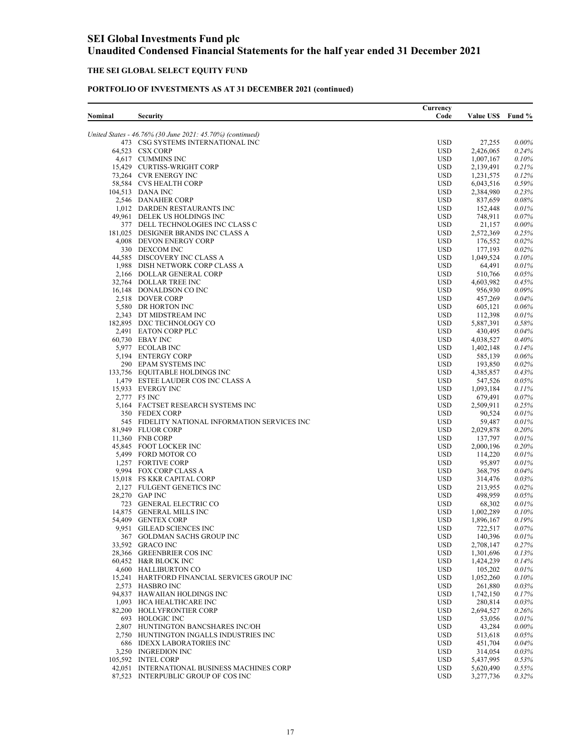### **THE SEI GLOBAL SELECT EQUITY FUND**

| Nominal | Security                                                                 | Currency<br>Code         | <b>Value USS</b>     | Fund %            |
|---------|--------------------------------------------------------------------------|--------------------------|----------------------|-------------------|
|         | United States - 46.76% (30 June 2021: 45.70%) (continued)                |                          |                      |                   |
|         | 473 CSG SYSTEMS INTERNATIONAL INC                                        | <b>USD</b>               | 27,255               | $0.00\%$          |
|         | 64,523 CSX CORP                                                          | <b>USD</b>               | 2,426,065            | 0.24%             |
|         | 4,617 CUMMINS INC                                                        | <b>USD</b>               | 1,007,167            | 0.10%             |
|         | 15,429 CURTISS-WRIGHT CORP                                               | <b>USD</b>               | 2,139,491            | 0.21%             |
|         | 73,264 CVR ENERGY INC                                                    | <b>USD</b>               | 1,231,575            | 0.12%             |
|         | 58,584 CVS HEALTH CORP                                                   | <b>USD</b>               | 6,043,516            | 0.59%             |
|         | 104,513 DANA INC                                                         | <b>USD</b>               | 2,384,980            | 0.23%             |
|         | 2,546 DANAHER CORP                                                       | <b>USD</b>               | 837,659              | $0.08\%$          |
|         | 1,012 DARDEN RESTAURANTS INC                                             | <b>USD</b>               | 152,448              | 0.01%             |
|         | 49,961 DELEK US HOLDINGS INC                                             | <b>USD</b>               | 748,911              | $0.07\%$          |
|         | 377 DELL TECHNOLOGIES INC CLASS C<br>181,025 DESIGNER BRANDS INC CLASS A | <b>USD</b><br><b>USD</b> | 21,157               | $0.00\%$          |
|         |                                                                          | <b>USD</b>               | 2,572,369            | 0.25%<br>0.02%    |
|         | 4,008 DEVON ENERGY CORP<br>330 DEXCOM INC                                | <b>USD</b>               | 176,552<br>177,193   | 0.02%             |
|         | 44,585 DISCOVERY INC CLASS A                                             | <b>USD</b>               | 1,049,524            | 0.10%             |
|         | 1,988 DISH NETWORK CORP CLASS A                                          | <b>USD</b>               | 64,491               | 0.01%             |
|         | 2,166 DOLLAR GENERAL CORP                                                | <b>USD</b>               | 510,766              | $0.05\%$          |
|         | 32,764 DOLLAR TREE INC                                                   | <b>USD</b>               | 4,603,982            | 0.45%             |
|         | 16,148 DONALDSON CO INC                                                  | <b>USD</b>               | 956,930              | 0.09%             |
|         | 2,518 DOVER CORP                                                         | <b>USD</b>               | 457,269              | 0.04%             |
|         | 5,580 DR HORTON INC                                                      | <b>USD</b>               | 605,121              | $0.06\%$          |
|         | 2,343 DT MIDSTREAM INC                                                   | <b>USD</b>               | 112,398              | 0.01%             |
|         | 182,895 DXC TECHNOLOGY CO                                                | <b>USD</b>               | 5,887,391            | 0.58%             |
|         | 2,491 EATON CORP PLC                                                     | <b>USD</b>               | 430,495              | $0.04\%$          |
|         | 60,730 EBAY INC                                                          | <b>USD</b>               | 4,038,527            | 0.40%             |
|         | 5,977 ECOLAB INC                                                         | <b>USD</b>               | 1,402,148            | 0.14%             |
|         | 5,194 ENTERGY CORP                                                       | <b>USD</b>               | 585,139              | $0.06\%$          |
|         | 290 EPAM SYSTEMS INC                                                     | <b>USD</b>               | 193,850              | 0.02%             |
|         | 133,756 EQUITABLE HOLDINGS INC                                           | <b>USD</b>               | 4,385,857            | 0.43%             |
|         | 1,479 ESTEE LAUDER COS INC CLASS A                                       | <b>USD</b>               | 547,526              | 0.05%             |
|         | 15,933 EVERGY INC                                                        | <b>USD</b>               | 1,093,184            | 0.11%             |
|         | 2,777 F5 INC                                                             | <b>USD</b>               | 679,491              | 0.07%             |
|         | 5,164 FACTSET RESEARCH SYSTEMS INC                                       | <b>USD</b>               | 2,509,911            | 0.25%             |
|         | 350 FEDEX CORP                                                           | <b>USD</b>               | 90,524               | 0.01%             |
|         | 545 FIDELITY NATIONAL INFORMATION SERVICES INC                           | <b>USD</b>               | 59,487               | 0.01%             |
|         | 81,949 FLUOR CORP                                                        | <b>USD</b>               | 2,029,878            | $0.20\%$          |
|         | 11,360 FNB CORP                                                          | <b>USD</b>               | 137,797              | 0.01%             |
|         | 45,845 FOOT LOCKER INC                                                   | <b>USD</b>               | 2,000,196            | $0.20\%$          |
|         | 5,499 FORD MOTOR CO                                                      | <b>USD</b>               | 114,220              | 0.01%             |
|         | 1,257 FORTIVE CORP                                                       | <b>USD</b>               | 95,897               | 0.01%             |
|         | 9.994 FOX CORP CLASS A                                                   | <b>USD</b>               | 368,795              | 0.04%             |
|         | 15,018 FS KKR CAPITAL CORP                                               | <b>USD</b>               | 314,476              | $0.03\%$          |
|         | 2,127 FULGENT GENETICS INC                                               | <b>USD</b>               | 213,955              | 0.02%             |
|         | 28,270 GAP INC                                                           | <b>USD</b>               | 498,959              | $0.05\%$          |
|         | 723 GENERAL ELECTRIC CO                                                  | <b>USD</b>               | 68,302               | 0.01%             |
|         | 14,875 GENERAL MILLS INC                                                 | <b>USD</b>               | 1,002,289            | $0.10\%$<br>0.19% |
|         | 54,409 GENTEX CORP<br>9.951 GILEAD SCIENCES INC                          | <b>USD</b><br><b>USD</b> | 1,896,167<br>722,517 | 0.07%             |
|         | 367 GOLDMAN SACHS GROUP INC                                              | <b>USD</b>               | 140,396              | 0.01%             |
|         | 33,592 GRACO INC                                                         | <b>USD</b>               | 2,708,147            | 0.27%             |
|         | 28,366 GREENBRIER COS INC                                                | <b>USD</b>               | 1,301,696            | 0.13%             |
|         | 60,452 H&R BLOCK INC                                                     | <b>USD</b>               | 1,424,239            | 0.14%             |
|         | 4,600 HALLIBURTON CO                                                     | <b>USD</b>               | 105,202              | 0.01%             |
|         | 15,241 HARTFORD FINANCIAL SERVICES GROUP INC                             | <b>USD</b>               | 1,052,260            | $0.10\%$          |
|         | 2.573 HASBRO INC                                                         | <b>USD</b>               | 261,880              | 0.03%             |
|         | 94,837 HAWAIIAN HOLDINGS INC                                             | <b>USD</b>               | 1,742,150            | 0.17%             |
|         | 1,093 HCA HEALTHCARE INC                                                 | <b>USD</b>               | 280,814              | 0.03%             |
|         | 82,200 HOLLYFRONTIER CORP                                                | <b>USD</b>               | 2,694,527            | $0.26\%$          |
|         | 693 HOLOGIC INC                                                          | <b>USD</b>               | 53,056               | 0.01%             |
|         | 2,807 HUNTINGTON BANCSHARES INC/OH                                       | <b>USD</b>               | 43,284               | $0.00\%$          |
|         | 2,750 HUNTINGTON INGALLS INDUSTRIES INC                                  | <b>USD</b>               | 513,618              | $0.05\%$          |
|         | 686 IDEXX LABORATORIES INC                                               | <b>USD</b>               | 451,704              | $0.04\%$          |
|         | 3,250 INGREDION INC                                                      | <b>USD</b>               | 314,054              | $0.03\%$          |
|         | 105,592 INTEL CORP                                                       | <b>USD</b>               | 5,437,995            | 0.53%             |
|         | 42,051 INTERNATIONAL BUSINESS MACHINES CORP                              | <b>USD</b>               | 5,620,490            | 0.55%             |
|         | 87,523 INTERPUBLIC GROUP OF COS INC                                      | <b>USD</b>               | 3,277,736            | 0.32%             |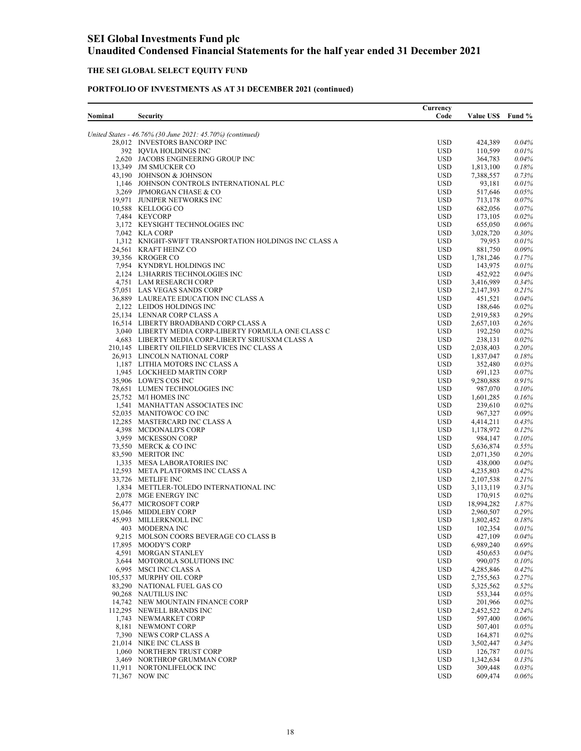## **THE SEI GLOBAL SELECT EQUITY FUND**

| Nominal | <b>Security</b>                                                      | Currency<br>Code         | <b>Value US\$</b>    | Fund %         |
|---------|----------------------------------------------------------------------|--------------------------|----------------------|----------------|
|         | United States - 46.76% (30 June 2021: 45.70%) (continued)            |                          |                      |                |
|         | 28,012 INVESTORS BANCORP INC                                         | <b>USD</b>               | 424,389              | 0.04%          |
|         | 392 IQVIA HOLDINGS INC                                               | <b>USD</b>               | 110,599              | 0.01%          |
|         | 2,620 JACOBS ENGINEERING GROUP INC                                   | <b>USD</b>               | 364,783              | 0.04%          |
|         | 13,349 JM SMUCKER CO                                                 | <b>USD</b><br><b>USD</b> | 1,813,100            | 0.18%          |
|         | 43,190 JOHNSON & JOHNSON<br>1,146 JOHNSON CONTROLS INTERNATIONAL PLC | <b>USD</b>               | 7,388,557<br>93,181  | 0.73%<br>0.01% |
|         | 3,269 JPMORGAN CHASE & CO                                            | <b>USD</b>               | 517,646              | 0.05%          |
|         | 19.971 JUNIPER NETWORKS INC                                          | <b>USD</b>               | 713,178              | 0.07%          |
|         | 10,588 KELLOGG CO                                                    | <b>USD</b>               | 682,056              | $0.07\%$       |
|         | 7,484 KEYCORP                                                        | <b>USD</b>               | 173,105              | 0.02%          |
|         | 3,172 KEYSIGHT TECHNOLOGIES INC                                      | <b>USD</b>               | 655,050              | 0.06%          |
|         | 7,042 KLA CORP                                                       | <b>USD</b>               | 3,028,720            | 0.30%          |
|         | 1,312 KNIGHT-SWIFT TRANSPORTATION HOLDINGS INC CLASS A               | <b>USD</b>               | 79,953               | 0.01%          |
|         | 24,561 KRAFT HEINZ CO                                                | <b>USD</b>               | 881,750              | 0.09%          |
|         | 39,356 KROGER CO<br>7,954 KYNDRYL HOLDINGS INC                       | <b>USD</b><br><b>USD</b> | 1,781,246            | 0.17%<br>0.01% |
|         | 2,124 L3HARRIS TECHNOLOGIES INC                                      | <b>USD</b>               | 143,975<br>452,922   | $0.04\%$       |
|         | 4,751 LAM RESEARCH CORP                                              | <b>USD</b>               | 3,416,989            | 0.34%          |
|         | 57,051 LAS VEGAS SANDS CORP                                          | <b>USD</b>               | 2,147,393            | 0.21%          |
|         | 36,889 LAUREATE EDUCATION INC CLASS A                                | <b>USD</b>               | 451,521              | 0.04%          |
|         | 2,122 LEIDOS HOLDINGS INC                                            | <b>USD</b>               | 188,646              | 0.02%          |
|         | 25,134 LENNAR CORP CLASS A                                           | <b>USD</b>               | 2,919,583            | $0.29\%$       |
|         | 16,514 LIBERTY BROADBAND CORP CLASS A                                | <b>USD</b>               | 2,657,103            | 0.26%          |
|         | 3,040 LIBERTY MEDIA CORP-LIBERTY FORMULA ONE CLASS C                 | <b>USD</b>               | 192,250              | 0.02%          |
|         | 4,683 LIBERTY MEDIA CORP-LIBERTY SIRIUSXM CLASS A                    | <b>USD</b>               | 238,131              | 0.02%          |
|         | 210,145 LIBERTY OILFIELD SERVICES INC CLASS A                        | <b>USD</b>               | 2,038,403            | 0.20%          |
|         | 26,913 LINCOLN NATIONAL CORP<br>1,187 LITHIA MOTORS INC CLASS A      | <b>USD</b><br><b>USD</b> | 1,837,047<br>352,480 | 0.18%<br>0.03% |
|         | 1,945 LOCKHEED MARTIN CORP                                           | <b>USD</b>               | 691,123              | 0.07%          |
|         | 35,906 LOWE'S COS INC                                                | <b>USD</b>               | 9,280,888            | 0.91%          |
|         | 78,651 LUMEN TECHNOLOGIES INC                                        | <b>USD</b>               | 987,070              | $0.10\%$       |
|         | 25,752 M/I HOMES INC                                                 | <b>USD</b>               | 1,601,285            | 0.16%          |
|         | 1,541 MANHATTAN ASSOCIATES INC                                       | <b>USD</b>               | 239,610              | 0.02%          |
|         | 52,035 MANITOWOC CO INC                                              | <b>USD</b>               | 967,327              | 0.09%          |
|         | 12,285 MASTERCARD INC CLASS A                                        | <b>USD</b>               | 4,414,211            | 0.43%          |
|         | 4,398 MCDONALD'S CORP                                                | <b>USD</b>               | 1,178,972            | 0.12%          |
|         | 3,959 MCKESSON CORP<br>73,550 MERCK & CO INC                         | <b>USD</b><br><b>USD</b> | 984,147<br>5,636,874 | 0.10%<br>0.55% |
|         | 83,590 MERITOR INC                                                   | <b>USD</b>               | 2,071,350            | 0.20%          |
|         | 1,335 MESA LABORATORIES INC                                          | <b>USD</b>               | 438,000              | 0.04%          |
|         | 12,593 META PLATFORMS INC CLASS A                                    | <b>USD</b>               | 4,235,803            | 0.42%          |
|         | 33,726 METLIFE INC                                                   | <b>USD</b>               | 2,107,538            | 0.21%          |
|         | 1,834 METTLER-TOLEDO INTERNATIONAL INC                               | <b>USD</b>               | 3,113,119            | 0.31%          |
|         | 2,078 MGE ENERGY INC                                                 | <b>USD</b>               | 170,915              | 0.02%          |
|         | 56,477 MICROSOFT CORP                                                | <b>USD</b>               | 18,994,282           | 1.87%          |
|         | 15,046 MIDDLEBY CORP                                                 | <b>USD</b>               | 2,960,507            | 0.29%          |
|         | 45,993 MILLERKNOLL INC                                               | <b>USD</b>               | 1,802,452            | 0.18%          |
|         | 403 MODERNA INC<br>9,215 MOLSON COORS BEVERAGE CO CLASS B            | <b>USD</b><br><b>USD</b> | 102,354<br>427,109   | 0.01%<br>0.04% |
|         | 17,895 MOODY'S CORP                                                  | <b>USD</b>               | 6,989,240            | 0.69%          |
|         | 4,591 MORGAN STANLEY                                                 | <b>USD</b>               | 450,653              | $0.04\%$       |
|         | 3,644 MOTOROLA SOLUTIONS INC                                         | <b>USD</b>               | 990,075              | $0.10\%$       |
|         | 6,995 MSCI INC CLASS A                                               | <b>USD</b>               | 4,285,846            | 0.42%          |
|         | 105,537 MURPHY OIL CORP                                              | <b>USD</b>               | 2,755,563            | 0.27%          |
|         | 83,290 NATIONAL FUEL GAS CO                                          | <b>USD</b>               | 5,325,562            | 0.52%          |
|         | 90,268 NAUTILUS INC                                                  | <b>USD</b>               | 553,344              | 0.05%          |
|         | 14,742 NEW MOUNTAIN FINANCE CORP                                     | <b>USD</b>               | 201,966              | 0.02%          |
|         | 112,295 NEWELL BRANDS INC                                            | <b>USD</b>               | 2,452,522            | 0.24%          |
|         | 1,743 NEWMARKET CORP                                                 | <b>USD</b>               | 597,400              | 0.06%          |
|         | 8,181 NEWMONT CORP<br>7,390 NEWS CORP CLASS A                        | <b>USD</b><br><b>USD</b> | 507,401<br>164,871   | 0.05%<br>0.02% |
|         | 21,014 NIKE INC CLASS B                                              | <b>USD</b>               | 3,502,447            | 0.34%          |
|         | 1,060 NORTHERN TRUST CORP                                            | <b>USD</b>               | 126,787              | 0.01%          |
|         | 3,469 NORTHROP GRUMMAN CORP                                          | <b>USD</b>               | 1,342,634            | 0.13%          |
|         | 11,911 NORTONLIFELOCK INC                                            | <b>USD</b>               | 309,448              | 0.03%          |
|         | 71,367 NOW INC                                                       | <b>USD</b>               | 609,474              | 0.06%          |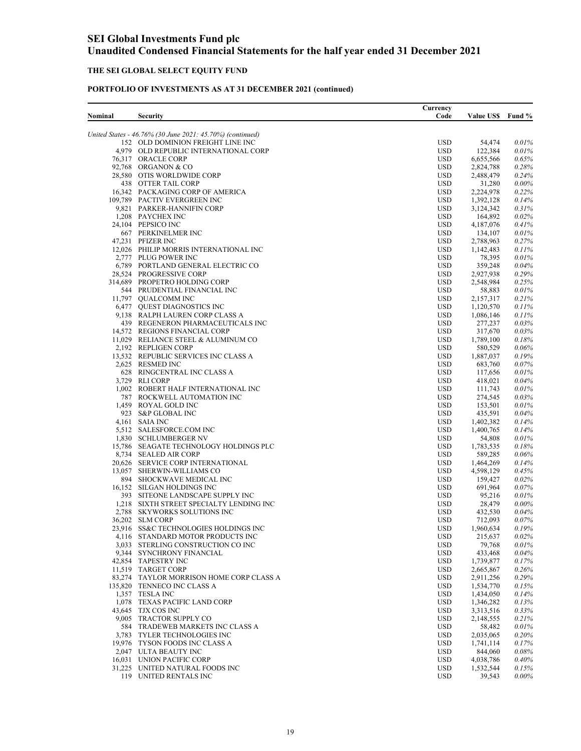### **THE SEI GLOBAL SELECT EQUITY FUND**

| Nominal |                                                                         | Currency<br>Code         | <b>Value US\$</b>      |                   |
|---------|-------------------------------------------------------------------------|--------------------------|------------------------|-------------------|
|         | <b>Security</b>                                                         |                          |                        | Fund %            |
|         | United States - 46.76% (30 June 2021: 45.70%) (continued)               |                          |                        |                   |
|         | 152 OLD DOMINION FREIGHT LINE INC                                       | <b>USD</b>               | 54,474                 | 0.01%             |
|         | 4,979 OLD REPUBLIC INTERNATIONAL CORP                                   | <b>USD</b>               | 122,384                | 0.01%             |
|         | 76.317 ORACLE CORP<br>92,768 ORGANON & CO                               | <b>USD</b>               | 6,655,566              | $0.65\%$          |
|         | 28,580 OTIS WORLDWIDE CORP                                              | <b>USD</b><br><b>USD</b> | 2,824,788<br>2,488,479 | 0.28%<br>0.24%    |
|         | 438 OTTER TAIL CORP                                                     | <b>USD</b>               | 31,280                 | $0.00\%$          |
|         | 16,342 PACKAGING CORP OF AMERICA                                        | <b>USD</b>               | 2,224,978              | 0.22%             |
|         | 109,789 PACTIV EVERGREEN INC                                            | <b>USD</b>               | 1,392,128              | 0.14%             |
|         | 9,821 PARKER-HANNIFIN CORP                                              | <b>USD</b>               | 3,124,342              | 0.31%             |
|         | 1,208 PAYCHEX INC                                                       | <b>USD</b>               | 164,892                | $0.02\%$          |
|         | 24,104 PEPSICO INC                                                      | <b>USD</b>               | 4, 187, 076            | 0.41%             |
|         | 667 PERKINELMER INC<br>47,231 PFIZER INC                                | <b>USD</b><br><b>USD</b> | 134,107<br>2,788,963   | 0.01%<br>0.27%    |
|         | 12,026 PHILIP MORRIS INTERNATIONAL INC                                  | <b>USD</b>               | 1,142,483              | 0.11%             |
|         | 2,777 PLUG POWER INC                                                    | <b>USD</b>               | 78,395                 | 0.01%             |
|         | 6,789 PORTLAND GENERAL ELECTRIC CO                                      | <b>USD</b>               | 359,248                | 0.04%             |
|         | 28,524 PROGRESSIVE CORP                                                 | <b>USD</b>               | 2,927,938              | 0.29%             |
|         | 314,689 PROPETRO HOLDING CORP                                           | <b>USD</b>               | 2,548,984              | 0.25%             |
|         | 544 PRUDENTIAL FINANCIAL INC                                            | <b>USD</b>               | 58,883                 | 0.01%             |
|         | 11,797 QUALCOMM INC                                                     | <b>USD</b>               | 2,157,317              | 0.21%             |
|         | 6,477 QUEST DIAGNOSTICS INC<br>9,138 RALPH LAUREN CORP CLASS A          | <b>USD</b><br><b>USD</b> | 1,120,570<br>1,086,146 | 0.11%<br>0.11%    |
|         | 439 REGENERON PHARMACEUTICALS INC                                       | <b>USD</b>               | 277,237                | 0.03%             |
|         | 14,572 REGIONS FINANCIAL CORP                                           | <b>USD</b>               | 317,670                | $0.03\%$          |
|         | 11,029 RELIANCE STEEL & ALUMINUM CO                                     | <b>USD</b>               | 1,789,100              | 0.18%             |
|         | 2,192 REPLIGEN CORP                                                     | <b>USD</b>               | 580,529                | $0.06\%$          |
|         | 13,532 REPUBLIC SERVICES INC CLASS A                                    | <b>USD</b>               | 1,887,037              | 0.19%             |
|         | 2,625 RESMED INC                                                        | <b>USD</b>               | 683,760                | 0.07%             |
|         | 628 RINGCENTRAL INC CLASS A                                             | <b>USD</b>               | 117,656                | 0.01%<br>0.04%    |
|         | 3,729 RLI CORP<br>1,002 ROBERT HALF INTERNATIONAL INC                   | <b>USD</b><br><b>USD</b> | 418,021<br>111,743     | 0.01%             |
|         | 787 ROCKWELL AUTOMATION INC                                             | <b>USD</b>               | 274,545                | 0.03%             |
|         | 1,459 ROYAL GOLD INC                                                    | <b>USD</b>               | 153,501                | 0.01%             |
|         | 923 S&P GLOBAL INC                                                      | <b>USD</b>               | 435,591                | 0.04%             |
|         | 4,161 SAIA INC                                                          | <b>USD</b>               | 1,402,382              | 0.14%             |
|         | 5,512 SALESFORCE.COM INC                                                | <b>USD</b>               | 1,400,765              | 0.14%             |
|         | 1,830 SCHLUMBERGER NV                                                   | <b>USD</b>               | 54,808                 | 0.01%             |
|         | 15,786 SEAGATE TECHNOLOGY HOLDINGS PLC<br>8,734 SEALED AIR CORP         | <b>USD</b><br><b>USD</b> | 1,783,535<br>589,285   | 0.18%<br>0.06%    |
|         | 20,626 SERVICE CORP INTERNATIONAL                                       | <b>USD</b>               | 1,464,269              | 0.14%             |
|         | 13,057 SHERWIN-WILLIAMS CO                                              | <b>USD</b>               | 4,598,129              | 0.45%             |
|         | 894 SHOCKWAVE MEDICAL INC                                               | <b>USD</b>               | 159,427                | 0.02%             |
|         | 16,152 SILGAN HOLDINGS INC                                              | <b>USD</b>               | 691,964                | 0.07%             |
|         | 393 SITEONE LANDSCAPE SUPPLY INC                                        | <b>USD</b>               | 95,216                 | $0.01\%$          |
|         | 1,218 SIXTH STREET SPECIALTY LENDING INC                                | <b>USD</b>               | 28,479                 | $0.00\%$          |
|         | 2,788 SKYWORKS SOLUTIONS INC<br>36,202 SLM CORP                         | <b>USD</b><br><b>USD</b> | 432,530<br>712,093     | 0.04%<br>0.07%    |
|         | 23,916 SS&C TECHNOLOGIES HOLDINGS INC                                   | <b>USD</b>               | 1,960,634              | 0.19%             |
|         | 4,116 STANDARD MOTOR PRODUCTS INC                                       | <b>USD</b>               | 215,637                | 0.02%             |
|         | 3,033 STERLING CONSTRUCTION CO INC                                      | <b>USD</b>               | 79,768                 | 0.01%             |
|         | 9,344 SYNCHRONY FINANCIAL                                               | <b>USD</b>               | 433,468                | 0.04%             |
|         | 42,854 TAPESTRY INC                                                     | <b>USD</b>               | 1,739,877              | 0.17%             |
|         | 11,519 TARGET CORP                                                      | <b>USD</b>               | 2,665,867              | $0.26\%$          |
|         | 83,274 TAYLOR MORRISON HOME CORP CLASS A<br>135,820 TENNECO INC CLASS A | <b>USD</b><br><b>USD</b> | 2,911,256<br>1,534,770 | $0.29\%$<br>0.15% |
|         | 1,357 TESLA INC                                                         | <b>USD</b>               | 1,434,050              | 0.14%             |
|         | 1,078 TEXAS PACIFIC LAND CORP                                           | <b>USD</b>               | 1,346,282              | 0.13%             |
|         | 43,645 TJX COS INC                                                      | <b>USD</b>               | 3,313,516              | 0.33%             |
|         | 9,005 TRACTOR SUPPLY CO                                                 | <b>USD</b>               | 2,148,555              | 0.21%             |
|         | 584 TRADEWEB MARKETS INC CLASS A                                        | <b>USD</b>               | 58,482                 | 0.01%             |
|         | 3,783 TYLER TECHNOLOGIES INC                                            | <b>USD</b>               | 2,035,065              | 0.20%             |
|         | 19,976 TYSON FOODS INC CLASS A<br>2,047 ULTA BEAUTY INC                 | <b>USD</b><br><b>USD</b> | 1,741,114              | 0.17%<br>0.08%    |
|         | 16,031 UNION PACIFIC CORP                                               | <b>USD</b>               | 844,060<br>4,038,786   | 0.40%             |
|         | 31,225 UNITED NATURAL FOODS INC                                         | <b>USD</b>               | 1,532,544              | 0.15%             |
|         | 119 UNITED RENTALS INC                                                  | <b>USD</b>               | 39,543                 | 0.00%             |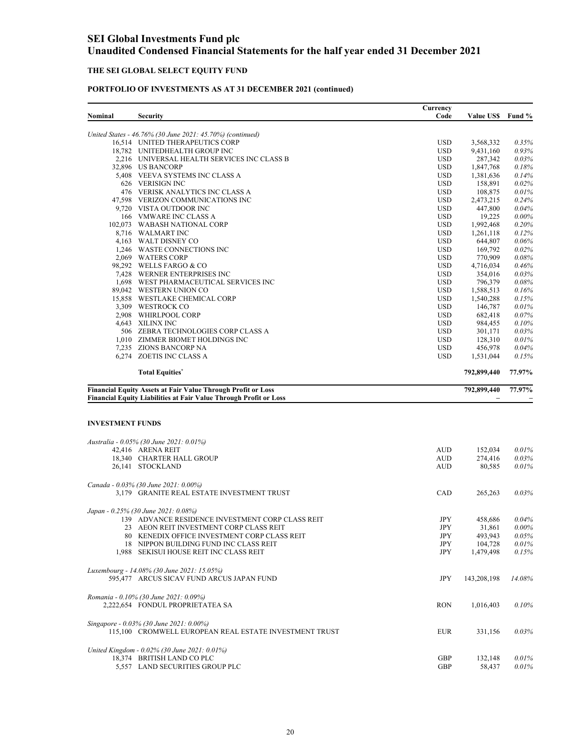## **THE SEI GLOBAL SELECT EQUITY FUND**

| United States - 46.76% (30 June 2021: 45.70%) (continued)<br><b>USD</b><br>16,514 UNITED THERAPEUTICS CORP<br>3,568,332<br>0.35%<br>18,782 UNITEDHEALTH GROUP INC<br><b>USD</b><br>0.93%<br>9,431,160<br><b>USD</b><br>2,216 UNIVERSAL HEALTH SERVICES INC CLASS B<br>287,342<br>0.03%<br>32,896 US BANCORP<br><b>USD</b><br>1,847,768<br>0.18%<br>5,408 VEEVA SYSTEMS INC CLASS A<br><b>USD</b><br>1,381,636<br>0.14%<br>626 VERISIGN INC<br><b>USD</b><br>158,891<br>0.02%<br>476 VERISK ANALYTICS INC CLASS A<br><b>USD</b><br>108,875<br>0.01%<br>47,598 VERIZON COMMUNICATIONS INC<br><b>USD</b><br>2,473,215<br>0.24%<br>9,720 VISTA OUTDOOR INC<br><b>USD</b><br>447,800<br>$0.04\%$<br>0.00%<br>166 VMWARE INC CLASS A<br><b>USD</b><br>19,225<br><b>USD</b><br>1,992,468<br>0.20%<br>102,073 WABASH NATIONAL CORP<br>8,716 WALMART INC<br><b>USD</b><br>1,261,118<br>0.12%<br><b>USD</b><br>4,163 WALT DISNEY CO<br>644,807<br>$0.06\%$<br><b>USD</b><br>0.02%<br>1,246 WASTE CONNECTIONS INC<br>169,792<br>2,069 WATERS CORP<br><b>USD</b><br>0.08%<br>770,909<br>98,292 WELLS FARGO & CO<br><b>USD</b><br>4,716,034<br>0.46%<br>7,428 WERNER ENTERPRISES INC<br><b>USD</b><br>$0.03\%$<br>354,016<br>1,698 WEST PHARMACEUTICAL SERVICES INC<br><b>USD</b><br>796,379<br>0.08%<br>89,042 WESTERN UNION CO<br><b>USD</b><br>1,588,513<br>0.16%<br>15,858 WESTLAKE CHEMICAL CORP<br><b>USD</b><br>1,540,288<br>0.15%<br>3,309 WESTROCK CO<br><b>USD</b><br>146,787<br>0.01%<br>2,908 WHIRLPOOL CORP<br><b>USD</b><br>682,418<br>$0.07\%$<br>4,643 XILINX INC<br><b>USD</b><br>0.10%<br>984,455<br>506 ZEBRA TECHNOLOGIES CORP CLASS A<br><b>USD</b><br>0.03%<br>301,171<br><b>USD</b><br>1,010 ZIMMER BIOMET HOLDINGS INC<br>128,310<br>0.01%<br>7,235 ZIONS BANCORP NA<br><b>USD</b><br>456,978<br>0.04%<br>6,274 ZOETIS INC CLASS A<br><b>USD</b><br>0.15%<br>1,531,044<br>77.97%<br><b>Total Equities<sup>*</sup></b><br>792,899,440<br><b>Financial Equity Assets at Fair Value Through Profit or Loss</b><br>792,899,440<br>77.97%<br><b>Financial Equity Liabilities at Fair Value Through Profit or Loss</b><br><b>INVESTMENT FUNDS</b><br>Australia - 0.05% (30 June 2021: 0.01%)<br>42,416 ARENA REIT<br><b>AUD</b><br>0.01%<br>152,034<br>0.03%<br>18,340 CHARTER HALL GROUP<br><b>AUD</b><br>274,416<br><b>AUD</b><br>0.01%<br>26,141 STOCKLAND<br>80,585<br>Canada - 0.03% (30 June 2021: 0.00%)<br>3,179 GRANITE REAL ESTATE INVESTMENT TRUST<br>CAD<br>265,263<br>Japan - 0.25% (30 June 2021: 0.08%)<br>139 ADVANCE RESIDENCE INVESTMENT CORP CLASS REIT<br>JPY<br>0.04%<br>458,686<br><b>JPY</b><br>23 AEON REIT INVESTMENT CORP CLASS REIT<br>31,861<br>$0.00\%$<br>80 KENEDIX OFFICE INVESTMENT CORP CLASS REIT<br>JPY<br>493,943<br>0.05%<br>JPY<br>18 NIPPON BUILDING FUND INC CLASS REIT<br>104,728<br>0.01%<br>JPY<br>1,479,498<br>1.988 SEKISUI HOUSE REIT INC CLASS REIT<br>0.15%<br>Luxembourg - 14.08% (30 June 2021: 15.05%)<br>595,477 ARCUS SICAV FUND ARCUS JAPAN FUND<br>JPY<br>143,208,198<br>Romania - 0.10% (30 June 2021: 0.09%)<br>2,222,654 FONDUL PROPRIETATEA SA<br><b>RON</b><br>1,016,403<br>Singapore - 0.03% (30 June 2021: 0.00%)<br>115,100 CROMWELL EUROPEAN REAL ESTATE INVESTMENT TRUST<br><b>EUR</b><br>331,156<br>0.03%<br>United Kingdom - 0.02% (30 June 2021: 0.01%)<br>18,374 BRITISH LAND CO PLC<br>0.01%<br>GBP<br>132,148<br>5,557 LAND SECURITIES GROUP PLC<br><b>GBP</b><br>58,437 | Nominal | <b>Security</b> | Currency<br>Code | <b>Value US\$</b> | Fund % |
|-------------------------------------------------------------------------------------------------------------------------------------------------------------------------------------------------------------------------------------------------------------------------------------------------------------------------------------------------------------------------------------------------------------------------------------------------------------------------------------------------------------------------------------------------------------------------------------------------------------------------------------------------------------------------------------------------------------------------------------------------------------------------------------------------------------------------------------------------------------------------------------------------------------------------------------------------------------------------------------------------------------------------------------------------------------------------------------------------------------------------------------------------------------------------------------------------------------------------------------------------------------------------------------------------------------------------------------------------------------------------------------------------------------------------------------------------------------------------------------------------------------------------------------------------------------------------------------------------------------------------------------------------------------------------------------------------------------------------------------------------------------------------------------------------------------------------------------------------------------------------------------------------------------------------------------------------------------------------------------------------------------------------------------------------------------------------------------------------------------------------------------------------------------------------------------------------------------------------------------------------------------------------------------------------------------------------------------------------------------------------------------------------------------------------------------------------------------------------------------------------------------------------------------------------------------------------------------------------------------------------------------------------------------------------------------------------------------------------------------------------------------------------------------------------------------------------------------------------------------------------------------------------------------------------------------------------------------------------------------------------------------------------------------------------------------------------------------------------------------------------------------------------------------------------------------------------------------------------------------------------------------------------------------------------------------------------------------------------------------------------------------------------------------------------------------------------------|---------|-----------------|------------------|-------------------|--------|
|                                                                                                                                                                                                                                                                                                                                                                                                                                                                                                                                                                                                                                                                                                                                                                                                                                                                                                                                                                                                                                                                                                                                                                                                                                                                                                                                                                                                                                                                                                                                                                                                                                                                                                                                                                                                                                                                                                                                                                                                                                                                                                                                                                                                                                                                                                                                                                                                                                                                                                                                                                                                                                                                                                                                                                                                                                                                                                                                                                                                                                                                                                                                                                                                                                                                                                                                                                                                                                                       |         |                 |                  |                   |        |
|                                                                                                                                                                                                                                                                                                                                                                                                                                                                                                                                                                                                                                                                                                                                                                                                                                                                                                                                                                                                                                                                                                                                                                                                                                                                                                                                                                                                                                                                                                                                                                                                                                                                                                                                                                                                                                                                                                                                                                                                                                                                                                                                                                                                                                                                                                                                                                                                                                                                                                                                                                                                                                                                                                                                                                                                                                                                                                                                                                                                                                                                                                                                                                                                                                                                                                                                                                                                                                                       |         |                 |                  |                   |        |
|                                                                                                                                                                                                                                                                                                                                                                                                                                                                                                                                                                                                                                                                                                                                                                                                                                                                                                                                                                                                                                                                                                                                                                                                                                                                                                                                                                                                                                                                                                                                                                                                                                                                                                                                                                                                                                                                                                                                                                                                                                                                                                                                                                                                                                                                                                                                                                                                                                                                                                                                                                                                                                                                                                                                                                                                                                                                                                                                                                                                                                                                                                                                                                                                                                                                                                                                                                                                                                                       |         |                 |                  |                   |        |
|                                                                                                                                                                                                                                                                                                                                                                                                                                                                                                                                                                                                                                                                                                                                                                                                                                                                                                                                                                                                                                                                                                                                                                                                                                                                                                                                                                                                                                                                                                                                                                                                                                                                                                                                                                                                                                                                                                                                                                                                                                                                                                                                                                                                                                                                                                                                                                                                                                                                                                                                                                                                                                                                                                                                                                                                                                                                                                                                                                                                                                                                                                                                                                                                                                                                                                                                                                                                                                                       |         |                 |                  |                   |        |
|                                                                                                                                                                                                                                                                                                                                                                                                                                                                                                                                                                                                                                                                                                                                                                                                                                                                                                                                                                                                                                                                                                                                                                                                                                                                                                                                                                                                                                                                                                                                                                                                                                                                                                                                                                                                                                                                                                                                                                                                                                                                                                                                                                                                                                                                                                                                                                                                                                                                                                                                                                                                                                                                                                                                                                                                                                                                                                                                                                                                                                                                                                                                                                                                                                                                                                                                                                                                                                                       |         |                 |                  |                   |        |
|                                                                                                                                                                                                                                                                                                                                                                                                                                                                                                                                                                                                                                                                                                                                                                                                                                                                                                                                                                                                                                                                                                                                                                                                                                                                                                                                                                                                                                                                                                                                                                                                                                                                                                                                                                                                                                                                                                                                                                                                                                                                                                                                                                                                                                                                                                                                                                                                                                                                                                                                                                                                                                                                                                                                                                                                                                                                                                                                                                                                                                                                                                                                                                                                                                                                                                                                                                                                                                                       |         |                 |                  |                   |        |
|                                                                                                                                                                                                                                                                                                                                                                                                                                                                                                                                                                                                                                                                                                                                                                                                                                                                                                                                                                                                                                                                                                                                                                                                                                                                                                                                                                                                                                                                                                                                                                                                                                                                                                                                                                                                                                                                                                                                                                                                                                                                                                                                                                                                                                                                                                                                                                                                                                                                                                                                                                                                                                                                                                                                                                                                                                                                                                                                                                                                                                                                                                                                                                                                                                                                                                                                                                                                                                                       |         |                 |                  |                   |        |
|                                                                                                                                                                                                                                                                                                                                                                                                                                                                                                                                                                                                                                                                                                                                                                                                                                                                                                                                                                                                                                                                                                                                                                                                                                                                                                                                                                                                                                                                                                                                                                                                                                                                                                                                                                                                                                                                                                                                                                                                                                                                                                                                                                                                                                                                                                                                                                                                                                                                                                                                                                                                                                                                                                                                                                                                                                                                                                                                                                                                                                                                                                                                                                                                                                                                                                                                                                                                                                                       |         |                 |                  |                   |        |
|                                                                                                                                                                                                                                                                                                                                                                                                                                                                                                                                                                                                                                                                                                                                                                                                                                                                                                                                                                                                                                                                                                                                                                                                                                                                                                                                                                                                                                                                                                                                                                                                                                                                                                                                                                                                                                                                                                                                                                                                                                                                                                                                                                                                                                                                                                                                                                                                                                                                                                                                                                                                                                                                                                                                                                                                                                                                                                                                                                                                                                                                                                                                                                                                                                                                                                                                                                                                                                                       |         |                 |                  |                   |        |
|                                                                                                                                                                                                                                                                                                                                                                                                                                                                                                                                                                                                                                                                                                                                                                                                                                                                                                                                                                                                                                                                                                                                                                                                                                                                                                                                                                                                                                                                                                                                                                                                                                                                                                                                                                                                                                                                                                                                                                                                                                                                                                                                                                                                                                                                                                                                                                                                                                                                                                                                                                                                                                                                                                                                                                                                                                                                                                                                                                                                                                                                                                                                                                                                                                                                                                                                                                                                                                                       |         |                 |                  |                   |        |
|                                                                                                                                                                                                                                                                                                                                                                                                                                                                                                                                                                                                                                                                                                                                                                                                                                                                                                                                                                                                                                                                                                                                                                                                                                                                                                                                                                                                                                                                                                                                                                                                                                                                                                                                                                                                                                                                                                                                                                                                                                                                                                                                                                                                                                                                                                                                                                                                                                                                                                                                                                                                                                                                                                                                                                                                                                                                                                                                                                                                                                                                                                                                                                                                                                                                                                                                                                                                                                                       |         |                 |                  |                   |        |
|                                                                                                                                                                                                                                                                                                                                                                                                                                                                                                                                                                                                                                                                                                                                                                                                                                                                                                                                                                                                                                                                                                                                                                                                                                                                                                                                                                                                                                                                                                                                                                                                                                                                                                                                                                                                                                                                                                                                                                                                                                                                                                                                                                                                                                                                                                                                                                                                                                                                                                                                                                                                                                                                                                                                                                                                                                                                                                                                                                                                                                                                                                                                                                                                                                                                                                                                                                                                                                                       |         |                 |                  |                   |        |
|                                                                                                                                                                                                                                                                                                                                                                                                                                                                                                                                                                                                                                                                                                                                                                                                                                                                                                                                                                                                                                                                                                                                                                                                                                                                                                                                                                                                                                                                                                                                                                                                                                                                                                                                                                                                                                                                                                                                                                                                                                                                                                                                                                                                                                                                                                                                                                                                                                                                                                                                                                                                                                                                                                                                                                                                                                                                                                                                                                                                                                                                                                                                                                                                                                                                                                                                                                                                                                                       |         |                 |                  |                   |        |
|                                                                                                                                                                                                                                                                                                                                                                                                                                                                                                                                                                                                                                                                                                                                                                                                                                                                                                                                                                                                                                                                                                                                                                                                                                                                                                                                                                                                                                                                                                                                                                                                                                                                                                                                                                                                                                                                                                                                                                                                                                                                                                                                                                                                                                                                                                                                                                                                                                                                                                                                                                                                                                                                                                                                                                                                                                                                                                                                                                                                                                                                                                                                                                                                                                                                                                                                                                                                                                                       |         |                 |                  |                   |        |
|                                                                                                                                                                                                                                                                                                                                                                                                                                                                                                                                                                                                                                                                                                                                                                                                                                                                                                                                                                                                                                                                                                                                                                                                                                                                                                                                                                                                                                                                                                                                                                                                                                                                                                                                                                                                                                                                                                                                                                                                                                                                                                                                                                                                                                                                                                                                                                                                                                                                                                                                                                                                                                                                                                                                                                                                                                                                                                                                                                                                                                                                                                                                                                                                                                                                                                                                                                                                                                                       |         |                 |                  |                   |        |
|                                                                                                                                                                                                                                                                                                                                                                                                                                                                                                                                                                                                                                                                                                                                                                                                                                                                                                                                                                                                                                                                                                                                                                                                                                                                                                                                                                                                                                                                                                                                                                                                                                                                                                                                                                                                                                                                                                                                                                                                                                                                                                                                                                                                                                                                                                                                                                                                                                                                                                                                                                                                                                                                                                                                                                                                                                                                                                                                                                                                                                                                                                                                                                                                                                                                                                                                                                                                                                                       |         |                 |                  |                   |        |
|                                                                                                                                                                                                                                                                                                                                                                                                                                                                                                                                                                                                                                                                                                                                                                                                                                                                                                                                                                                                                                                                                                                                                                                                                                                                                                                                                                                                                                                                                                                                                                                                                                                                                                                                                                                                                                                                                                                                                                                                                                                                                                                                                                                                                                                                                                                                                                                                                                                                                                                                                                                                                                                                                                                                                                                                                                                                                                                                                                                                                                                                                                                                                                                                                                                                                                                                                                                                                                                       |         |                 |                  |                   |        |
|                                                                                                                                                                                                                                                                                                                                                                                                                                                                                                                                                                                                                                                                                                                                                                                                                                                                                                                                                                                                                                                                                                                                                                                                                                                                                                                                                                                                                                                                                                                                                                                                                                                                                                                                                                                                                                                                                                                                                                                                                                                                                                                                                                                                                                                                                                                                                                                                                                                                                                                                                                                                                                                                                                                                                                                                                                                                                                                                                                                                                                                                                                                                                                                                                                                                                                                                                                                                                                                       |         |                 |                  |                   |        |
|                                                                                                                                                                                                                                                                                                                                                                                                                                                                                                                                                                                                                                                                                                                                                                                                                                                                                                                                                                                                                                                                                                                                                                                                                                                                                                                                                                                                                                                                                                                                                                                                                                                                                                                                                                                                                                                                                                                                                                                                                                                                                                                                                                                                                                                                                                                                                                                                                                                                                                                                                                                                                                                                                                                                                                                                                                                                                                                                                                                                                                                                                                                                                                                                                                                                                                                                                                                                                                                       |         |                 |                  |                   |        |
|                                                                                                                                                                                                                                                                                                                                                                                                                                                                                                                                                                                                                                                                                                                                                                                                                                                                                                                                                                                                                                                                                                                                                                                                                                                                                                                                                                                                                                                                                                                                                                                                                                                                                                                                                                                                                                                                                                                                                                                                                                                                                                                                                                                                                                                                                                                                                                                                                                                                                                                                                                                                                                                                                                                                                                                                                                                                                                                                                                                                                                                                                                                                                                                                                                                                                                                                                                                                                                                       |         |                 |                  |                   |        |
|                                                                                                                                                                                                                                                                                                                                                                                                                                                                                                                                                                                                                                                                                                                                                                                                                                                                                                                                                                                                                                                                                                                                                                                                                                                                                                                                                                                                                                                                                                                                                                                                                                                                                                                                                                                                                                                                                                                                                                                                                                                                                                                                                                                                                                                                                                                                                                                                                                                                                                                                                                                                                                                                                                                                                                                                                                                                                                                                                                                                                                                                                                                                                                                                                                                                                                                                                                                                                                                       |         |                 |                  |                   |        |
|                                                                                                                                                                                                                                                                                                                                                                                                                                                                                                                                                                                                                                                                                                                                                                                                                                                                                                                                                                                                                                                                                                                                                                                                                                                                                                                                                                                                                                                                                                                                                                                                                                                                                                                                                                                                                                                                                                                                                                                                                                                                                                                                                                                                                                                                                                                                                                                                                                                                                                                                                                                                                                                                                                                                                                                                                                                                                                                                                                                                                                                                                                                                                                                                                                                                                                                                                                                                                                                       |         |                 |                  |                   |        |
|                                                                                                                                                                                                                                                                                                                                                                                                                                                                                                                                                                                                                                                                                                                                                                                                                                                                                                                                                                                                                                                                                                                                                                                                                                                                                                                                                                                                                                                                                                                                                                                                                                                                                                                                                                                                                                                                                                                                                                                                                                                                                                                                                                                                                                                                                                                                                                                                                                                                                                                                                                                                                                                                                                                                                                                                                                                                                                                                                                                                                                                                                                                                                                                                                                                                                                                                                                                                                                                       |         |                 |                  |                   |        |
|                                                                                                                                                                                                                                                                                                                                                                                                                                                                                                                                                                                                                                                                                                                                                                                                                                                                                                                                                                                                                                                                                                                                                                                                                                                                                                                                                                                                                                                                                                                                                                                                                                                                                                                                                                                                                                                                                                                                                                                                                                                                                                                                                                                                                                                                                                                                                                                                                                                                                                                                                                                                                                                                                                                                                                                                                                                                                                                                                                                                                                                                                                                                                                                                                                                                                                                                                                                                                                                       |         |                 |                  |                   |        |
|                                                                                                                                                                                                                                                                                                                                                                                                                                                                                                                                                                                                                                                                                                                                                                                                                                                                                                                                                                                                                                                                                                                                                                                                                                                                                                                                                                                                                                                                                                                                                                                                                                                                                                                                                                                                                                                                                                                                                                                                                                                                                                                                                                                                                                                                                                                                                                                                                                                                                                                                                                                                                                                                                                                                                                                                                                                                                                                                                                                                                                                                                                                                                                                                                                                                                                                                                                                                                                                       |         |                 |                  |                   |        |
|                                                                                                                                                                                                                                                                                                                                                                                                                                                                                                                                                                                                                                                                                                                                                                                                                                                                                                                                                                                                                                                                                                                                                                                                                                                                                                                                                                                                                                                                                                                                                                                                                                                                                                                                                                                                                                                                                                                                                                                                                                                                                                                                                                                                                                                                                                                                                                                                                                                                                                                                                                                                                                                                                                                                                                                                                                                                                                                                                                                                                                                                                                                                                                                                                                                                                                                                                                                                                                                       |         |                 |                  |                   |        |
|                                                                                                                                                                                                                                                                                                                                                                                                                                                                                                                                                                                                                                                                                                                                                                                                                                                                                                                                                                                                                                                                                                                                                                                                                                                                                                                                                                                                                                                                                                                                                                                                                                                                                                                                                                                                                                                                                                                                                                                                                                                                                                                                                                                                                                                                                                                                                                                                                                                                                                                                                                                                                                                                                                                                                                                                                                                                                                                                                                                                                                                                                                                                                                                                                                                                                                                                                                                                                                                       |         |                 |                  |                   |        |
|                                                                                                                                                                                                                                                                                                                                                                                                                                                                                                                                                                                                                                                                                                                                                                                                                                                                                                                                                                                                                                                                                                                                                                                                                                                                                                                                                                                                                                                                                                                                                                                                                                                                                                                                                                                                                                                                                                                                                                                                                                                                                                                                                                                                                                                                                                                                                                                                                                                                                                                                                                                                                                                                                                                                                                                                                                                                                                                                                                                                                                                                                                                                                                                                                                                                                                                                                                                                                                                       |         |                 |                  |                   |        |
|                                                                                                                                                                                                                                                                                                                                                                                                                                                                                                                                                                                                                                                                                                                                                                                                                                                                                                                                                                                                                                                                                                                                                                                                                                                                                                                                                                                                                                                                                                                                                                                                                                                                                                                                                                                                                                                                                                                                                                                                                                                                                                                                                                                                                                                                                                                                                                                                                                                                                                                                                                                                                                                                                                                                                                                                                                                                                                                                                                                                                                                                                                                                                                                                                                                                                                                                                                                                                                                       |         |                 |                  |                   |        |
|                                                                                                                                                                                                                                                                                                                                                                                                                                                                                                                                                                                                                                                                                                                                                                                                                                                                                                                                                                                                                                                                                                                                                                                                                                                                                                                                                                                                                                                                                                                                                                                                                                                                                                                                                                                                                                                                                                                                                                                                                                                                                                                                                                                                                                                                                                                                                                                                                                                                                                                                                                                                                                                                                                                                                                                                                                                                                                                                                                                                                                                                                                                                                                                                                                                                                                                                                                                                                                                       |         |                 |                  |                   |        |
|                                                                                                                                                                                                                                                                                                                                                                                                                                                                                                                                                                                                                                                                                                                                                                                                                                                                                                                                                                                                                                                                                                                                                                                                                                                                                                                                                                                                                                                                                                                                                                                                                                                                                                                                                                                                                                                                                                                                                                                                                                                                                                                                                                                                                                                                                                                                                                                                                                                                                                                                                                                                                                                                                                                                                                                                                                                                                                                                                                                                                                                                                                                                                                                                                                                                                                                                                                                                                                                       |         |                 |                  |                   |        |
|                                                                                                                                                                                                                                                                                                                                                                                                                                                                                                                                                                                                                                                                                                                                                                                                                                                                                                                                                                                                                                                                                                                                                                                                                                                                                                                                                                                                                                                                                                                                                                                                                                                                                                                                                                                                                                                                                                                                                                                                                                                                                                                                                                                                                                                                                                                                                                                                                                                                                                                                                                                                                                                                                                                                                                                                                                                                                                                                                                                                                                                                                                                                                                                                                                                                                                                                                                                                                                                       |         |                 |                  |                   |        |
|                                                                                                                                                                                                                                                                                                                                                                                                                                                                                                                                                                                                                                                                                                                                                                                                                                                                                                                                                                                                                                                                                                                                                                                                                                                                                                                                                                                                                                                                                                                                                                                                                                                                                                                                                                                                                                                                                                                                                                                                                                                                                                                                                                                                                                                                                                                                                                                                                                                                                                                                                                                                                                                                                                                                                                                                                                                                                                                                                                                                                                                                                                                                                                                                                                                                                                                                                                                                                                                       |         |                 |                  |                   |        |
|                                                                                                                                                                                                                                                                                                                                                                                                                                                                                                                                                                                                                                                                                                                                                                                                                                                                                                                                                                                                                                                                                                                                                                                                                                                                                                                                                                                                                                                                                                                                                                                                                                                                                                                                                                                                                                                                                                                                                                                                                                                                                                                                                                                                                                                                                                                                                                                                                                                                                                                                                                                                                                                                                                                                                                                                                                                                                                                                                                                                                                                                                                                                                                                                                                                                                                                                                                                                                                                       |         |                 |                  |                   |        |
|                                                                                                                                                                                                                                                                                                                                                                                                                                                                                                                                                                                                                                                                                                                                                                                                                                                                                                                                                                                                                                                                                                                                                                                                                                                                                                                                                                                                                                                                                                                                                                                                                                                                                                                                                                                                                                                                                                                                                                                                                                                                                                                                                                                                                                                                                                                                                                                                                                                                                                                                                                                                                                                                                                                                                                                                                                                                                                                                                                                                                                                                                                                                                                                                                                                                                                                                                                                                                                                       |         |                 |                  |                   |        |
|                                                                                                                                                                                                                                                                                                                                                                                                                                                                                                                                                                                                                                                                                                                                                                                                                                                                                                                                                                                                                                                                                                                                                                                                                                                                                                                                                                                                                                                                                                                                                                                                                                                                                                                                                                                                                                                                                                                                                                                                                                                                                                                                                                                                                                                                                                                                                                                                                                                                                                                                                                                                                                                                                                                                                                                                                                                                                                                                                                                                                                                                                                                                                                                                                                                                                                                                                                                                                                                       |         |                 |                  |                   |        |
|                                                                                                                                                                                                                                                                                                                                                                                                                                                                                                                                                                                                                                                                                                                                                                                                                                                                                                                                                                                                                                                                                                                                                                                                                                                                                                                                                                                                                                                                                                                                                                                                                                                                                                                                                                                                                                                                                                                                                                                                                                                                                                                                                                                                                                                                                                                                                                                                                                                                                                                                                                                                                                                                                                                                                                                                                                                                                                                                                                                                                                                                                                                                                                                                                                                                                                                                                                                                                                                       |         |                 |                  |                   |        |
|                                                                                                                                                                                                                                                                                                                                                                                                                                                                                                                                                                                                                                                                                                                                                                                                                                                                                                                                                                                                                                                                                                                                                                                                                                                                                                                                                                                                                                                                                                                                                                                                                                                                                                                                                                                                                                                                                                                                                                                                                                                                                                                                                                                                                                                                                                                                                                                                                                                                                                                                                                                                                                                                                                                                                                                                                                                                                                                                                                                                                                                                                                                                                                                                                                                                                                                                                                                                                                                       |         |                 |                  |                   |        |
|                                                                                                                                                                                                                                                                                                                                                                                                                                                                                                                                                                                                                                                                                                                                                                                                                                                                                                                                                                                                                                                                                                                                                                                                                                                                                                                                                                                                                                                                                                                                                                                                                                                                                                                                                                                                                                                                                                                                                                                                                                                                                                                                                                                                                                                                                                                                                                                                                                                                                                                                                                                                                                                                                                                                                                                                                                                                                                                                                                                                                                                                                                                                                                                                                                                                                                                                                                                                                                                       |         |                 |                  |                   | 0.03%  |
|                                                                                                                                                                                                                                                                                                                                                                                                                                                                                                                                                                                                                                                                                                                                                                                                                                                                                                                                                                                                                                                                                                                                                                                                                                                                                                                                                                                                                                                                                                                                                                                                                                                                                                                                                                                                                                                                                                                                                                                                                                                                                                                                                                                                                                                                                                                                                                                                                                                                                                                                                                                                                                                                                                                                                                                                                                                                                                                                                                                                                                                                                                                                                                                                                                                                                                                                                                                                                                                       |         |                 |                  |                   |        |
|                                                                                                                                                                                                                                                                                                                                                                                                                                                                                                                                                                                                                                                                                                                                                                                                                                                                                                                                                                                                                                                                                                                                                                                                                                                                                                                                                                                                                                                                                                                                                                                                                                                                                                                                                                                                                                                                                                                                                                                                                                                                                                                                                                                                                                                                                                                                                                                                                                                                                                                                                                                                                                                                                                                                                                                                                                                                                                                                                                                                                                                                                                                                                                                                                                                                                                                                                                                                                                                       |         |                 |                  |                   |        |
|                                                                                                                                                                                                                                                                                                                                                                                                                                                                                                                                                                                                                                                                                                                                                                                                                                                                                                                                                                                                                                                                                                                                                                                                                                                                                                                                                                                                                                                                                                                                                                                                                                                                                                                                                                                                                                                                                                                                                                                                                                                                                                                                                                                                                                                                                                                                                                                                                                                                                                                                                                                                                                                                                                                                                                                                                                                                                                                                                                                                                                                                                                                                                                                                                                                                                                                                                                                                                                                       |         |                 |                  |                   |        |
|                                                                                                                                                                                                                                                                                                                                                                                                                                                                                                                                                                                                                                                                                                                                                                                                                                                                                                                                                                                                                                                                                                                                                                                                                                                                                                                                                                                                                                                                                                                                                                                                                                                                                                                                                                                                                                                                                                                                                                                                                                                                                                                                                                                                                                                                                                                                                                                                                                                                                                                                                                                                                                                                                                                                                                                                                                                                                                                                                                                                                                                                                                                                                                                                                                                                                                                                                                                                                                                       |         |                 |                  |                   |        |
|                                                                                                                                                                                                                                                                                                                                                                                                                                                                                                                                                                                                                                                                                                                                                                                                                                                                                                                                                                                                                                                                                                                                                                                                                                                                                                                                                                                                                                                                                                                                                                                                                                                                                                                                                                                                                                                                                                                                                                                                                                                                                                                                                                                                                                                                                                                                                                                                                                                                                                                                                                                                                                                                                                                                                                                                                                                                                                                                                                                                                                                                                                                                                                                                                                                                                                                                                                                                                                                       |         |                 |                  |                   |        |
|                                                                                                                                                                                                                                                                                                                                                                                                                                                                                                                                                                                                                                                                                                                                                                                                                                                                                                                                                                                                                                                                                                                                                                                                                                                                                                                                                                                                                                                                                                                                                                                                                                                                                                                                                                                                                                                                                                                                                                                                                                                                                                                                                                                                                                                                                                                                                                                                                                                                                                                                                                                                                                                                                                                                                                                                                                                                                                                                                                                                                                                                                                                                                                                                                                                                                                                                                                                                                                                       |         |                 |                  |                   |        |
|                                                                                                                                                                                                                                                                                                                                                                                                                                                                                                                                                                                                                                                                                                                                                                                                                                                                                                                                                                                                                                                                                                                                                                                                                                                                                                                                                                                                                                                                                                                                                                                                                                                                                                                                                                                                                                                                                                                                                                                                                                                                                                                                                                                                                                                                                                                                                                                                                                                                                                                                                                                                                                                                                                                                                                                                                                                                                                                                                                                                                                                                                                                                                                                                                                                                                                                                                                                                                                                       |         |                 |                  |                   |        |
|                                                                                                                                                                                                                                                                                                                                                                                                                                                                                                                                                                                                                                                                                                                                                                                                                                                                                                                                                                                                                                                                                                                                                                                                                                                                                                                                                                                                                                                                                                                                                                                                                                                                                                                                                                                                                                                                                                                                                                                                                                                                                                                                                                                                                                                                                                                                                                                                                                                                                                                                                                                                                                                                                                                                                                                                                                                                                                                                                                                                                                                                                                                                                                                                                                                                                                                                                                                                                                                       |         |                 |                  |                   |        |
|                                                                                                                                                                                                                                                                                                                                                                                                                                                                                                                                                                                                                                                                                                                                                                                                                                                                                                                                                                                                                                                                                                                                                                                                                                                                                                                                                                                                                                                                                                                                                                                                                                                                                                                                                                                                                                                                                                                                                                                                                                                                                                                                                                                                                                                                                                                                                                                                                                                                                                                                                                                                                                                                                                                                                                                                                                                                                                                                                                                                                                                                                                                                                                                                                                                                                                                                                                                                                                                       |         |                 |                  |                   | 14.08% |
|                                                                                                                                                                                                                                                                                                                                                                                                                                                                                                                                                                                                                                                                                                                                                                                                                                                                                                                                                                                                                                                                                                                                                                                                                                                                                                                                                                                                                                                                                                                                                                                                                                                                                                                                                                                                                                                                                                                                                                                                                                                                                                                                                                                                                                                                                                                                                                                                                                                                                                                                                                                                                                                                                                                                                                                                                                                                                                                                                                                                                                                                                                                                                                                                                                                                                                                                                                                                                                                       |         |                 |                  |                   |        |
|                                                                                                                                                                                                                                                                                                                                                                                                                                                                                                                                                                                                                                                                                                                                                                                                                                                                                                                                                                                                                                                                                                                                                                                                                                                                                                                                                                                                                                                                                                                                                                                                                                                                                                                                                                                                                                                                                                                                                                                                                                                                                                                                                                                                                                                                                                                                                                                                                                                                                                                                                                                                                                                                                                                                                                                                                                                                                                                                                                                                                                                                                                                                                                                                                                                                                                                                                                                                                                                       |         |                 |                  |                   |        |
|                                                                                                                                                                                                                                                                                                                                                                                                                                                                                                                                                                                                                                                                                                                                                                                                                                                                                                                                                                                                                                                                                                                                                                                                                                                                                                                                                                                                                                                                                                                                                                                                                                                                                                                                                                                                                                                                                                                                                                                                                                                                                                                                                                                                                                                                                                                                                                                                                                                                                                                                                                                                                                                                                                                                                                                                                                                                                                                                                                                                                                                                                                                                                                                                                                                                                                                                                                                                                                                       |         |                 |                  |                   | 0.10%  |
|                                                                                                                                                                                                                                                                                                                                                                                                                                                                                                                                                                                                                                                                                                                                                                                                                                                                                                                                                                                                                                                                                                                                                                                                                                                                                                                                                                                                                                                                                                                                                                                                                                                                                                                                                                                                                                                                                                                                                                                                                                                                                                                                                                                                                                                                                                                                                                                                                                                                                                                                                                                                                                                                                                                                                                                                                                                                                                                                                                                                                                                                                                                                                                                                                                                                                                                                                                                                                                                       |         |                 |                  |                   |        |
|                                                                                                                                                                                                                                                                                                                                                                                                                                                                                                                                                                                                                                                                                                                                                                                                                                                                                                                                                                                                                                                                                                                                                                                                                                                                                                                                                                                                                                                                                                                                                                                                                                                                                                                                                                                                                                                                                                                                                                                                                                                                                                                                                                                                                                                                                                                                                                                                                                                                                                                                                                                                                                                                                                                                                                                                                                                                                                                                                                                                                                                                                                                                                                                                                                                                                                                                                                                                                                                       |         |                 |                  |                   |        |
|                                                                                                                                                                                                                                                                                                                                                                                                                                                                                                                                                                                                                                                                                                                                                                                                                                                                                                                                                                                                                                                                                                                                                                                                                                                                                                                                                                                                                                                                                                                                                                                                                                                                                                                                                                                                                                                                                                                                                                                                                                                                                                                                                                                                                                                                                                                                                                                                                                                                                                                                                                                                                                                                                                                                                                                                                                                                                                                                                                                                                                                                                                                                                                                                                                                                                                                                                                                                                                                       |         |                 |                  |                   |        |
|                                                                                                                                                                                                                                                                                                                                                                                                                                                                                                                                                                                                                                                                                                                                                                                                                                                                                                                                                                                                                                                                                                                                                                                                                                                                                                                                                                                                                                                                                                                                                                                                                                                                                                                                                                                                                                                                                                                                                                                                                                                                                                                                                                                                                                                                                                                                                                                                                                                                                                                                                                                                                                                                                                                                                                                                                                                                                                                                                                                                                                                                                                                                                                                                                                                                                                                                                                                                                                                       |         |                 |                  |                   |        |
|                                                                                                                                                                                                                                                                                                                                                                                                                                                                                                                                                                                                                                                                                                                                                                                                                                                                                                                                                                                                                                                                                                                                                                                                                                                                                                                                                                                                                                                                                                                                                                                                                                                                                                                                                                                                                                                                                                                                                                                                                                                                                                                                                                                                                                                                                                                                                                                                                                                                                                                                                                                                                                                                                                                                                                                                                                                                                                                                                                                                                                                                                                                                                                                                                                                                                                                                                                                                                                                       |         |                 |                  |                   |        |
|                                                                                                                                                                                                                                                                                                                                                                                                                                                                                                                                                                                                                                                                                                                                                                                                                                                                                                                                                                                                                                                                                                                                                                                                                                                                                                                                                                                                                                                                                                                                                                                                                                                                                                                                                                                                                                                                                                                                                                                                                                                                                                                                                                                                                                                                                                                                                                                                                                                                                                                                                                                                                                                                                                                                                                                                                                                                                                                                                                                                                                                                                                                                                                                                                                                                                                                                                                                                                                                       |         |                 |                  |                   | 0.01%  |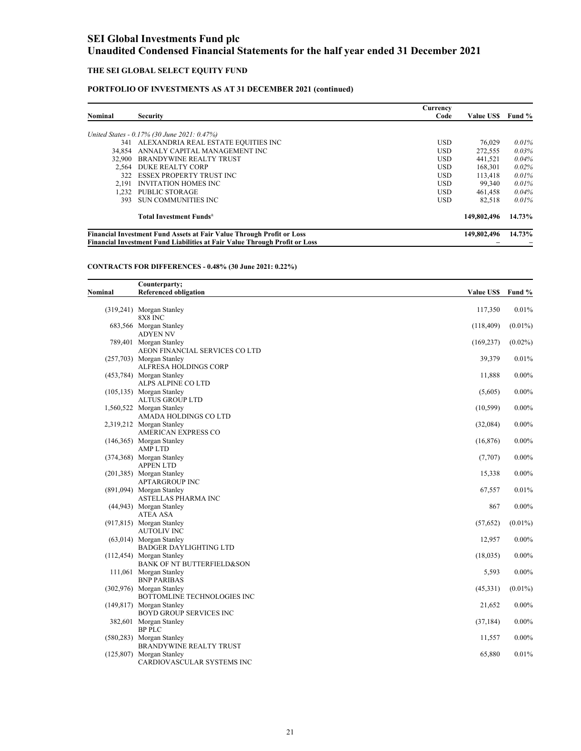### **THE SEI GLOBAL SELECT EQUITY FUND**

### **PORTFOLIO OF INVESTMENTS AS AT 31 DECEMBER 2021 (continued)**

|                                                                                                                                                                   |                                             | Currency   |                  |        |
|-------------------------------------------------------------------------------------------------------------------------------------------------------------------|---------------------------------------------|------------|------------------|--------|
| <b>Nominal</b>                                                                                                                                                    | <b>Security</b>                             | Code       | <b>Value USS</b> | Fund % |
|                                                                                                                                                                   | United States - 0.17% (30 June 2021: 0.47%) |            |                  |        |
| 341                                                                                                                                                               | ALEXANDRIA REAL ESTATE EQUITIES INC         | <b>USD</b> | 76.029           | 0.01%  |
| 34.854                                                                                                                                                            | ANNALY CAPITAL MANAGEMENT INC               | <b>USD</b> | 272,555          | 0.03%  |
| 32,900                                                                                                                                                            | <b>BRANDYWINE REALTY TRUST</b>              | <b>USD</b> | 441,521          | 0.04%  |
| 2.564                                                                                                                                                             | <b>DUKE REALTY CORP</b>                     | USD.       | 168.301          | 0.02%  |
| 322                                                                                                                                                               | <b>ESSEX PROPERTY TRUST INC</b>             | <b>USD</b> | 113,418          | 0.01%  |
| 2.191                                                                                                                                                             | <b>INVITATION HOMES INC</b>                 | <b>USD</b> | 99.340           | 0.01%  |
| 1.232                                                                                                                                                             | <b>PUBLIC STORAGE</b>                       | <b>USD</b> | 461,458          | 0.04%  |
| 393                                                                                                                                                               | <b>SUN COMMUNITIES INC</b>                  | <b>USD</b> | 82.518           | 0.01%  |
|                                                                                                                                                                   | <b>Total Investment Funds</b> <sup>±</sup>  |            | 149,802,496      | 14.73% |
| <b>Financial Investment Fund Assets at Fair Value Through Profit or Loss</b><br><b>Financial Investment Fund Liabilities at Fair Value Through Profit or Loss</b> |                                             |            |                  | 14.73% |

### **CONTRACTS FOR DIFFERENCES - 0.48% (30 June 2021: 0.22%)**

|         | Counterparty;                                                |                   |            |
|---------|--------------------------------------------------------------|-------------------|------------|
| Nominal | <b>Referenced obligation</b>                                 | Value US\$ Fund % |            |
|         | (319,241) Morgan Stanley                                     | 117,350           | 0.01%      |
|         | 8X8 INC                                                      |                   |            |
|         | 683,566 Morgan Stanley                                       | (118, 409)        | $(0.01\%)$ |
|         | <b>ADYEN NV</b>                                              |                   |            |
|         | 789,401 Morgan Stanley<br>AEON FINANCIAL SERVICES CO LTD     | (169, 237)        | $(0.02\%)$ |
|         | (257,703) Morgan Stanley                                     | 39,379            | 0.01%      |
|         | ALFRESA HOLDINGS CORP                                        |                   |            |
|         | (453,784) Morgan Stanley                                     | 11,888            | $0.00\%$   |
|         | ALPS ALPINE CO LTD                                           |                   |            |
|         | $(105, 135)$ Morgan Stanley                                  | (5,605)           | $0.00\%$   |
|         | <b>ALTUS GROUP LTD</b>                                       |                   |            |
|         | 1,560,522 Morgan Stanley                                     | (10, 599)         | $0.00\%$   |
|         | AMADA HOLDINGS CO LTD                                        |                   |            |
|         | 2,319,212 Morgan Stanley                                     | (32,084)          | $0.00\%$   |
|         | <b>AMERICAN EXPRESS CO</b>                                   |                   |            |
|         | (146,365) Morgan Stanley                                     | (16, 876)         | $0.00\%$   |
|         | <b>AMPLTD</b>                                                |                   |            |
|         | (374,368) Morgan Stanley                                     | (7,707)           | $0.00\%$   |
|         | <b>APPEN LTD</b>                                             |                   |            |
|         | (201,385) Morgan Stanley                                     | 15,338            | $0.00\%$   |
|         | <b>APTARGROUP INC</b>                                        |                   |            |
|         | (891,094) Morgan Stanley                                     | 67,557            | 0.01%      |
|         | ASTELLAS PHARMA INC                                          |                   |            |
|         | (44,943) Morgan Stanley                                      | 867               | $0.00\%$   |
|         | <b>ATEA ASA</b>                                              |                   |            |
|         | (917,815) Morgan Stanley                                     | (57, 652)         | $(0.01\%)$ |
|         | <b>AUTOLIV INC</b>                                           |                   |            |
|         | $(63,014)$ Morgan Stanley                                    | 12,957            | $0.00\%$   |
|         | <b>BADGER DAYLIGHTING LTD</b><br>$(112, 454)$ Morgan Stanley | (18,035)          | $0.00\%$   |
|         | BANK OF NT BUTTERFIELD&SON                                   |                   |            |
|         | 111,061 Morgan Stanley                                       | 5,593             | $0.00\%$   |
|         | <b>BNP PARIBAS</b>                                           |                   |            |
|         | (302,976) Morgan Stanley                                     | (45,331)          | $(0.01\%)$ |
|         | BOTTOMLINE TECHNOLOGIES INC                                  |                   |            |
|         | (149,817) Morgan Stanley                                     | 21,652            | $0.00\%$   |
|         | BOYD GROUP SERVICES INC                                      |                   |            |
|         | 382,601 Morgan Stanley                                       | (37, 184)         | $0.00\%$   |
|         | <b>BP PLC</b>                                                |                   |            |
|         | (580,283) Morgan Stanley                                     | 11,557            | $0.00\%$   |
|         | <b>BRANDYWINE REALTY TRUST</b>                               |                   |            |
|         | (125,807) Morgan Stanley                                     | 65,880            | 0.01%      |
|         | CARDIOVASCULAR SYSTEMS INC                                   |                   |            |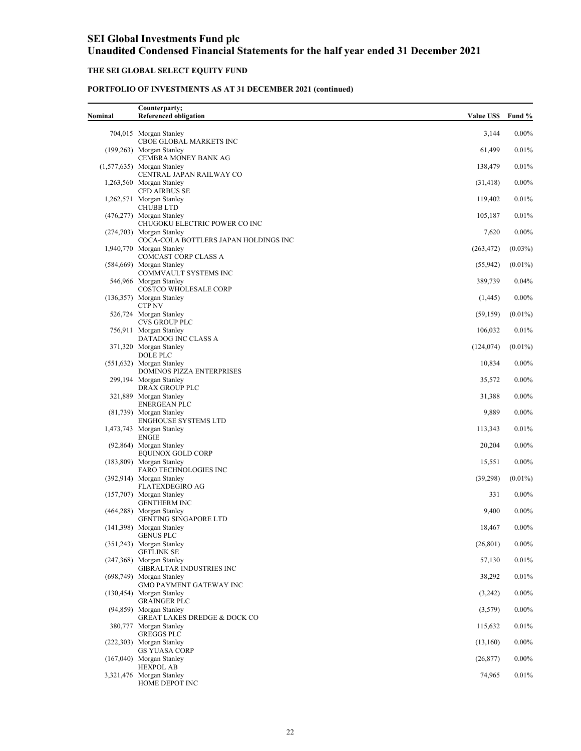## **THE SEI GLOBAL SELECT EQUITY FUND**

| Nominal | Counterparty;<br><b>Referenced obligation</b>                      | <b>Value US\$</b> | Fund %     |
|---------|--------------------------------------------------------------------|-------------------|------------|
|         | 704,015 Morgan Stanley                                             | 3,144             | $0.00\%$   |
|         | CBOE GLOBAL MARKETS INC<br>(199,263) Morgan Stanley                | 61,499            | 0.01%      |
|         | CEMBRA MONEY BANK AG                                               |                   |            |
|         | $(1,577,635)$ Morgan Stanley<br>CENTRAL JAPAN RAILWAY CO           | 138,479           | 0.01%      |
|         | 1,263,560 Morgan Stanley<br><b>CFD AIRBUS SE</b>                   | (31, 418)         | $0.00\%$   |
|         | 1,262,571 Morgan Stanley<br><b>CHUBB LTD</b>                       | 119,402           | 0.01%      |
|         | (476,277) Morgan Stanley                                           | 105,187           | 0.01%      |
|         | CHUGOKU ELECTRIC POWER CO INC<br>(274,703) Morgan Stanley          | 7,620             | $0.00\%$   |
|         | COCA-COLA BOTTLERS JAPAN HOLDINGS INC<br>1,940,770 Morgan Stanley  | (263, 472)        | $(0.03\%)$ |
|         | COMCAST CORP CLASS A<br>(584,669) Morgan Stanley                   | (55,942)          | $(0.01\%)$ |
|         | COMMVAULT SYSTEMS INC                                              |                   |            |
|         | 546,966 Morgan Stanley<br>COSTCO WHOLESALE CORP                    | 389,739           | 0.04%      |
|         | $(136,357)$ Morgan Stanley<br><b>CTP NV</b>                        | (1, 445)          | $0.00\%$   |
|         | 526,724 Morgan Stanley<br><b>CVS GROUP PLC</b>                     | (59, 159)         | $(0.01\%)$ |
|         | 756,911 Morgan Stanley                                             | 106,032           | 0.01%      |
|         | DATADOG INC CLASS A<br>371,320 Morgan Stanley                      | (124, 074)        | $(0.01\%)$ |
|         | <b>DOLE PLC</b><br>$(551, 632)$ Morgan Stanley                     | 10,834            | $0.00\%$   |
|         | <b>DOMINOS PIZZA ENTERPRISES</b><br>299,194 Morgan Stanley         |                   |            |
|         | DRAX GROUP PLC                                                     | 35,572            | $0.00\%$   |
|         | 321,889 Morgan Stanley<br><b>ENERGEAN PLC</b>                      | 31,388            | $0.00\%$   |
|         | (81,739) Morgan Stanley<br><b>ENGHOUSE SYSTEMS LTD</b>             | 9,889             | $0.00\%$   |
|         | 1,473,743 Morgan Stanley<br><b>ENGIE</b>                           | 113,343           | 0.01%      |
|         | (92,864) Morgan Stanley                                            | 20,204            | $0.00\%$   |
|         | <b>EQUINOX GOLD CORP</b><br>(183,809) Morgan Stanley               | 15,551            | $0.00\%$   |
|         | FARO TECHNOLOGIES INC<br>(392,914) Morgan Stanley                  | (39,298)          | $(0.01\%)$ |
|         | <b>FLATEXDEGIRO AG</b>                                             |                   |            |
|         | (157,707) Morgan Stanley<br><b>GENTHERM INC</b>                    | 331               | $0.00\%$   |
|         | (464,288) Morgan Stanley<br><b>GENTING SINGAPORE LTD</b>           | 9,400             | $0.00\%$   |
|         | (141,398) Morgan Stanley<br><b>GENUS PLC</b>                       | 18,467            | $0.00\%$   |
|         | (351,243) Morgan Stanley                                           | (26, 801)         | $0.00\%$   |
|         | <b>GETLINK SE</b><br>(247,368) Morgan Stanley                      | 57,130            | 0.01%      |
|         | <b>GIBRALTAR INDUSTRIES INC</b><br>(698,749) Morgan Stanley        | 38,292            | 0.01%      |
|         | <b>GMO PAYMENT GATEWAY INC</b><br>(130,454) Morgan Stanley         | (3,242)           | $0.00\%$   |
|         | <b>GRAINGER PLC</b>                                                |                   |            |
|         | (94,859) Morgan Stanley<br><b>GREAT LAKES DREDGE &amp; DOCK CO</b> | (3,579)           | $0.00\%$   |
|         | 380,777 Morgan Stanley<br><b>GREGGS PLC</b>                        | 115,632           | 0.01%      |
|         | (222,303) Morgan Stanley<br><b>GS YUASA CORP</b>                   | (13,160)          | $0.00\%$   |
|         | $(167,040)$ Morgan Stanley                                         | (26, 877)         | $0.00\%$   |
|         | <b>HEXPOL AB</b><br>3,321,476 Morgan Stanley<br>HOME DEPOT INC     | 74,965            | 0.01%      |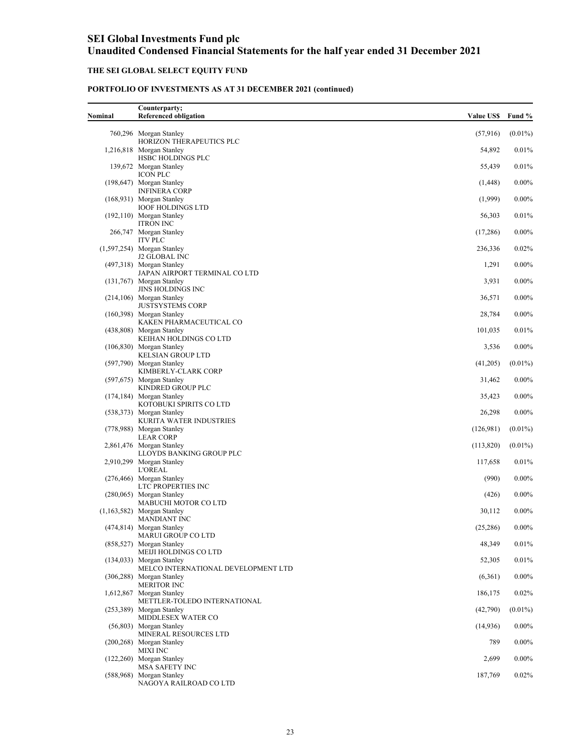### **THE SEI GLOBAL SELECT EQUITY FUND**

| Nominal | Counterparty;<br><b>Referenced obligation</b>                   | <b>Value USS</b> | Fund %     |
|---------|-----------------------------------------------------------------|------------------|------------|
|         | 760,296 Morgan Stanley                                          | (57,916)         | $(0.01\%)$ |
|         | HORIZON THERAPEUTICS PLC<br>1,216,818 Morgan Stanley            | 54,892           | 0.01%      |
|         | HSBC HOLDINGS PLC<br>139,672 Morgan Stanley                     | 55,439           | 0.01%      |
|         | <b>ICON PLC</b>                                                 |                  | $0.00\%$   |
|         | (198,647) Morgan Stanley<br><b>INFINERA CORP</b>                | (1, 448)         |            |
|         | (168,931) Morgan Stanley<br><b>IOOF HOLDINGS LTD</b>            | (1,999)          | $0.00\%$   |
|         | $(192, 110)$ Morgan Stanley<br><b>ITRON INC</b>                 | 56,303           | 0.01%      |
|         | 266,747 Morgan Stanley<br><b>ITV PLC</b>                        | (17,286)         | $0.00\%$   |
|         | $(1,597,254)$ Morgan Stanley<br><b>J2 GLOBAL INC</b>            | 236,336          | 0.02%      |
|         | (497,318) Morgan Stanley                                        | 1,291            | $0.00\%$   |
|         | JAPAN AIRPORT TERMINAL CO LTD<br>(131,767) Morgan Stanley       | 3,931            | $0.00\%$   |
|         | JINS HOLDINGS INC<br>$(214, 106)$ Morgan Stanley                | 36,571           | $0.00\%$   |
|         | <b>JUSTSYSTEMS CORP</b><br>(160,398) Morgan Stanley             | 28,784           | $0.00\%$   |
|         | KAKEN PHARMACEUTICAL CO<br>(438,808) Morgan Stanley             | 101,035          | 0.01%      |
|         | KEIHAN HOLDINGS CO LTD                                          |                  |            |
|         | (106,830) Morgan Stanley<br><b>KELSIAN GROUP LTD</b>            | 3,536            | $0.00\%$   |
|         | (597,790) Morgan Stanley<br>KIMBERLY-CLARK CORP                 | (41,205)         | $(0.01\%)$ |
|         | (597,675) Morgan Stanley<br>KINDRED GROUP PLC                   | 31,462           | $0.00\%$   |
|         | $(174, 184)$ Morgan Stanley<br>KOTOBUKI SPIRITS CO LTD          | 35,423           | $0.00\%$   |
|         | (538,373) Morgan Stanley                                        | 26,298           | $0.00\%$   |
|         | KURITA WATER INDUSTRIES<br>(778,988) Morgan Stanley             | (126,981)        | $(0.01\%)$ |
|         | <b>LEAR CORP</b><br>2,861,476 Morgan Stanley                    | (113,820)        | $(0.01\%)$ |
|         | LLOYDS BANKING GROUP PLC<br>2,910,299 Morgan Stanley            | 117,658          | 0.01%      |
|         | <b>L'OREAL</b><br>(276,466) Morgan Stanley                      | (990)            | $0.00\%$   |
|         | LTC PROPERTIES INC<br>(280,065) Morgan Stanley                  | (426)            | $0.00\%$   |
|         | MABUCHI MOTOR CO LTD                                            |                  |            |
|         | $(1,163,582)$ Morgan Stanley<br><b>MANDIANT INC</b>             | 30,112           | $0.00\%$   |
|         | (474,814) Morgan Stanley<br>MARUI GROUP CO LTD                  | (25, 286)        | $0.00\%$   |
|         | (858,527) Morgan Stanley<br>MEIJI HOLDINGS CO LTD               | 48,349           | 0.01%      |
|         | (134,033) Morgan Stanley<br>MELCO INTERNATIONAL DEVELOPMENT LTD | 52,305           | 0.01%      |
|         | (306,288) Morgan Stanley                                        | (6,361)          | $0.00\%$   |
|         | <b>MERITOR INC</b><br>1,612,867 Morgan Stanley                  | 186,175          | 0.02%      |
|         | METTLER-TOLEDO INTERNATIONAL<br>(253,389) Morgan Stanley        | (42,790)         | $(0.01\%)$ |
|         | MIDDLESEX WATER CO<br>(56,803) Morgan Stanley                   | (14,936)         | $0.00\%$   |
|         | MINERAL RESOURCES LTD<br>(200,268) Morgan Stanley               | 789              | $0.00\%$   |
|         | <b>MIXI INC</b><br>(122,260) Morgan Stanley                     | 2,699            |            |
|         | <b>MSA SAFETY INC</b>                                           |                  | $0.00\%$   |
|         | (588,968) Morgan Stanley<br>NAGOYA RAILROAD CO LTD              | 187,769          | 0.02%      |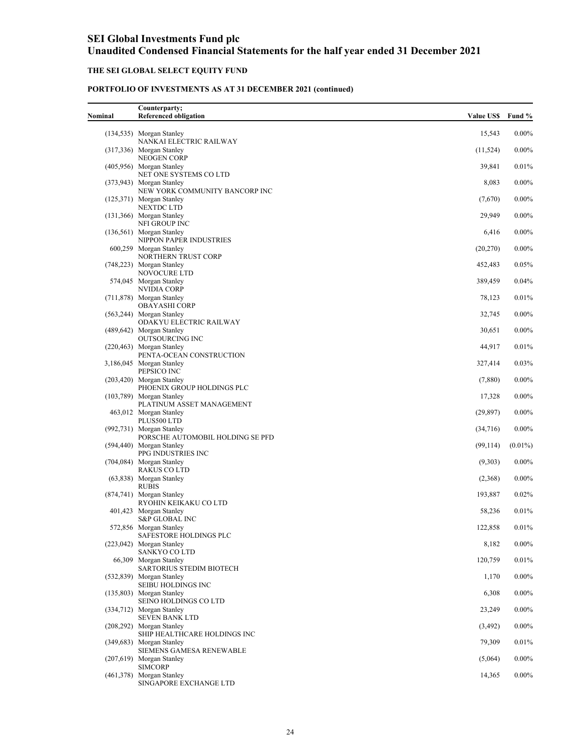### **THE SEI GLOBAL SELECT EQUITY FUND**

| Nominal | Counterparty;<br><b>Referenced obligation</b>                        | <b>Value US\$</b> | Fund %     |
|---------|----------------------------------------------------------------------|-------------------|------------|
|         | $(134, 535)$ Morgan Stanley                                          | 15,543            | $0.00\%$   |
|         | NANKAI ELECTRIC RAILWAY<br>$(317,336)$ Morgan Stanley                | (11, 524)         | $0.00\%$   |
|         | <b>NEOGEN CORP</b><br>(405,956) Morgan Stanley                       |                   | 0.01%      |
|         | NET ONE SYSTEMS CO LTD                                               | 39,841            |            |
|         | (373,943) Morgan Stanley<br>NEW YORK COMMUNITY BANCORP INC           | 8,083             | $0.00\%$   |
|         | (125,371) Morgan Stanley<br><b>NEXTDC LTD</b>                        | (7,670)           | $0.00\%$   |
|         | $(131,366)$ Morgan Stanley<br>NFI GROUP INC                          | 29.949            | $0.00\%$   |
|         | (136,561) Morgan Stanley<br>NIPPON PAPER INDUSTRIES                  | 6,416             | $0.00\%$   |
|         | 600,259 Morgan Stanley                                               | (20,270)          | $0.00\%$   |
|         | NORTHERN TRUST CORP<br>(748,223) Morgan Stanley                      | 452,483           | 0.05%      |
|         | NOVOCURE LTD<br>574,045 Morgan Stanley                               | 389,459           | 0.04%      |
|         | NVIDIA CORP<br>(711,878) Morgan Stanley                              | 78,123            | 0.01%      |
|         | <b>OBAYASHI CORP</b>                                                 |                   |            |
|         | (563,244) Morgan Stanley<br>ODAKYU ELECTRIC RAILWAY                  | 32,745            | $0.00\%$   |
|         | (489,642) Morgan Stanley<br>OUTSOURCING INC                          | 30,651            | $0.00\%$   |
|         | (220,463) Morgan Stanley<br>PENTA-OCEAN CONSTRUCTION                 | 44,917            | 0.01%      |
|         | 3,186,045 Morgan Stanley<br>PEPSICO INC                              | 327,414           | 0.03%      |
|         | (203,420) Morgan Stanley                                             | (7,880)           | $0.00\%$   |
|         | PHOENIX GROUP HOLDINGS PLC<br>$(103,789)$ Morgan Stanley             | 17,328            | $0.00\%$   |
|         | PLATINUM ASSET MANAGEMENT<br>463,012 Morgan Stanley                  | (29, 897)         | $0.00\%$   |
|         | PLUS500 LTD<br>(992,731) Morgan Stanley                              | (34,716)          | $0.00\%$   |
|         | PORSCHE AUTOMOBIL HOLDING SE PFD<br>(594,440) Morgan Stanley         | (99, 114)         | $(0.01\%)$ |
|         | PPG INDUSTRIES INC                                                   |                   |            |
|         | (704,084) Morgan Stanley<br><b>RAKUS CO LTD</b>                      | (9,303)           | $0.00\%$   |
|         | (63,838) Morgan Stanley<br><b>RUBIS</b>                              | (2,368)           | $0.00\%$   |
|         | (874,741) Morgan Stanley<br>RYOHIN KEIKAKU CO LTD                    | 193,887           | $0.02\%$   |
|         | 401,423 Morgan Stanley                                               | 58,236            | 0.01%      |
|         | S&P GLOBAL INC<br>572,856 Morgan Stanley                             | 122,858           | 0.01%      |
|         | SAFESTORE HOLDINGS PLC<br>(223,042) Morgan Stanley                   | 8,182             | $0.00\%$   |
|         | SANKYO CO LTD<br>66,309 Morgan Stanley                               | 120,759           | 0.01%      |
|         | SARTORIUS STEDIM BIOTECH<br>(532,839) Morgan Stanley                 | 1,170             | $0.00\%$   |
|         | SEIBU HOLDINGS INC                                                   |                   |            |
|         | $(135,803)$ Morgan Stanley<br>SEINO HOLDINGS CO LTD                  | 6,308             | $0.00\%$   |
|         | (334,712) Morgan Stanley<br><b>SEVEN BANK LTD</b>                    | 23,249            | $0.00\%$   |
|         | (208,292) Morgan Stanley<br>SHIP HEALTHCARE HOLDINGS INC             | (3, 492)          | $0.00\%$   |
|         | (349,683) Morgan Stanley<br>SIEMENS GAMESA RENEWABLE                 | 79,309            | 0.01%      |
|         | $(207, 619)$ Morgan Stanley                                          | (5,064)           | $0.00\%$   |
|         | <b>SIMCORP</b><br>(461,378) Morgan Stanley<br>SINGAPORE EXCHANGE LTD | 14,365            | $0.00\%$   |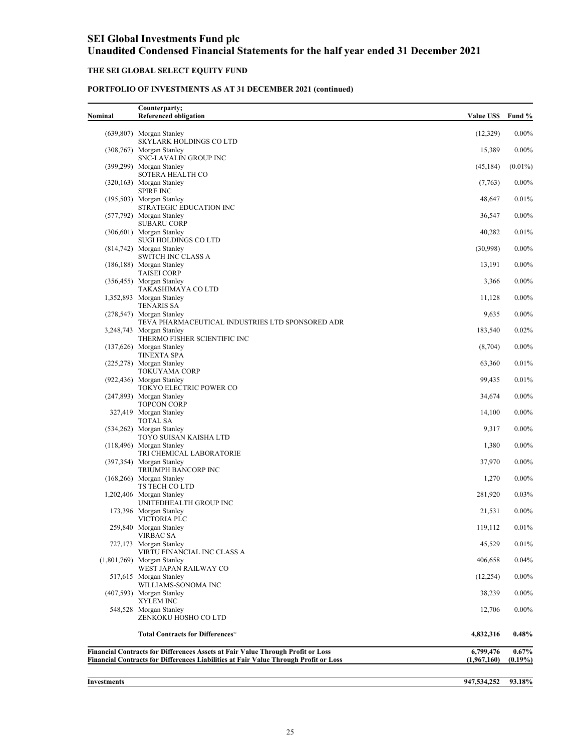### **THE SEI GLOBAL SELECT EQUITY FUND**

### **PORTFOLIO OF INVESTMENTS AS AT 31 DECEMBER 2021 (continued)**

| Nominal | Counterparty;<br><b>Referenced obligation</b>                                          | <b>Value US\$</b> | Fund %     |
|---------|----------------------------------------------------------------------------------------|-------------------|------------|
|         | (639,807) Morgan Stanley                                                               | (12,329)          | $0.00\%$   |
|         | SKYLARK HOLDINGS CO LTD<br>(308,767) Morgan Stanley                                    | 15,389            | $0.00\%$   |
|         | SNC-LAVALIN GROUP INC                                                                  |                   |            |
|         | (399,299) Morgan Stanley<br>SOTERA HEALTH CO                                           | (45, 184)         | $(0.01\%)$ |
|         | (320,163) Morgan Stanley<br><b>SPIRE INC</b>                                           | (7,763)           | $0.00\%$   |
|         | (195,503) Morgan Stanley<br>STRATEGIC EDUCATION INC                                    | 48,647            | 0.01%      |
|         | (577,792) Morgan Stanley                                                               | 36,547            | $0.00\%$   |
|         | <b>SUBARU CORP</b><br>(306,601) Morgan Stanley                                         | 40,282            | 0.01%      |
|         | SUGI HOLDINGS CO LTD<br>(814,742) Morgan Stanley                                       | (30,998)          | $0.00\%$   |
|         | <b>SWITCH INC CLASS A</b>                                                              |                   |            |
|         | (186,188) Morgan Stanley<br><b>TAISEI CORP</b>                                         | 13,191            | $0.00\%$   |
|         | (356,455) Morgan Stanley<br>TAKASHIMAYA CO LTD                                         | 3,366             | $0.00\%$   |
|         | 1,352,893 Morgan Stanley<br><b>TENARIS SA</b>                                          | 11,128            | $0.00\%$   |
|         | (278,547) Morgan Stanley                                                               | 9,635             | $0.00\%$   |
|         | TEVA PHARMACEUTICAL INDUSTRIES LTD SPONSORED ADR<br>3,248,743 Morgan Stanley           | 183,540           | 0.02%      |
|         | THERMO FISHER SCIENTIFIC INC<br>(137,626) Morgan Stanley                               | (8,704)           | $0.00\%$   |
|         | <b>TINEXTA SPA</b><br>(225,278) Morgan Stanley                                         | 63,360            | 0.01%      |
|         | TOKUYAMA CORP<br>(922,436) Morgan Stanley                                              | 99,435            | 0.01%      |
|         | TOKYO ELECTRIC POWER CO<br>(247,893) Morgan Stanley                                    | 34,674            | $0.00\%$   |
|         | <b>TOPCON CORP</b>                                                                     |                   |            |
|         | 327,419 Morgan Stanley<br><b>TOTAL SA</b>                                              | 14,100            | $0.00\%$   |
|         | (534,262) Morgan Stanley<br>TOYO SUISAN KAISHA LTD                                     | 9,317             | $0.00\%$   |
|         | (118,496) Morgan Stanley<br>TRI CHEMICAL LABORATORIE                                   | 1,380             | $0.00\%$   |
|         | (397,354) Morgan Stanley<br>TRIUMPH BANCORP INC                                        | 37,970            | $0.00\%$   |
|         | (168,266) Morgan Stanley                                                               | 1,270             | $0.00\%$   |
|         | TS TECH CO LTD<br>1,202,406 Morgan Stanley                                             | 281,920           | 0.03%      |
|         | UNITEDHEALTH GROUP INC<br>173,396 Morgan Stanley                                       | 21,531            | $0.00\%$   |
|         | VICTORIA PLC                                                                           |                   |            |
|         | 259,840 Morgan Stanley<br><b>VIRBAC SA</b>                                             | 119,112           | 0.01%      |
|         | 727,173 Morgan Stanley<br>VIRTU FINANCIAL INC CLASS A                                  | 45,529            | 0.01%      |
|         | $(1,801,769)$ Morgan Stanley<br>WEST JAPAN RAILWAY CO                                  | 406,658           | 0.04%      |
|         | 517,615 Morgan Stanley                                                                 | (12, 254)         | $0.00\%$   |
|         | WILLIAMS-SONOMA INC<br>(407,593) Morgan Stanley                                        | 38,239            | $0.00\%$   |
|         | XYLEM INC<br>548,528 Morgan Stanley                                                    | 12,706            | $0.00\%$   |
|         | ZENKOKU HOSHO CO LTD                                                                   |                   |            |
|         | Total Contracts for Differences <sup>®</sup>                                           | 4,832,316         | $0.48\%$   |
|         | <b>Financial Contracts for Differences Assets at Fair Value Through Profit or Loss</b> | 6,799,476         | $0.67\%$   |
|         | Financial Contracts for Differences Liabilities at Fair Value Through Profit or Loss   | (1,967,160)       | $(0.19\%)$ |

**Investments** 

**947,534,252 93.18%**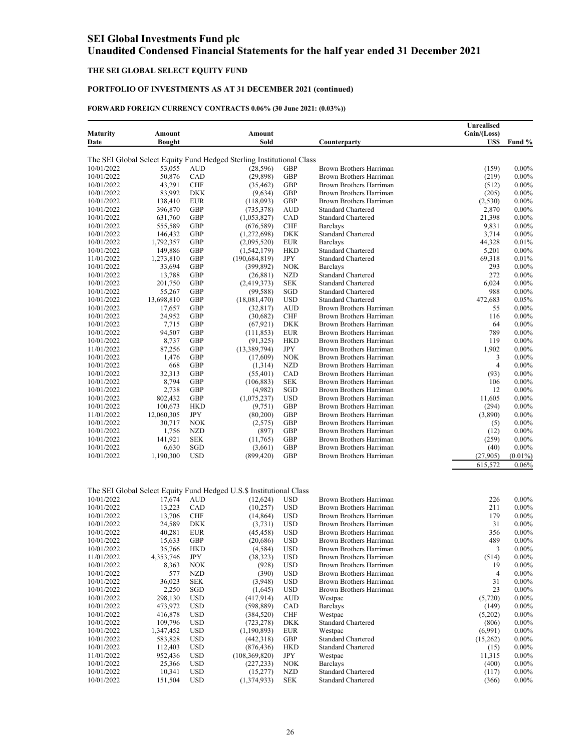### **THE SEI GLOBAL SELECT EQUITY FUND**

### **PORTFOLIO OF INVESTMENTS AS AT 31 DECEMBER 2021 (continued)**

### **FORWARD FOREIGN CURRENCY CONTRACTS 0.06% (30 June 2021: (0.03%))**

|                          |                      |                      |                                                                       |                          |                                                    | Unrealised           |                      |
|--------------------------|----------------------|----------------------|-----------------------------------------------------------------------|--------------------------|----------------------------------------------------|----------------------|----------------------|
| <b>Maturity</b>          | Amount               |                      | Amount                                                                |                          |                                                    | Gain/(Loss)          |                      |
| Date                     | <b>Bought</b>        |                      | Sold                                                                  |                          | Counterparty                                       | US\$                 | Fund %               |
|                          |                      |                      |                                                                       |                          |                                                    |                      |                      |
|                          |                      |                      | The SEI Global Select Equity Fund Hedged Sterling Institutional Class |                          |                                                    |                      |                      |
| 10/01/2022               | 53,055               | <b>AUD</b>           | (28, 596)                                                             | GBP                      | Brown Brothers Harriman                            | (159)                | $0.00\%$             |
| 10/01/2022               | 50,876               | CAD                  | (29, 898)                                                             | GBP                      | Brown Brothers Harriman                            | (219)                | $0.00\%$             |
| 10/01/2022               | 43,291               | <b>CHF</b>           | (35, 462)                                                             | GBP                      | Brown Brothers Harriman                            | (512)                | $0.00\%$             |
| 10/01/2022               | 83,992               | DKK                  | (9,634)                                                               | GBP                      | Brown Brothers Harriman                            | (205)                | $0.00\%$             |
| 10/01/2022               | 138,410              | <b>EUR</b>           | (118,093)                                                             | GBP                      | Brown Brothers Harriman                            | (2,530)              | $0.00\%$             |
| 10/01/2022               | 396,870              | GBP                  | (735, 378)                                                            | AUD                      | <b>Standard Chartered</b>                          | 2,870                | $0.00\%$             |
| 10/01/2022               | 631,760              | GBP                  | (1,053,827)                                                           | CAD                      | <b>Standard Chartered</b>                          | 21,398               | $0.00\%$             |
| 10/01/2022<br>10/01/2022 | 555,589              | GBP                  | (676, 589)                                                            | <b>CHF</b>               | <b>Barclays</b>                                    | 9,831                | $0.00\%$             |
|                          | 146,432              | GBP                  | (1,272,698)                                                           | DKK                      | <b>Standard Chartered</b>                          | 3,714<br>44,328      | $0.00\%$             |
| 10/01/2022<br>10/01/2022 | 1,792,357<br>149,886 | GBP<br>GBP           | (2,095,520)                                                           | <b>EUR</b><br><b>HKD</b> | <b>Barclays</b><br><b>Standard Chartered</b>       | 5,201                | 0.01%<br>$0.00\%$    |
| 11/01/2022               | 1,273,810            | GBP                  | (1, 542, 179)<br>(190, 684, 819)                                      | JPY                      | <b>Standard Chartered</b>                          | 69,318               | 0.01%                |
| 10/01/2022               | 33,694               | GBP                  | (399, 892)                                                            | <b>NOK</b>               | <b>Barclays</b>                                    | 293                  | $0.00\%$             |
| 10/01/2022               | 13,788               | GBP                  | (26, 881)                                                             | <b>NZD</b>               | <b>Standard Chartered</b>                          | 272                  | $0.00\%$             |
| 10/01/2022               | 201,750              | GBP                  | (2,419,373)                                                           | <b>SEK</b>               | <b>Standard Chartered</b>                          | 6,024                | $0.00\%$             |
| 10/01/2022               | 55,267               | GBP                  | (99, 588)                                                             | SGD                      | <b>Standard Chartered</b>                          | 988                  | $0.00\%$             |
| 10/01/2022               | 13,698,810           | GBP                  | (18,081,470)                                                          | <b>USD</b>               | <b>Standard Chartered</b>                          | 472,683              | 0.05%                |
| 10/01/2022               | 17,657               | GBP                  | (32, 817)                                                             | AUD                      | Brown Brothers Harriman                            | 55                   | $0.00\%$             |
| 10/01/2022               | 24,952               | GBP                  | (30,682)                                                              | CHF                      | Brown Brothers Harriman                            | 116                  | $0.00\%$             |
| 10/01/2022               | 7,715                | GBP                  | (67, 921)                                                             | <b>DKK</b>               | Brown Brothers Harriman                            | 64                   | $0.00\%$             |
| 10/01/2022               | 94,507               | GBP                  | (111, 853)                                                            | <b>EUR</b>               | Brown Brothers Harriman                            | 789                  | $0.00\%$             |
| 10/01/2022               | 8,737                | GBP                  | (91, 325)                                                             | HKD                      | Brown Brothers Harriman                            | 119                  | $0.00\%$             |
| 11/01/2022               | 87,256               | GBP                  | (13,389,794)                                                          | JPY                      | Brown Brothers Harriman                            | 1,902                | $0.00\%$             |
| 10/01/2022               | 1,476                | GBP                  | (17,609)                                                              | <b>NOK</b>               | Brown Brothers Harriman                            | 3                    | $0.00\%$             |
| 10/01/2022               | 668                  | <b>GBP</b>           | (1,314)                                                               | <b>NZD</b>               | Brown Brothers Harriman                            | $\overline{4}$       | $0.00\%$             |
| 10/01/2022               | 32,313               | <b>GBP</b>           | (55, 401)                                                             | CAD                      | Brown Brothers Harriman                            | (93)                 | $0.00\%$             |
| 10/01/2022               | 8,794                | <b>GBP</b>           | (106, 883)                                                            | <b>SEK</b>               | Brown Brothers Harriman                            | 106                  | $0.00\%$             |
| 10/01/2022               | 2,738                | GBP                  | (4,982)                                                               | SGD                      | Brown Brothers Harriman                            | 12                   | $0.00\%$             |
| 10/01/2022               | 802,432              | GBP                  | (1,075,237)                                                           | USD                      | Brown Brothers Harriman                            | 11,605               | $0.00\%$             |
| 10/01/2022               | 100,673              | <b>HKD</b>           | (9,751)                                                               | GBP                      | Brown Brothers Harriman                            | (294)                | $0.00\%$             |
| 11/01/2022               | 12,060,305           | JPY                  | (80, 200)                                                             | GBP                      | Brown Brothers Harriman                            | (3,890)              | $0.00\%$             |
| 10/01/2022               | 30,717               | <b>NOK</b>           | (2,575)                                                               | GBP                      | Brown Brothers Harriman                            | (5)                  | $0.00\%$             |
| 10/01/2022               | 1,756                | <b>NZD</b>           | (897)                                                                 | GBP                      | Brown Brothers Harriman                            | (12)                 | $0.00\%$             |
| 10/01/2022               | 141,921              | <b>SEK</b>           | (11, 765)                                                             | GBP                      | Brown Brothers Harriman                            | (259)                | $0.00\%$             |
| 10/01/2022               | 6,630                | SGD                  | (3,661)                                                               | GBP                      | Brown Brothers Harriman                            | (40)                 | $0.00\%$             |
| 10/01/2022               | 1,190,300            | <b>USD</b>           | (899, 420)                                                            | GBP                      | Brown Brothers Harriman                            | (27, 905)            | $(0.01\%)$           |
|                          |                      |                      |                                                                       |                          |                                                    | 615,572              | 0.06%                |
|                          |                      |                      |                                                                       |                          |                                                    |                      |                      |
|                          |                      |                      |                                                                       |                          |                                                    |                      |                      |
|                          |                      |                      | The SEI Global Select Equity Fund Hedged U.S.\$ Institutional Class   |                          |                                                    |                      |                      |
| 10/01/2022               | 17,674               | <b>AUD</b>           | (12, 624)                                                             | USD                      | Brown Brothers Harriman                            | 226                  | $0.00\%$             |
| 10/01/2022               | 13,223               | CAD                  | (10, 257)                                                             | <b>USD</b>               | Brown Brothers Harriman                            | 211                  | $0.00\%$             |
| 10/01/2022               | 13,706               | <b>CHF</b>           | (14, 864)                                                             | <b>USD</b>               | Brown Brothers Harriman                            | 179                  | $0.00\%$             |
| 10/01/2022               | 24,589               | DKK                  | (3,731)                                                               | <b>USD</b>               | Brown Brothers Harriman                            | 31                   | $0.00\%$             |
| 10/01/2022               | 40,281               | <b>EUR</b>           | (45, 458)                                                             | <b>USD</b>               | Brown Brothers Harriman                            | 356                  | $0.00\%$             |
| 10/01/2022               | 15,633               | <b>GBP</b>           | (20, 686)                                                             | <b>USD</b>               | Brown Brothers Harriman                            | 489                  | $0.00\%$             |
| 10/01/2022               | 35,766               | <b>HKD</b>           | (4, 584)                                                              | <b>USD</b>               | Brown Brothers Harriman                            | 3                    | $0.00\%$             |
| 11/01/2022               | 4,353,746            | JPY                  | (38, 323)                                                             | <b>USD</b>               | Brown Brothers Harriman                            | (514)                | $0.00\%$             |
| 10/01/2022               | 8,363                | <b>NOK</b>           | (928)                                                                 | USD                      | Brown Brothers Harriman<br>Brown Brothers Harriman | 19                   | $0.00\%$             |
| 10/01/2022               | 577                  | NZD<br><b>SEK</b>    | (390)                                                                 | USD<br><b>USD</b>        |                                                    | $\overline{4}$<br>31 | $0.00\%$<br>$0.00\%$ |
| 10/01/2022               | 36,023<br>2,250      | $\operatorname{SGD}$ | (3,948)                                                               | <b>USD</b>               | Brown Brothers Harriman<br>Brown Brothers Harriman | 23                   | $0.00\%$             |
| 10/01/2022<br>10/01/2022 | 298,130              | <b>USD</b>           | (1,645)<br>(417, 914)                                                 | <b>AUD</b>               | Westpac                                            | (5,720)              | $0.00\%$             |
| 10/01/2022               | 473,972              | <b>USD</b>           | (598, 889)                                                            | CAD                      | <b>Barclays</b>                                    | (149)                | $0.00\%$             |
| 10/01/2022               | 416,878              | <b>USD</b>           | (384, 520)                                                            | CHF                      | Westpac                                            | (5,202)              | $0.00\%$             |
| 10/01/2022               | 109,796              | <b>USD</b>           | (723, 278)                                                            | <b>DKK</b>               | <b>Standard Chartered</b>                          | (806)                | $0.00\%$             |
| 10/01/2022               | 1,347,452            | <b>USD</b>           | (1,190,893)                                                           | EUR                      | Westpac                                            | (6,991)              | $0.00\%$             |
| 10/01/2022               | 583,828              | <b>USD</b>           | (442,318)                                                             | GBP                      | <b>Standard Chartered</b>                          | (15,262)             | $0.00\%$             |
| 10/01/2022               | 112,403              | <b>USD</b>           | (876, 436)                                                            | HKD                      | <b>Standard Chartered</b>                          | (15)                 | $0.00\%$             |
| 11/01/2022               | 952,436              | <b>USD</b>           | (108, 369, 820)                                                       | JPY                      | Westpac                                            | 11,315               | $0.00\%$             |
| 10/01/2022               | 25,366               | <b>USD</b>           | (227, 233)                                                            | NOK                      | <b>Barclays</b>                                    | (400)                | $0.00\%$             |
| 10/01/2022               | 10,341               | <b>USD</b>           | (15, 277)                                                             | NZD                      | Standard Chartered                                 | (117)                | $0.00\%$             |
| 10/01/2022               | 151,504              | <b>USD</b>           | (1,374,933)                                                           | <b>SEK</b>               | <b>Standard Chartered</b>                          | (366)                | $0.00\%$             |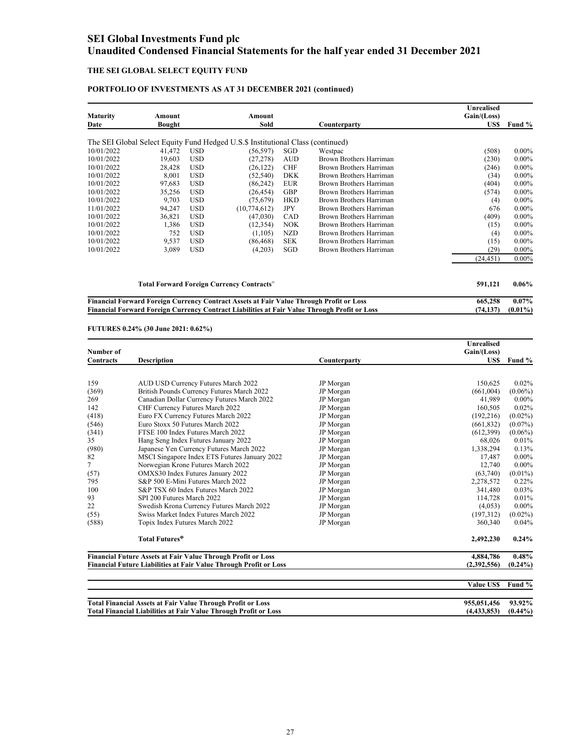### **THE SEI GLOBAL SELECT EQUITY FUND**

### **PORTFOLIO OF INVESTMENTS AS AT 31 DECEMBER 2021 (continued)**

| <b>Maturity</b><br>Date | Amount<br>Bought |            | Amount<br>Sold                                                                  |            | Counterparty            | <b>Unrealised</b><br>Gain/(Loss)<br>US\$ | Fund %   |
|-------------------------|------------------|------------|---------------------------------------------------------------------------------|------------|-------------------------|------------------------------------------|----------|
|                         |                  |            |                                                                                 |            |                         |                                          |          |
|                         |                  |            | The SEI Global Select Equity Fund Hedged U.S.\$ Institutional Class (continued) |            |                         |                                          |          |
| 10/01/2022              | 41,472           | <b>USD</b> | (56, 597)                                                                       | SGD        | Westpac                 | (508)                                    | 0.00%    |
| 10/01/2022              | 19,603           | <b>USD</b> | (27, 278)                                                                       | <b>AUD</b> | Brown Brothers Harriman | (230)                                    | $0.00\%$ |
| 10/01/2022              | 28,428           | <b>USD</b> | (26, 122)                                                                       | <b>CHF</b> | Brown Brothers Harriman | (246)                                    | $0.00\%$ |
| 10/01/2022              | 8,001            | <b>USD</b> | (52, 540)                                                                       | <b>DKK</b> | Brown Brothers Harriman | (34)                                     | $0.00\%$ |
| 10/01/2022              | 97,683           | <b>USD</b> | (86, 242)                                                                       | <b>EUR</b> | Brown Brothers Harriman | (404)                                    | 0.00%    |
| 10/01/2022              | 35,256           | <b>USD</b> | (26, 454)                                                                       | GBP        | Brown Brothers Harriman | (574)                                    | $0.00\%$ |
| 10/01/2022              | 9,703            | <b>USD</b> | (75,679)                                                                        | <b>HKD</b> | Brown Brothers Harriman | (4)                                      | $0.00\%$ |
| 11/01/2022              | 94,247           | <b>USD</b> | (10,774,612)                                                                    | <b>JPY</b> | Brown Brothers Harriman | 676                                      | $0.00\%$ |
| 10/01/2022              | 36,821           | <b>USD</b> | (47,030)                                                                        | CAD        | Brown Brothers Harriman | (409)                                    | $0.00\%$ |
| 10/01/2022              | 1,386            | <b>USD</b> | (12, 354)                                                                       | <b>NOK</b> | Brown Brothers Harriman | (15)                                     | $0.00\%$ |
| 10/01/2022              | 752              | <b>USD</b> | (1,105)                                                                         | <b>NZD</b> | Brown Brothers Harriman | (4)                                      | $0.00\%$ |
| 10/01/2022              | 9,537            | <b>USD</b> | (86, 468)                                                                       | <b>SEK</b> | Brown Brothers Harriman | (15)                                     | $0.00\%$ |
| 10/01/2022              | 3,089            | <b>USD</b> | (4,203)                                                                         | SGD        | Brown Brothers Harriman | (29)                                     | $0.00\%$ |
|                         |                  |            |                                                                                 |            |                         | (24, 451)                                | 0.00%    |
|                         |                  |            | Total Forward Foreign Currency Contracts <sup>®</sup>                           |            |                         | 591,121                                  | $0.06\%$ |

**Financial Forward Foreign Currency Contract Assets at Fair Value Through Profit or Loss 665,258 0.07% Financial Forward Foreign Currency Contract Liabilities at Fair Value Through Profit or Loss (74,137) (0.01%)**

**FUTURES 0.24% (30 June 2021: 0.62%)**

|           |                                                                          |              | Unrealised  |            |  |
|-----------|--------------------------------------------------------------------------|--------------|-------------|------------|--|
| Number of |                                                                          |              | Gain/(Loss) |            |  |
| Contracts | <b>Description</b>                                                       | Counterparty | US\$        | Fund %     |  |
|           |                                                                          |              |             |            |  |
| 159       | AUD USD Currency Futures March 2022                                      | JP Morgan    | 150.625     | 0.02%      |  |
| (369)     | British Pounds Currency Futures March 2022                               | JP Morgan    | (661,004)   | $(0.06\%)$ |  |
| 269       | Canadian Dollar Currency Futures March 2022                              | JP Morgan    | 41,989      | $0.00\%$   |  |
| 142       | CHF Currency Futures March 2022                                          | JP Morgan    | 160,505     | 0.02%      |  |
| (418)     | Euro FX Currency Futures March 2022                                      | JP Morgan    | (192, 216)  | $(0.02\%)$ |  |
| (546)     | Euro Stoxx 50 Futures March 2022                                         | JP Morgan    | (661, 832)  | $(0.07\%)$ |  |
| (341)     | FTSE 100 Index Futures March 2022                                        | JP Morgan    | (612,399)   | $(0.06\%)$ |  |
| 35        | Hang Seng Index Futures January 2022                                     | JP Morgan    | 68.026      | 0.01%      |  |
| (980)     | Japanese Yen Currency Futures March 2022                                 | JP Morgan    | 1,338,294   | 0.13%      |  |
| 82        | MSCI Singapore Index ETS Futures January 2022                            | JP Morgan    | 17,487      | $0.00\%$   |  |
| 7         | Norwegian Krone Futures March 2022                                       | JP Morgan    | 12.740      | $0.00\%$   |  |
| (57)      | OMXS30 Index Futures January 2022                                        | JP Morgan    | (63,740)    | $(0.01\%)$ |  |
| 795       | S&P 500 E-Mini Futures March 2022                                        | JP Morgan    | 2,278,572   | 0.22%      |  |
| 100       | S&P TSX 60 Index Futures March 2022                                      | JP Morgan    | 341.480     | 0.03%      |  |
| 93        | SPI 200 Futures March 2022                                               | JP Morgan    | 114.728     | 0.01%      |  |
| 22        | Swedish Krona Currency Futures March 2022                                | JP Morgan    | (4,053)     | $0.00\%$   |  |
| (55)      | Swiss Market Index Futures March 2022                                    | JP Morgan    | (197,312)   | $(0.02\%)$ |  |
| (588)     | Topix Index Futures March 2022                                           | JP Morgan    | 360,340     | 0.04%      |  |
|           | Total Futures <sup>®</sup>                                               |              | 2,492,230   | $0.24\%$   |  |
|           | Financial Future Assets at Fair Value Through Profit or Loss             |              |             |            |  |
|           | <b>Financial Future Liabilities at Fair Value Through Profit or Loss</b> |              | (2,392,556) | $(0.24\%)$ |  |

|                                                                         | <b>Value USS</b> | Fund %     |
|-------------------------------------------------------------------------|------------------|------------|
|                                                                         |                  |            |
| <b>Total Financial Assets at Fair Value Through Profit or Loss</b>      | 955.051.456      | 93.92%     |
| <b>Total Financial Liabilities at Fair Value Through Profit or Loss</b> | (4, 433, 853)    | $(0.44\%)$ |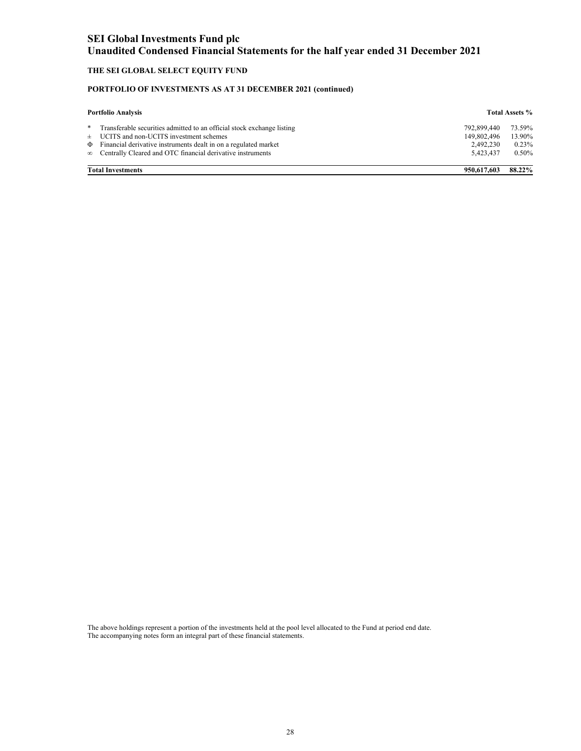### **THE SEI GLOBAL SELECT EQUITY FUND**

### **PORTFOLIO OF INVESTMENTS AS AT 31 DECEMBER 2021 (continued)**

| <b>Portfolio Analysis</b> |                                                                                                                                                                                                                                                                         |                                                      | <b>Total Assets %</b>              |
|---------------------------|-------------------------------------------------------------------------------------------------------------------------------------------------------------------------------------------------------------------------------------------------------------------------|------------------------------------------------------|------------------------------------|
| *                         | Transferable securities admitted to an official stock exchange listing<br>$\pm$ UCITS and non-UCITS investment schemes<br>$\Phi$ Financial derivative instruments dealt in on a regulated market<br>$\infty$ Centrally Cleared and OTC financial derivative instruments | 792.899.440<br>149.802.496<br>2,492,230<br>5.423.437 | 73.59%<br>13.90%<br>0.23%<br>0.50% |
|                           | <b>Total Investments</b>                                                                                                                                                                                                                                                | 950,617,603                                          | 88.22%                             |

The above holdings represent a portion of the investments held at the pool level allocated to the Fund at period end date. The accompanying notes form an integral part of these financial statements.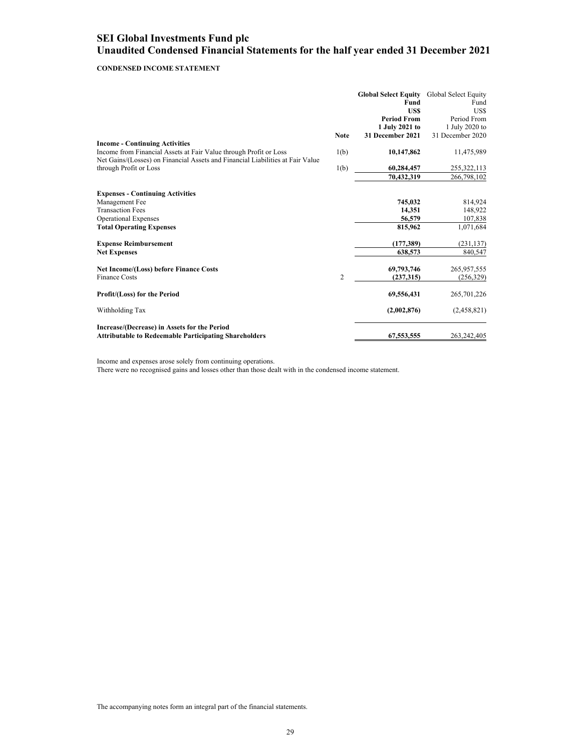### **CONDENSED INCOME STATEMENT**

|                                                                                                              |                | <b>Global Select Equity</b><br>Fund<br><b>USS</b><br><b>Period From</b><br>1 July 2021 to | Global Select Equity<br>Fund<br>US\$<br>Period From<br>1 July 2020 to |
|--------------------------------------------------------------------------------------------------------------|----------------|-------------------------------------------------------------------------------------------|-----------------------------------------------------------------------|
|                                                                                                              | <b>Note</b>    | 31 December 2021                                                                          | 31 December 2020                                                      |
| <b>Income - Continuing Activities</b>                                                                        |                |                                                                                           |                                                                       |
| Income from Financial Assets at Fair Value through Profit or Loss                                            | 1(b)           | 10,147,862                                                                                | 11,475,989                                                            |
| Net Gains/(Losses) on Financial Assets and Financial Liabilities at Fair Value<br>through Profit or Loss     | 1(b)           | 60,284,457                                                                                | 255,322,113                                                           |
|                                                                                                              |                | 70,432,319                                                                                | 266,798,102                                                           |
|                                                                                                              |                |                                                                                           |                                                                       |
| <b>Expenses - Continuing Activities</b>                                                                      |                | 745,032                                                                                   |                                                                       |
| Management Fee<br><b>Transaction Fees</b>                                                                    |                | 14,351                                                                                    | 814,924<br>148,922                                                    |
| <b>Operational Expenses</b>                                                                                  |                | 56,579                                                                                    | 107,838                                                               |
| <b>Total Operating Expenses</b>                                                                              |                | 815,962                                                                                   | 1,071,684                                                             |
| <b>Expense Reimbursement</b>                                                                                 |                | (177, 389)                                                                                | (231, 137)                                                            |
| <b>Net Expenses</b>                                                                                          |                | 638,573                                                                                   | 840,547                                                               |
| <b>Net Income/(Loss) before Finance Costs</b>                                                                |                | 69,793,746                                                                                | 265,957,555                                                           |
| <b>Finance Costs</b>                                                                                         | $\overline{2}$ | (237, 315)                                                                                | (256, 329)                                                            |
| Profit/(Loss) for the Period                                                                                 |                | 69,556,431                                                                                | 265,701,226                                                           |
| Withholding Tax                                                                                              |                | (2,002,876)                                                                               | (2,458,821)                                                           |
| Increase/(Decrease) in Assets for the Period<br><b>Attributable to Redeemable Participating Shareholders</b> |                | 67,553,555                                                                                | 263, 242, 405                                                         |

Income and expenses arose solely from continuing operations.

There were no recognised gains and losses other than those dealt with in the condensed income statement.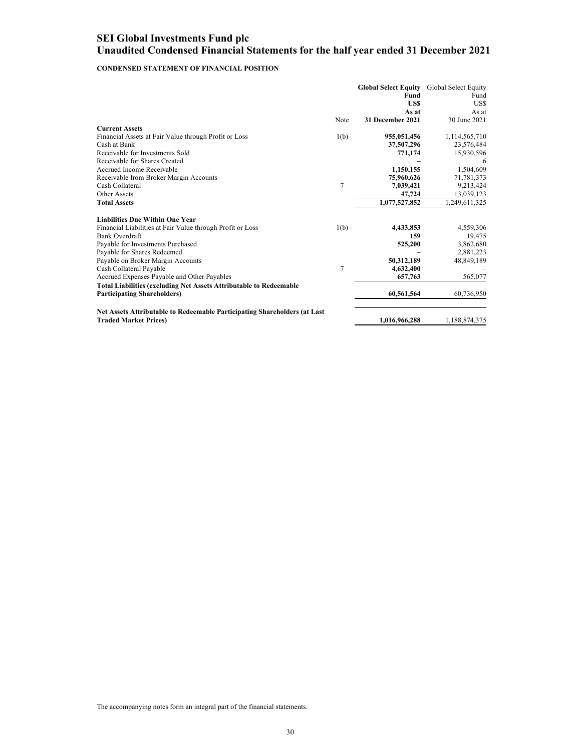### **CONDENSED STATEMENT OF FINANCIAL POSITION**

|                                                                                                           |      | <b>Global Select Equity</b><br>Fund<br>US\$<br>As at | Global Select Equity<br>Fund<br>US\$<br>As at |
|-----------------------------------------------------------------------------------------------------------|------|------------------------------------------------------|-----------------------------------------------|
|                                                                                                           | Note | 31 December 2021                                     | 30 June 2021                                  |
| <b>Current Assets</b>                                                                                     |      |                                                      |                                               |
| Financial Assets at Fair Value through Profit or Loss                                                     | 1(b) | 955,051,456                                          | 1,114,565,710                                 |
| Cash at Bank                                                                                              |      | 37,507,296                                           | 23,576,484                                    |
| Receivable for Investments Sold                                                                           |      | 771,174                                              | 15,930,596                                    |
| Receivable for Shares Created                                                                             |      |                                                      | 6                                             |
| Accrued Income Receivable                                                                                 |      | 1,150,155                                            | 1,504,609                                     |
| Receivable from Broker Margin Accounts                                                                    |      | 75,960,626                                           | 71,781,373                                    |
| Cash Collateral                                                                                           | 7    | 7,039,421                                            | 9,213,424                                     |
| Other Assets                                                                                              |      | 47,724                                               | 13,039,123                                    |
| <b>Total Assets</b>                                                                                       |      | 1,077,527,852                                        | 1,249,611,325                                 |
| <b>Liabilities Due Within One Year</b>                                                                    |      |                                                      |                                               |
| Financial Liabilities at Fair Value through Profit or Loss                                                | 1(b) | 4,433,853                                            | 4,559,306                                     |
| Bank Overdraft                                                                                            |      | 159                                                  | 19,475                                        |
| Payable for Investments Purchased                                                                         |      | 525,200                                              | 3,862,680                                     |
| Payable for Shares Redeemed                                                                               |      |                                                      | 2,881,223                                     |
| Payable on Broker Margin Accounts                                                                         |      | 50,312,189                                           | 48,849,189                                    |
| Cash Collateral Payable                                                                                   | 7    | 4,632,400                                            |                                               |
| Accrued Expenses Payable and Other Payables                                                               |      | 657,763                                              | 565,077                                       |
| <b>Total Liabilities (excluding Net Assets Attributable to Redeemable</b>                                 |      |                                                      |                                               |
| <b>Participating Shareholders)</b>                                                                        |      | 60,561,564                                           | 60,736,950                                    |
| Net Assets Attributable to Redeemable Participating Shareholders (at Last<br><b>Traded Market Prices)</b> |      | 1,016,966,288                                        | 1,188,874,375                                 |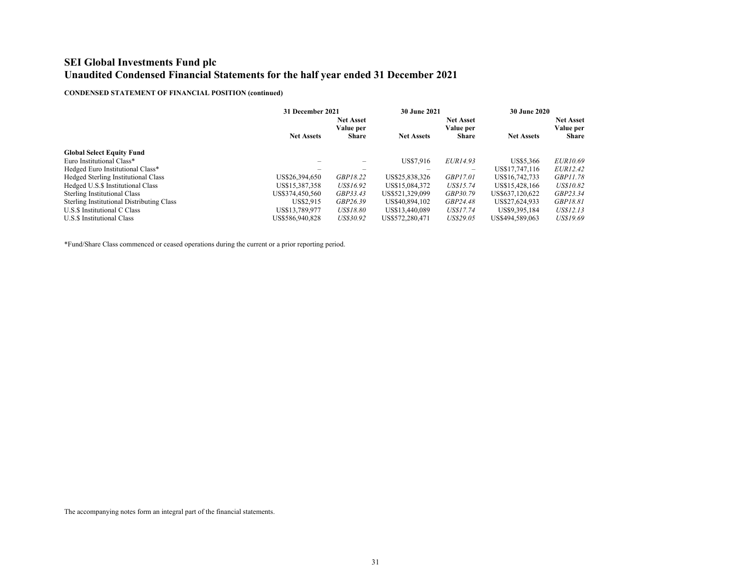### **CONDENSED STATEMENT OF FINANCIAL POSITION (continued)**

| 31 December 2021              |                   | <b>30 June 2021</b>           |                          | <b>30 June 2020</b> |                               |
|-------------------------------|-------------------|-------------------------------|--------------------------|---------------------|-------------------------------|
| <b>Net Asset</b><br>Value per |                   | <b>Net Asset</b><br>Value per |                          |                     | <b>Net Asset</b><br>Value per |
|                               |                   |                               |                          |                     | <b>Share</b>                  |
|                               |                   |                               |                          |                     |                               |
|                               |                   | US\$7,916                     | EUR14.93                 | US\$5.366           | EUR10.69                      |
|                               |                   |                               | $\overline{\phantom{0}}$ | US\$17.747.116      | <i>EUR12.42</i>               |
| US\$26,394,650                | GBP18.22          | US\$25,838,326                | <i>GBP17.01</i>          | US\$16.742.733      | <i>GBP11.78</i>               |
| US\$15.387.358                | US\$16.92         | US\$15,084.372                | US\$15.74                | US\$15.428.166      | US\$10.82                     |
| US\$374.450.560               | GBP33.43          | US\$521.329.099               | GBP30.79                 | US\$637.120.622     | GBP23.34                      |
| US\$2.915                     | GBP26.39          | US\$40.894.102                | GBP24.48                 | US\$27.624.933      | <i>GBP18.81</i>               |
| US\$13,789,977                | <b>US\$18.80</b>  | US\$13.440.089                | US\$17.74                | US\$9,395,184       | US\$12.13                     |
| US\$586,940,828               | US\$30.92         | US\$572,280,471               | US\$29.05                | US\$494.589.063     | US\$19.69                     |
|                               | <b>Net Assets</b> | <b>Share</b>                  | <b>Net Assets</b>        | <b>Share</b>        | <b>Net Assets</b>             |

\*Fund/Share Class commenced or ceased operations during the current or a prior reporting period.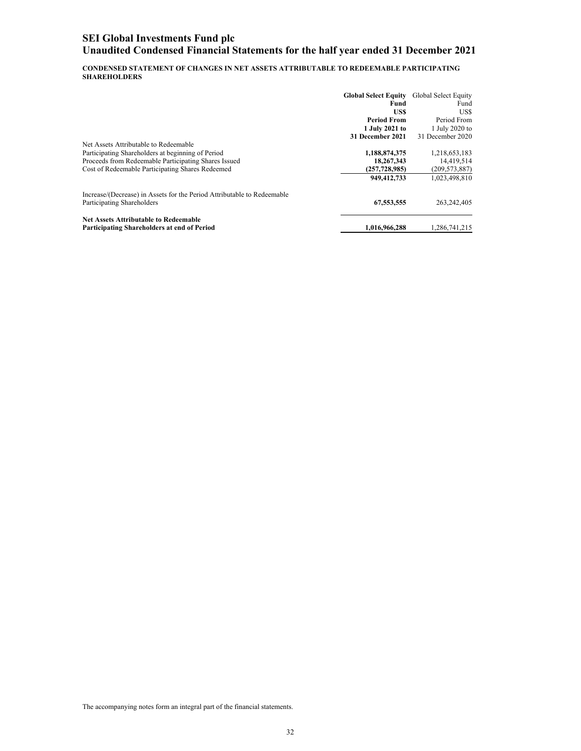**CONDENSED STATEMENT OF CHANGES IN NET ASSETS ATTRIBUTABLE TO REDEEMABLE PARTICIPATING SHAREHOLDERS** 

|                                                                         | <b>Global Select Equity</b> | Global Select Equity |
|-------------------------------------------------------------------------|-----------------------------|----------------------|
|                                                                         | Fund                        | Fund                 |
|                                                                         | US\$                        | US\$                 |
|                                                                         | <b>Period From</b>          | Period From          |
|                                                                         | 1 July 2021 to              | 1 July 2020 to       |
|                                                                         | 31 December 2021            | 31 December 2020     |
| Net Assets Attributable to Redeemable                                   |                             |                      |
| Participating Shareholders at beginning of Period                       | 1,188,874,375               | 1,218,653,183        |
| Proceeds from Redeemable Participating Shares Issued                    | 18,267,343                  | 14,419,514           |
| Cost of Redeemable Participating Shares Redeemed                        | (257, 728, 985)             | (209, 573, 887)      |
|                                                                         | 949,412,733                 | 1,023,498,810        |
| Increase/(Decrease) in Assets for the Period Attributable to Redeemable |                             |                      |
| Participating Shareholders                                              | 67,553,555                  | 263, 242, 405        |
| <b>Net Assets Attributable to Redeemable</b>                            |                             |                      |
| Participating Shareholders at end of Period                             | 1,016,966,288               | 1,286,741,215        |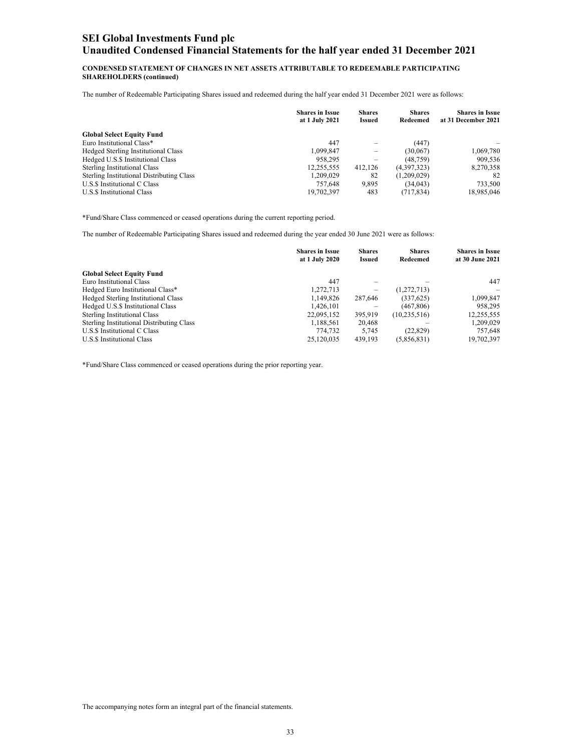#### **CONDENSED STATEMENT OF CHANGES IN NET ASSETS ATTRIBUTABLE TO REDEEMABLE PARTICIPATING SHAREHOLDERS (continued)**

The number of Redeemable Participating Shares issued and redeemed during the half year ended 31 December 2021 were as follows:

|                                                  | <b>Shares in Issue</b><br>at 1 July 2021 | <b>Shares</b><br><b>Issued</b> | <b>Shares</b><br>Redeemed | <b>Shares in Issue</b><br>at 31 December 2021 |
|--------------------------------------------------|------------------------------------------|--------------------------------|---------------------------|-----------------------------------------------|
| <b>Global Select Equity Fund</b>                 |                                          |                                |                           |                                               |
| Euro Institutional Class*                        | 447                                      | $\overline{\phantom{a}}$       | (447)                     |                                               |
| Hedged Sterling Institutional Class              | 1,099,847                                | -                              | (30,067)                  | 1,069,780                                     |
| Hedged U.S.\$ Institutional Class                | 958.295                                  |                                | (48, 759)                 | 909,536                                       |
| <b>Sterling Institutional Class</b>              | 12,255,555                               | 412.126                        | (4,397,323)               | 8,270,358                                     |
| <b>Sterling Institutional Distributing Class</b> | 1.209.029                                | 82                             | (1,209,029)               | 82                                            |
| U.S.\$ Institutional C Class                     | 757.648                                  | 9,895                          | (34, 043)                 | 733.500                                       |
| U.S.\$ Institutional Class                       | 19,702,397                               | 483                            | (717, 834)                | 18,985,046                                    |

\*Fund/Share Class commenced or ceased operations during the current reporting period.

The number of Redeemable Participating Shares issued and redeemed during the year ended 30 June 2021 were as follows:

|                                                  | <b>Shares in Issue</b><br>at 1 July 2020 | <b>Shares</b><br>Issued | <b>Shares</b><br>Redeemed | <b>Shares in Issue</b><br>at 30 June 2021 |
|--------------------------------------------------|------------------------------------------|-------------------------|---------------------------|-------------------------------------------|
| <b>Global Select Equity Fund</b>                 |                                          |                         |                           |                                           |
| Euro Institutional Class                         | 447                                      | $\qquad \qquad$         |                           | 447                                       |
| Hedged Euro Institutional Class*                 | 1,272,713                                | -                       | (1,272,713)               |                                           |
| Hedged Sterling Institutional Class              | 1,149,826                                | 287,646                 | (337,625)                 | 1,099,847                                 |
| Hedged U.S.\$ Institutional Class                | 1,426,101                                |                         | (467, 806)                | 958.295                                   |
| <b>Sterling Institutional Class</b>              | 22.095.152                               | 395,919                 | (10, 235, 516)            | 12,255,555                                |
| <b>Sterling Institutional Distributing Class</b> | 1,188,561                                | 20,468                  |                           | 1,209,029                                 |
| U.S.\$ Institutional C Class                     | 774,732                                  | 5.745                   | (22, 829)                 | 757.648                                   |
| U.S.\$ Institutional Class                       | 25,120,035                               | 439.193                 | (5,856,831)               | 19,702,397                                |

\*Fund/Share Class commenced or ceased operations during the prior reporting year.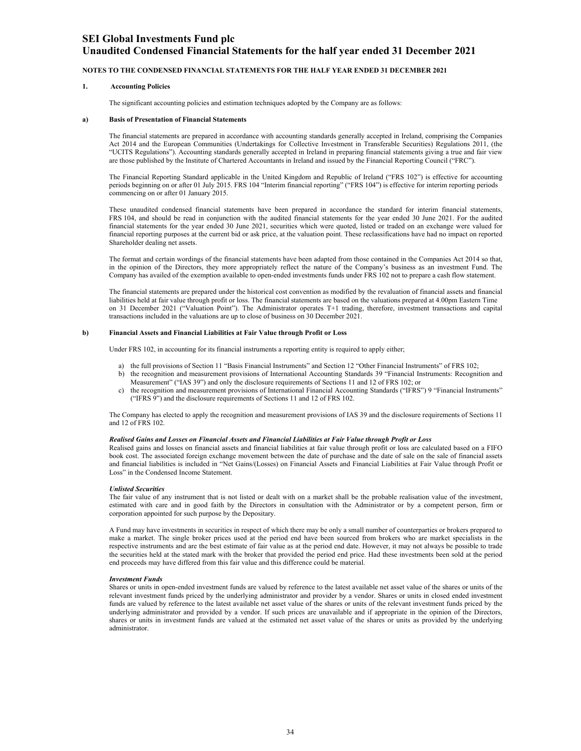### **Unaudited Condensed Financial Statements for the half year ended 31 December 2021**

#### **NOTES TO THE CONDENSED FINANCIAL STATEMENTS FOR THE HALF YEAR ENDED 31 DECEMBER 2021**

#### **1. Accounting Policies**

The significant accounting policies and estimation techniques adopted by the Company are as follows:

#### **a) Basis of Presentation of Financial Statements**

The financial statements are prepared in accordance with accounting standards generally accepted in Ireland, comprising the Companies Act 2014 and the European Communities (Undertakings for Collective Investment in Transferable Securities) Regulations 2011, (the "UCITS Regulations"). Accounting standards generally accepted in Ireland in preparing financial statements giving a true and fair view are those published by the Institute of Chartered Accountants in Ireland and issued by the Financial Reporting Council ("FRC").

The Financial Reporting Standard applicable in the United Kingdom and Republic of Ireland ("FRS 102") is effective for accounting periods beginning on or after 01 July 2015. FRS 104 "Interim financial reporting" ("FRS 104") is effective for interim reporting periods commencing on or after 01 January 2015.

These unaudited condensed financial statements have been prepared in accordance the standard for interim financial statements, FRS 104, and should be read in conjunction with the audited financial statements for the year ended 30 June 2021. For the audited financial statements for the year ended 30 June 2021, securities which were quoted, listed or traded on an exchange were valued for financial reporting purposes at the current bid or ask price, at the valuation point. These reclassifications have had no impact on reported Shareholder dealing net assets.

The format and certain wordings of the financial statements have been adapted from those contained in the Companies Act 2014 so that, in the opinion of the Directors, they more appropriately reflect the nature of the Company's business as an investment Fund. The Company has availed of the exemption available to open-ended investments funds under FRS 102 not to prepare a cash flow statement.

The financial statements are prepared under the historical cost convention as modified by the revaluation of financial assets and financial liabilities held at fair value through profit or loss. The financial statements are based on the valuations prepared at 4.00pm Eastern Time on 31 December 2021 ("Valuation Point"). The Administrator operates T+1 trading, therefore, investment transactions and capital transactions included in the valuations are up to close of business on 30 December 2021.

#### **b) Financial Assets and Financial Liabilities at Fair Value through Profit or Loss**

Under FRS 102, in accounting for its financial instruments a reporting entity is required to apply either;

- a) the full provisions of Section 11 "Basis Financial Instruments" and Section 12 "Other Financial Instruments" of FRS 102;
- b) the recognition and measurement provisions of International Accounting Standards 39 "Financial Instruments: Recognition and Measurement" ("IAS 39") and only the disclosure requirements of Sections 11 and 12 of FRS 102; or
- c) the recognition and measurement provisions of International Financial Accounting Standards ("IFRS") 9 "Financial Instruments" ("IFRS 9") and the disclosure requirements of Sections 11 and 12 of FRS 102.

The Company has elected to apply the recognition and measurement provisions of IAS 39 and the disclosure requirements of Sections 11 and 12 of FRS 102.

#### *Realised Gains and Losses on Financial Assets and Financial Liabilities at Fair Value through Profit or Loss*

Realised gains and losses on financial assets and financial liabilities at fair value through profit or loss are calculated based on a FIFO book cost. The associated foreign exchange movement between the date of purchase and the date of sale on the sale of financial assets and financial liabilities is included in "Net Gains/(Losses) on Financial Assets and Financial Liabilities at Fair Value through Profit or Loss" in the Condensed Income Statement.

#### *Unlisted Securities*

The fair value of any instrument that is not listed or dealt with on a market shall be the probable realisation value of the investment, estimated with care and in good faith by the Directors in consultation with the Administrator or by a competent person, firm or corporation appointed for such purpose by the Depositary.

A Fund may have investments in securities in respect of which there may be only a small number of counterparties or brokers prepared to make a market. The single broker prices used at the period end have been sourced from brokers who are market specialists in the respective instruments and are the best estimate of fair value as at the period end date. However, it may not always be possible to trade the securities held at the stated mark with the broker that provided the period end price. Had these investments been sold at the period end proceeds may have differed from this fair value and this difference could be material.

#### *Investment Funds*

Shares or units in open-ended investment funds are valued by reference to the latest available net asset value of the shares or units of the relevant investment funds priced by the underlying administrator and provider by a vendor. Shares or units in closed ended investment funds are valued by reference to the latest available net asset value of the shares or units of the relevant investment funds priced by the underlying administrator and provided by a vendor. If such prices are unavailable and if appropriate in the opinion of the Directors, shares or units in investment funds are valued at the estimated net asset value of the shares or units as provided by the underlying administrator.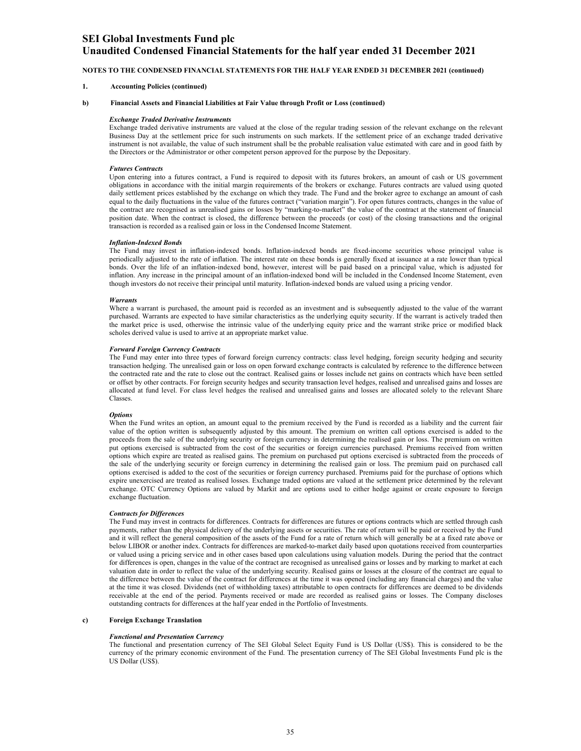### **Unaudited Condensed Financial Statements for the half year ended 31 December 2021**

#### **NOTES TO THE CONDENSED FINANCIAL STATEMENTS FOR THE HALF YEAR ENDED 31 DECEMBER 2021 (continued)**

#### **1. Accounting Policies (continued)**

#### **b) Financial Assets and Financial Liabilities at Fair Value through Profit or Loss (continued)**

#### *Exchange Traded Derivative Instruments*

Exchange traded derivative instruments are valued at the close of the regular trading session of the relevant exchange on the relevant Business Day at the settlement price for such instruments on such markets. If the settlement price of an exchange traded derivative instrument is not available, the value of such instrument shall be the probable realisation value estimated with care and in good faith by the Directors or the Administrator or other competent person approved for the purpose by the Depositary.

#### *Futures Contracts*

Upon entering into a futures contract, a Fund is required to deposit with its futures brokers, an amount of cash or US government obligations in accordance with the initial margin requirements of the brokers or exchange. Futures contracts are valued using quoted daily settlement prices established by the exchange on which they trade. The Fund and the broker agree to exchange an amount of cash equal to the daily fluctuations in the value of the futures contract ("variation margin"). For open futures contracts, changes in the value of the contract are recognised as unrealised gains or losses by "marking-to-market" the value of the contract at the statement of financial position date. When the contract is closed, the difference between the proceeds (or cost) of the closing transactions and the original transaction is recorded as a realised gain or loss in the Condensed Income Statement.

#### *Inflation-Indexed Bonds*

The Fund may invest in inflation-indexed bonds. Inflation-indexed bonds are fixed-income securities whose principal value is periodically adjusted to the rate of inflation. The interest rate on these bonds is generally fixed at issuance at a rate lower than typical bonds. Over the life of an inflation-indexed bond, however, interest will be paid based on a principal value, which is adjusted for inflation. Any increase in the principal amount of an inflation-indexed bond will be included in the Condensed Income Statement, even though investors do not receive their principal until maturity. Inflation-indexed bonds are valued using a pricing vendor.

#### *Warrants*

Where a warrant is purchased, the amount paid is recorded as an investment and is subsequently adjusted to the value of the warrant purchased. Warrants are expected to have similar characteristics as the underlying equity security. If the warrant is actively traded then the market price is used, otherwise the intrinsic value of the underlying equity price and the warrant strike price or modified black scholes derived value is used to arrive at an appropriate market value.

#### *Forward Foreign Currency Contracts*

The Fund may enter into three types of forward foreign currency contracts: class level hedging, foreign security hedging and security transaction hedging. The unrealised gain or loss on open forward exchange contracts is calculated by reference to the difference between the contracted rate and the rate to close out the contract. Realised gains or losses include net gains on contracts which have been settled or offset by other contracts. For foreign security hedges and security transaction level hedges, realised and unrealised gains and losses are allocated at fund level. For class level hedges the realised and unrealised gains and losses are allocated solely to the relevant Share Classes.

#### *Options*

When the Fund writes an option, an amount equal to the premium received by the Fund is recorded as a liability and the current fair value of the option written is subsequently adjusted by this amount. The premium on written call options exercised is added to the proceeds from the sale of the underlying security or foreign currency in determining the realised gain or loss. The premium on written put options exercised is subtracted from the cost of the securities or foreign currencies purchased. Premiums received from written options which expire are treated as realised gains. The premium on purchased put options exercised is subtracted from the proceeds of the sale of the underlying security or foreign currency in determining the realised gain or loss. The premium paid on purchased call options exercised is added to the cost of the securities or foreign currency purchased. Premiums paid for the purchase of options which expire unexercised are treated as realised losses. Exchange traded options are valued at the settlement price determined by the relevant exchange. OTC Currency Options are valued by Markit and are options used to either hedge against or create exposure to foreign exchange fluctuation.

#### *Contracts for Differences*

The Fund may invest in contracts for differences. Contracts for differences are futures or options contracts which are settled through cash payments, rather than the physical delivery of the underlying assets or securities. The rate of return will be paid or received by the Fund and it will reflect the general composition of the assets of the Fund for a rate of return which will generally be at a fixed rate above or below LIBOR or another index. Contracts for differences are marked-to-market daily based upon quotations received from counterparties or valued using a pricing service and in other cases based upon calculations using valuation models. During the period that the contract for differences is open, changes in the value of the contract are recognised as unrealised gains or losses and by marking to market at each valuation date in order to reflect the value of the underlying security. Realised gains or losses at the closure of the contract are equal to the difference between the value of the contract for differences at the time it was opened (including any financial charges) and the value at the time it was closed. Dividends (net of withholding taxes) attributable to open contracts for differences are deemed to be dividends receivable at the end of the period. Payments received or made are recorded as realised gains or losses. The Company discloses outstanding contracts for differences at the half year ended in the Portfolio of Investments.

#### **c) Foreign Exchange Translation**

#### *Functional and Presentation Currency*

The functional and presentation currency of The SEI Global Select Equity Fund is US Dollar (US\$). This is considered to be the currency of the primary economic environment of the Fund. The presentation currency of The SEI Global Investments Fund plc is the US Dollar (US\$).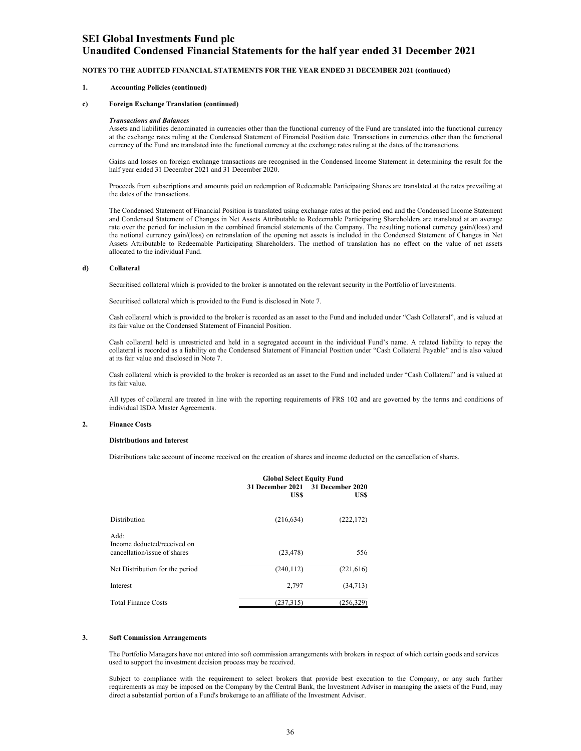### **Unaudited Condensed Financial Statements for the half year ended 31 December 2021**

#### **NOTES TO THE AUDITED FINANCIAL STATEMENTS FOR THE YEAR ENDED 31 DECEMBER 2021 (continued)**

#### **1. Accounting Policies (continued)**

#### **c) Foreign Exchange Translation (continued)**

#### *Transactions and Balances*

Assets and liabilities denominated in currencies other than the functional currency of the Fund are translated into the functional currency at the exchange rates ruling at the Condensed Statement of Financial Position date. Transactions in currencies other than the functional currency of the Fund are translated into the functional currency at the exchange rates ruling at the dates of the transactions.

Gains and losses on foreign exchange transactions are recognised in the Condensed Income Statement in determining the result for the half year ended 31 December 2021 and 31 December 2020.

Proceeds from subscriptions and amounts paid on redemption of Redeemable Participating Shares are translated at the rates prevailing at the dates of the transactions.

The Condensed Statement of Financial Position is translated using exchange rates at the period end and the Condensed Income Statement and Condensed Statement of Changes in Net Assets Attributable to Redeemable Participating Shareholders are translated at an average rate over the period for inclusion in the combined financial statements of the Company. The resulting notional currency gain/(loss) and the notional currency gain/(loss) on retranslation of the opening net assets is included in the Condensed Statement of Changes in Net Assets Attributable to Redeemable Participating Shareholders. The method of translation has no effect on the value of net assets allocated to the individual Fund.

#### **d) Collateral**

Securitised collateral which is provided to the broker is annotated on the relevant security in the Portfolio of Investments.

Securitised collateral which is provided to the Fund is disclosed in Note 7.

Cash collateral which is provided to the broker is recorded as an asset to the Fund and included under "Cash Collateral", and is valued at its fair value on the Condensed Statement of Financial Position.

Cash collateral held is unrestricted and held in a segregated account in the individual Fund's name. A related liability to repay the collateral is recorded as a liability on the Condensed Statement of Financial Position under "Cash Collateral Payable" and is also valued at its fair value and disclosed in Note 7.

Cash collateral which is provided to the broker is recorded as an asset to the Fund and included under "Cash Collateral" and is valued at its fair value.

All types of collateral are treated in line with the reporting requirements of FRS 102 and are governed by the terms and conditions of individual ISDA Master Agreements.

#### **2. Finance Costs**

#### **Distributions and Interest**

Distributions take account of income received on the creation of shares and income deducted on the cancellation of shares.

|                                                                     | <b>Global Select Equity Fund</b> |                          |
|---------------------------------------------------------------------|----------------------------------|--------------------------|
|                                                                     | 31 December 2021<br>US\$         | 31 December 2020<br>US\$ |
| Distribution                                                        | (216, 634)                       | (222, 172)               |
| Add:<br>Income deducted/received on<br>cancellation/issue of shares | (23, 478)                        | 556                      |
| Net Distribution for the period                                     | (240, 112)                       | (221, 616)               |
| Interest                                                            | 2,797                            | (34,713)                 |
| <b>Total Finance Costs</b>                                          | (237, 315)                       | (256,329)                |
|                                                                     |                                  |                          |

#### **3. Soft Commission Arrangements**

The Portfolio Managers have not entered into soft commission arrangements with brokers in respect of which certain goods and services used to support the investment decision process may be received.

Subject to compliance with the requirement to select brokers that provide best execution to the Company, or any such further requirements as may be imposed on the Company by the Central Bank, the Investment Adviser in managing the assets of the Fund, may direct a substantial portion of a Fund's brokerage to an affiliate of the Investment Adviser.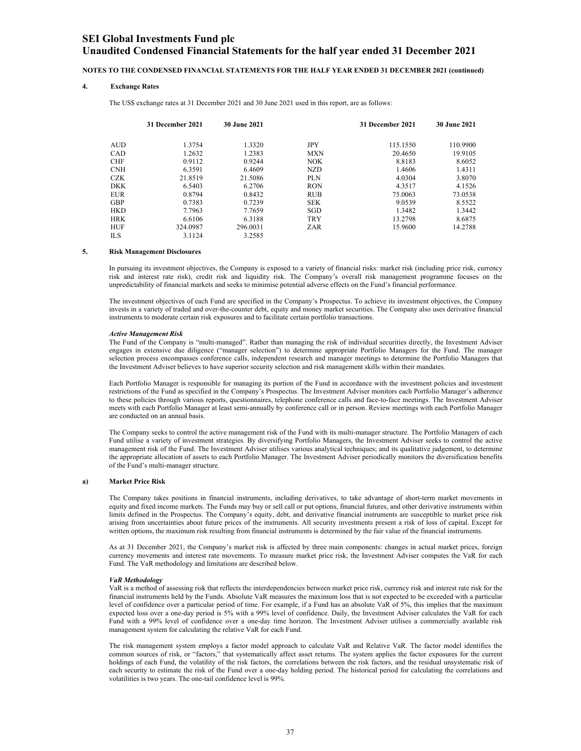### **Unaudited Condensed Financial Statements for the half year ended 31 December 2021**

#### **NOTES TO THE CONDENSED FINANCIAL STATEMENTS FOR THE HALF YEAR ENDED 31 DECEMBER 2021 (continued)**

#### **4. Exchange Rates**

The US\$ exchange rates at 31 December 2021 and 30 June 2021 used in this report, are as follows:

|            | 31 December 2021 | <b>30 June 2021</b> |            | 31 December 2021 | <b>30 June 2021</b> |
|------------|------------------|---------------------|------------|------------------|---------------------|
| <b>AUD</b> | 1.3754           | 1.3320              | JPY        | 115.1550         | 110.9900            |
| <b>CAD</b> | 1.2632           | 1.2383              | <b>MXN</b> | 20.4650          | 19.9105             |
| <b>CHF</b> | 0.9112           | 0.9244              | <b>NOK</b> | 8.8183           | 8.6052              |
| <b>CNH</b> | 6.3591           | 6.4609              | NZD        | 1.4606           | 1.4311              |
| <b>CZK</b> | 21.8519          | 21.5086             | <b>PLN</b> | 4.0304           | 3.8070              |
| <b>DKK</b> | 6.5403           | 6.2706              | <b>RON</b> | 4.3517           | 4.1526              |
| <b>EUR</b> | 0.8794           | 0.8432              | <b>RUB</b> | 75,0063          | 73.0538             |
| <b>GBP</b> | 0.7383           | 0.7239              | <b>SEK</b> | 9.0539           | 8.5522              |
| <b>HKD</b> | 7.7963           | 7.7659              | <b>SGD</b> | 1.3482           | 1.3442              |
| <b>HRK</b> | 6.6106           | 6.3188              | <b>TRY</b> | 13.2798          | 8.6875              |
| <b>HUF</b> | 324.0987         | 296.0031            | ZAR        | 15.9600          | 14.2788             |
| <b>ILS</b> | 3.1124           | 3.2585              |            |                  |                     |

#### **5. Risk Management Disclosures**

In pursuing its investment objectives, the Company is exposed to a variety of financial risks: market risk (including price risk, currency risk and interest rate risk), credit risk and liquidity risk. The Company's overall risk management programme focuses on the unpredictability of financial markets and seeks to minimise potential adverse effects on the Fund's financial performance.

The investment objectives of each Fund are specified in the Company's Prospectus. To achieve its investment objectives, the Company invests in a variety of traded and over-the-counter debt, equity and money market securities. The Company also uses derivative financial instruments to moderate certain risk exposures and to facilitate certain portfolio transactions.

#### *Active Management Risk*

The Fund of the Company is "multi-managed". Rather than managing the risk of individual securities directly, the Investment Adviser engages in extensive due diligence ("manager selection") to determine appropriate Portfolio Managers for the Fund. The manager selection process encompasses conference calls, independent research and manager meetings to determine the Portfolio Managers that the Investment Adviser believes to have superior security selection and risk management skills within their mandates.

Each Portfolio Manager is responsible for managing its portion of the Fund in accordance with the investment policies and investment restrictions of the Fund as specified in the Company's Prospectus. The Investment Adviser monitors each Portfolio Manager's adherence to these policies through various reports, questionnaires, telephone conference calls and face-to-face meetings. The Investment Adviser meets with each Portfolio Manager at least semi-annually by conference call or in person. Review meetings with each Portfolio Manager are conducted on an annual basis.

The Company seeks to control the active management risk of the Fund with its multi-manager structure. The Portfolio Managers of each Fund utilise a variety of investment strategies. By diversifying Portfolio Managers, the Investment Adviser seeks to control the active management risk of the Fund. The Investment Adviser utilises various analytical techniques; and its qualitative judgement, to determine the appropriate allocation of assets to each Portfolio Manager. The Investment Adviser periodically monitors the diversification benefits of the Fund's multi-manager structure.

#### **a) Market Price Risk**

The Company takes positions in financial instruments, including derivatives, to take advantage of short-term market movements in equity and fixed income markets. The Funds may buy or sell call or put options, financial futures, and other derivative instruments within limits defined in the Prospectus. The Company's equity, debt, and derivative financial instruments are susceptible to market price risk arising from uncertainties about future prices of the instruments. All security investments present a risk of loss of capital. Except for written options, the maximum risk resulting from financial instruments is determined by the fair value of the financial instruments.

As at 31 December 2021, the Company's market risk is affected by three main components: changes in actual market prices, foreign currency movements and interest rate movements. To measure market price risk, the Investment Adviser computes the VaR for each Fund. The VaR methodology and limitations are described below.

#### *VaR Methodology*

VaR is a method of assessing risk that reflects the interdependencies between market price risk, currency risk and interest rate risk for the financial instruments held by the Funds. Absolute VaR measures the maximum loss that is not expected to be exceeded with a particular level of confidence over a particular period of time. For example, if a Fund has an absolute VaR of 5%, this implies that the maximum expected loss over a one-day period is 5% with a 99% level of confidence. Daily, the Investment Adviser calculates the VaR for each Fund with a 99% level of confidence over a one-day time horizon. The Investment Adviser utilises a commercially available risk management system for calculating the relative VaR for each Fund.

The risk management system employs a factor model approach to calculate VaR and Relative VaR. The factor model identifies the common sources of risk, or "factors," that systematically affect asset returns. The system applies the factor exposures for the current holdings of each Fund, the volatility of the risk factors, the correlations between the risk factors, and the residual unsystematic risk of each security to estimate the risk of the Fund over a one-day holding period. The historical period for calculating the correlations and volatilities is two years. The one-tail confidence level is 99%.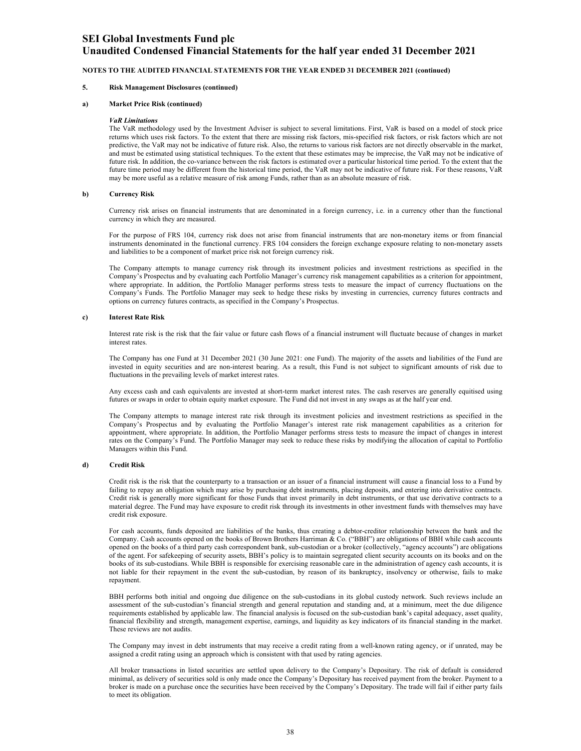### **Unaudited Condensed Financial Statements for the half year ended 31 December 2021**

#### **NOTES TO THE AUDITED FINANCIAL STATEMENTS FOR THE YEAR ENDED 31 DECEMBER 2021 (continued)**

#### **5. Risk Management Disclosures (continued)**

#### **a) Market Price Risk (continued)**

#### *VaR Limitations*

The VaR methodology used by the Investment Adviser is subject to several limitations. First, VaR is based on a model of stock price returns which uses risk factors. To the extent that there are missing risk factors, mis-specified risk factors, or risk factors which are not predictive, the VaR may not be indicative of future risk. Also, the returns to various risk factors are not directly observable in the market, and must be estimated using statistical techniques. To the extent that these estimates may be imprecise, the VaR may not be indicative of future risk. In addition, the co-variance between the risk factors is estimated over a particular historical time period. To the extent that the future time period may be different from the historical time period, the VaR may not be indicative of future risk. For these reasons, VaR may be more useful as a relative measure of risk among Funds, rather than as an absolute measure of risk.

#### **b) Currency Risk**

Currency risk arises on financial instruments that are denominated in a foreign currency, i.e. in a currency other than the functional currency in which they are measured.

For the purpose of FRS 104, currency risk does not arise from financial instruments that are non-monetary items or from financial instruments denominated in the functional currency. FRS 104 considers the foreign exchange exposure relating to non-monetary assets and liabilities to be a component of market price risk not foreign currency risk.

The Company attempts to manage currency risk through its investment policies and investment restrictions as specified in the Company's Prospectus and by evaluating each Portfolio Manager's currency risk management capabilities as a criterion for appointment, where appropriate. In addition, the Portfolio Manager performs stress tests to measure the impact of currency fluctuations on the Company's Funds. The Portfolio Manager may seek to hedge these risks by investing in currencies, currency futures contracts and options on currency futures contracts, as specified in the Company's Prospectus.

#### **c) Interest Rate Risk**

Interest rate risk is the risk that the fair value or future cash flows of a financial instrument will fluctuate because of changes in market interest rates.

The Company has one Fund at 31 December 2021 (30 June 2021: one Fund). The majority of the assets and liabilities of the Fund are invested in equity securities and are non-interest bearing. As a result, this Fund is not subject to significant amounts of risk due to fluctuations in the prevailing levels of market interest rates.

Any excess cash and cash equivalents are invested at short-term market interest rates. The cash reserves are generally equitised using futures or swaps in order to obtain equity market exposure. The Fund did not invest in any swaps as at the half year end.

The Company attempts to manage interest rate risk through its investment policies and investment restrictions as specified in the Company's Prospectus and by evaluating the Portfolio Manager's interest rate risk management capabilities as a criterion for appointment, where appropriate. In addition, the Portfolio Manager performs stress tests to measure the impact of changes in interest rates on the Company's Fund. The Portfolio Manager may seek to reduce these risks by modifying the allocation of capital to Portfolio Managers within this Fund.

#### **d) Credit Risk**

Credit risk is the risk that the counterparty to a transaction or an issuer of a financial instrument will cause a financial loss to a Fund by failing to repay an obligation which may arise by purchasing debt instruments, placing deposits, and entering into derivative contracts. Credit risk is generally more significant for those Funds that invest primarily in debt instruments, or that use derivative contracts to a material degree. The Fund may have exposure to credit risk through its investments in other investment funds with themselves may have credit risk exposure.

For cash accounts, funds deposited are liabilities of the banks, thus creating a debtor-creditor relationship between the bank and the Company. Cash accounts opened on the books of Brown Brothers Harriman & Co. ("BBH") are obligations of BBH while cash accounts opened on the books of a third party cash correspondent bank, sub-custodian or a broker (collectively, "agency accounts") are obligations of the agent. For safekeeping of security assets, BBH's policy is to maintain segregated client security accounts on its books and on the books of its sub-custodians. While BBH is responsible for exercising reasonable care in the administration of agency cash accounts, it is not liable for their repayment in the event the sub-custodian, by reason of its bankruptcy, insolvency or otherwise, fails to make repayment.

BBH performs both initial and ongoing due diligence on the sub-custodians in its global custody network. Such reviews include an assessment of the sub-custodian's financial strength and general reputation and standing and, at a minimum, meet the due diligence requirements established by applicable law. The financial analysis is focused on the sub-custodian bank's capital adequacy, asset quality, financial flexibility and strength, management expertise, earnings, and liquidity as key indicators of its financial standing in the market. These reviews are not audits.

The Company may invest in debt instruments that may receive a credit rating from a well-known rating agency, or if unrated, may be assigned a credit rating using an approach which is consistent with that used by rating agencies.

All broker transactions in listed securities are settled upon delivery to the Company's Depositary. The risk of default is considered minimal, as delivery of securities sold is only made once the Company's Depositary has received payment from the broker. Payment to a broker is made on a purchase once the securities have been received by the Company's Depositary. The trade will fail if either party fails to meet its obligation.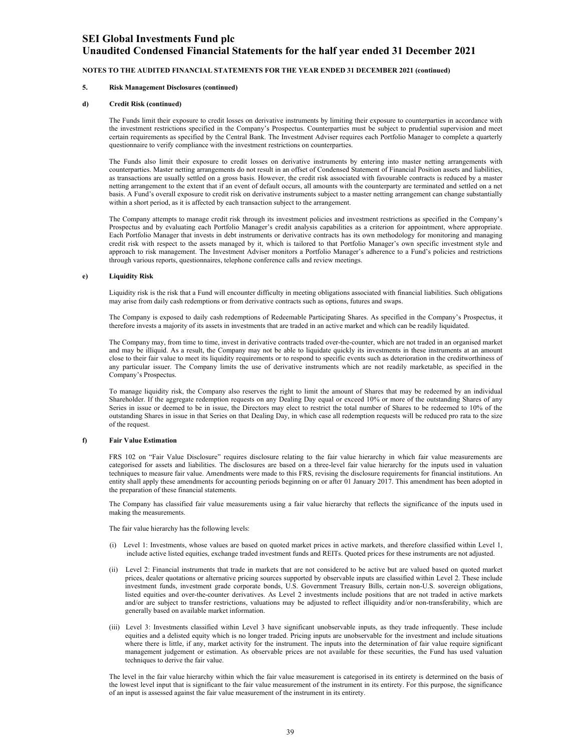### **Unaudited Condensed Financial Statements for the half year ended 31 December 2021**

#### **NOTES TO THE AUDITED FINANCIAL STATEMENTS FOR THE YEAR ENDED 31 DECEMBER 2021 (continued)**

#### **5. Risk Management Disclosures (continued)**

#### **d) Credit Risk (continued)**

The Funds limit their exposure to credit losses on derivative instruments by limiting their exposure to counterparties in accordance with the investment restrictions specified in the Company's Prospectus. Counterparties must be subject to prudential supervision and meet certain requirements as specified by the Central Bank. The Investment Adviser requires each Portfolio Manager to complete a quarterly questionnaire to verify compliance with the investment restrictions on counterparties.

The Funds also limit their exposure to credit losses on derivative instruments by entering into master netting arrangements with counterparties. Master netting arrangements do not result in an offset of Condensed Statement of Financial Position assets and liabilities, as transactions are usually settled on a gross basis. However, the credit risk associated with favourable contracts is reduced by a master netting arrangement to the extent that if an event of default occurs, all amounts with the counterparty are terminated and settled on a net basis. A Fund's overall exposure to credit risk on derivative instruments subject to a master netting arrangement can change substantially within a short period, as it is affected by each transaction subject to the arrangement.

The Company attempts to manage credit risk through its investment policies and investment restrictions as specified in the Company's Prospectus and by evaluating each Portfolio Manager's credit analysis capabilities as a criterion for appointment, where appropriate. Each Portfolio Manager that invests in debt instruments or derivative contracts has its own methodology for monitoring and managing credit risk with respect to the assets managed by it, which is tailored to that Portfolio Manager's own specific investment style and approach to risk management. The Investment Adviser monitors a Portfolio Manager's adherence to a Fund's policies and restrictions through various reports, questionnaires, telephone conference calls and review meetings.

#### **e) Liquidity Risk**

Liquidity risk is the risk that a Fund will encounter difficulty in meeting obligations associated with financial liabilities. Such obligations may arise from daily cash redemptions or from derivative contracts such as options, futures and swaps.

The Company is exposed to daily cash redemptions of Redeemable Participating Shares. As specified in the Company's Prospectus, it therefore invests a majority of its assets in investments that are traded in an active market and which can be readily liquidated.

The Company may, from time to time, invest in derivative contracts traded over-the-counter, which are not traded in an organised market and may be illiquid. As a result, the Company may not be able to liquidate quickly its investments in these instruments at an amount close to their fair value to meet its liquidity requirements or to respond to specific events such as deterioration in the creditworthiness of any particular issuer. The Company limits the use of derivative instruments which are not readily marketable, as specified in the Company's Prospectus.

To manage liquidity risk, the Company also reserves the right to limit the amount of Shares that may be redeemed by an individual Shareholder. If the aggregate redemption requests on any Dealing Day equal or exceed 10% or more of the outstanding Shares of any Series in issue or deemed to be in issue, the Directors may elect to restrict the total number of Shares to be redeemed to 10% of the outstanding Shares in issue in that Series on that Dealing Day, in which case all redemption requests will be reduced pro rata to the size of the request.

#### **f) Fair Value Estimation**

FRS 102 on "Fair Value Disclosure" requires disclosure relating to the fair value hierarchy in which fair value measurements are categorised for assets and liabilities. The disclosures are based on a three-level fair value hierarchy for the inputs used in valuation techniques to measure fair value. Amendments were made to this FRS, revising the disclosure requirements for financial institutions. An entity shall apply these amendments for accounting periods beginning on or after 01 January 2017. This amendment has been adopted in the preparation of these financial statements.

The Company has classified fair value measurements using a fair value hierarchy that reflects the significance of the inputs used in making the measurements.

The fair value hierarchy has the following levels:

- (i) Level 1: Investments, whose values are based on quoted market prices in active markets, and therefore classified within Level 1, include active listed equities, exchange traded investment funds and REITs. Quoted prices for these instruments are not adjusted.
- (ii) Level 2: Financial instruments that trade in markets that are not considered to be active but are valued based on quoted market prices, dealer quotations or alternative pricing sources supported by observable inputs are classified within Level 2. These include investment funds, investment grade corporate bonds, U.S. Government Treasury Bills, certain non-U.S. sovereign obligations, listed equities and over-the-counter derivatives. As Level 2 investments include positions that are not traded in active markets and/or are subject to transfer restrictions, valuations may be adjusted to reflect illiquidity and/or non-transferability, which are generally based on available market information.
- (iii) Level 3: Investments classified within Level 3 have significant unobservable inputs, as they trade infrequently. These include equities and a delisted equity which is no longer traded. Pricing inputs are unobservable for the investment and include situations where there is little, if any, market activity for the instrument. The inputs into the determination of fair value require significant management judgement or estimation. As observable prices are not available for these securities, the Fund has used valuation techniques to derive the fair value.

The level in the fair value hierarchy within which the fair value measurement is categorised in its entirety is determined on the basis of the lowest level input that is significant to the fair value measurement of the instrument in its entirety. For this purpose, the significance of an input is assessed against the fair value measurement of the instrument in its entirety.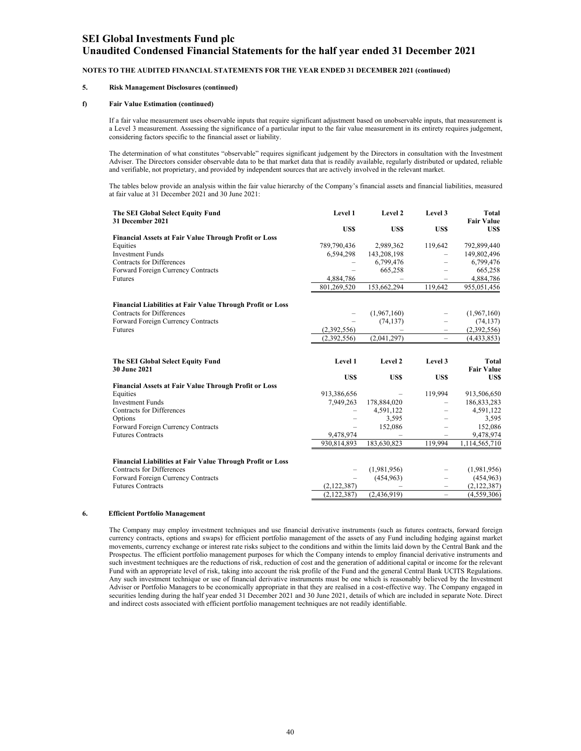### **Unaudited Condensed Financial Statements for the half year ended 31 December 2021**

#### **NOTES TO THE AUDITED FINANCIAL STATEMENTS FOR THE YEAR ENDED 31 DECEMBER 2021 (continued)**

#### **5. Risk Management Disclosures (continued)**

#### **f) Fair Value Estimation (continued)**

If a fair value measurement uses observable inputs that require significant adjustment based on unobservable inputs, that measurement is a Level 3 measurement. Assessing the significance of a particular input to the fair value measurement in its entirety requires judgement, considering factors specific to the financial asset or liability.

The determination of what constitutes "observable" requires significant judgement by the Directors in consultation with the Investment Adviser. The Directors consider observable data to be that market data that is readily available, regularly distributed or updated, reliable and verifiable, not proprietary, and provided by independent sources that are actively involved in the relevant market.

The tables below provide an analysis within the fair value hierarchy of the Company's financial assets and financial liabilities, measured at fair value at 31 December 2021 and 30 June 2021:

| The SEI Global Select Equity Fund<br>31 December 2021          | Level 1                  | Level 2                  | Level 3                                              | Total<br><b>Fair Value</b> |
|----------------------------------------------------------------|--------------------------|--------------------------|------------------------------------------------------|----------------------------|
|                                                                | <b>USS</b>               | <b>USS</b>               | <b>USS</b>                                           | <b>USS</b>                 |
| <b>Financial Assets at Fair Value Through Profit or Loss</b>   |                          |                          |                                                      |                            |
| Equities                                                       | 789,790,436              | 2,989,362                | 119,642                                              | 792,899,440                |
| <b>Investment Funds</b>                                        | 6,594,298                | 143,208,198              |                                                      | 149,802,496                |
| <b>Contracts for Differences</b>                               |                          | 6,799,476                |                                                      | 6,799,476                  |
| Forward Foreign Currency Contracts                             |                          | 665,258                  |                                                      | 665,258                    |
| Futures                                                        | 4,884,786                |                          |                                                      | 4,884,786                  |
|                                                                | 801,269,520              | 153,662,294              | 119,642                                              | 955,051,456                |
| Financial Liabilities at Fair Value Through Profit or Loss     |                          |                          |                                                      |                            |
| Contracts for Differences                                      |                          | (1,967,160)              |                                                      | (1,967,160)                |
| Forward Foreign Currency Contracts                             |                          | (74, 137)                |                                                      | (74, 137)                  |
| Futures                                                        | (2,392,556)              |                          |                                                      | (2,392,556)                |
|                                                                | (2,392,556)              | (2,041,297)              | $\overline{\phantom{0}}$                             | (4,433,853)                |
|                                                                |                          |                          |                                                      |                            |
| The SEI Global Select Equity Fund<br>30 June 2021              | Level 1                  | Level 2                  | Level 3                                              | Total                      |
|                                                                |                          |                          | <b>USS</b>                                           | <b>Fair Value</b>          |
|                                                                | <b>USS</b>               | US\$                     |                                                      | US\$                       |
| <b>Financial Assets at Fair Value Through Profit or Loss</b>   |                          |                          |                                                      |                            |
| Equities                                                       | 913,386,656              |                          | 119,994                                              | 913,506,650                |
| <b>Investment Funds</b>                                        | 7,949,263                | 178,884,020              |                                                      | 186,833,283                |
| <b>Contracts for Differences</b>                               | $\overline{\phantom{0}}$ | 4,591,122                |                                                      | 4,591,122                  |
|                                                                |                          |                          |                                                      |                            |
| Options                                                        | $\overline{\phantom{0}}$ | 3,595                    |                                                      | 3,595                      |
| Forward Foreign Currency Contracts                             | $\overline{\phantom{m}}$ | 152,086                  |                                                      | 152,086                    |
| <b>Futures Contracts</b>                                       | 9,478,974                | $\overline{\phantom{0}}$ | -                                                    | 9,478,974                  |
|                                                                | 930,814,893              | 183,630,823              | 119,994                                              | 1,114,565,710              |
| Financial Liabilities at Fair Value Through Profit or Loss     |                          |                          |                                                      |                            |
| Contracts for Differences                                      | $\overline{\phantom{0}}$ | (1,981,956)              | $\overline{\phantom{0}}$                             | (1,981,956)                |
| Forward Foreign Currency Contracts<br><b>Futures Contracts</b> | (2,122,387)              | (454, 963)               | $\overline{\phantom{0}}$<br>$\overline{\phantom{0}}$ | (454, 963)<br>(2,122,387)  |

#### **6. Efficient Portfolio Management**

The Company may employ investment techniques and use financial derivative instruments (such as futures contracts, forward foreign currency contracts, options and swaps) for efficient portfolio management of the assets of any Fund including hedging against market movements, currency exchange or interest rate risks subject to the conditions and within the limits laid down by the Central Bank and the Prospectus. The efficient portfolio management purposes for which the Company intends to employ financial derivative instruments and such investment techniques are the reductions of risk, reduction of cost and the generation of additional capital or income for the relevant Fund with an appropriate level of risk, taking into account the risk profile of the Fund and the general Central Bank UCITS Regulations. Any such investment technique or use of financial derivative instruments must be one which is reasonably believed by the Investment Adviser or Portfolio Managers to be economically appropriate in that they are realised in a cost-effective way. The Company engaged in securities lending during the half year ended 31 December 2021 and 30 June 2021, details of which are included in separate Note. Direct and indirect costs associated with efficient portfolio management techniques are not readily identifiable.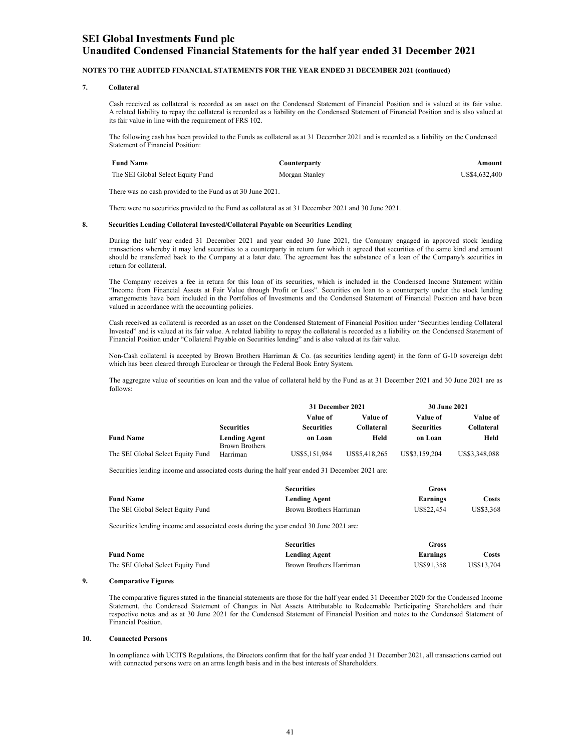#### **NOTES TO THE AUDITED FINANCIAL STATEMENTS FOR THE YEAR ENDED 31 DECEMBER 2021 (continued)**

#### **7. Collateral**

Cash received as collateral is recorded as an asset on the Condensed Statement of Financial Position and is valued at its fair value. A related liability to repay the collateral is recorded as a liability on the Condensed Statement of Financial Position and is also valued at its fair value in line with the requirement of FRS 102.

The following cash has been provided to the Funds as collateral as at 31 December 2021 and is recorded as a liability on the Condensed Statement of Financial Position:

| <b>Fund Name</b>                  | Counterparty   | Amount        |
|-----------------------------------|----------------|---------------|
| The SEI Global Select Equity Fund | Morgan Stanley | US\$4,632,400 |

There was no cash provided to the Fund as at 30 June 2021.

There were no securities provided to the Fund as collateral as at 31 December 2021 and 30 June 2021.

#### **8. Securities Lending Collateral Invested/Collateral Payable on Securities Lending**

During the half year ended 31 December 2021 and year ended 30 June 2021, the Company engaged in approved stock lending transactions whereby it may lend securities to a counterparty in return for which it agreed that securities of the same kind and amount should be transferred back to the Company at a later date. The agreement has the substance of a loan of the Company's securities in return for collateral.

The Company receives a fee in return for this loan of its securities, which is included in the Condensed Income Statement within "Income from Financial Assets at Fair Value through Profit or Loss". Securities on loan to a counterparty under the stock lending arrangements have been included in the Portfolios of Investments and the Condensed Statement of Financial Position and have been valued in accordance with the accounting policies.

Cash received as collateral is recorded as an asset on the Condensed Statement of Financial Position under "Securities lending Collateral Invested" and is valued at its fair value. A related liability to repay the collateral is recorded as a liability on the Condensed Statement of Financial Position under "Collateral Payable on Securities lending" and is also valued at its fair value.

Non-Cash collateral is accepted by Brown Brothers Harriman & Co. (as securities lending agent) in the form of G-10 sovereign debt which has been cleared through Euroclear or through the Federal Book Entry System.

The aggregate value of securities on loan and the value of collateral held by the Fund as at 31 December 2021 and 30 June 2021 are as follows:

|                                   |                                               | 31 December 2021  |               | 30 June 2021      |               |
|-----------------------------------|-----------------------------------------------|-------------------|---------------|-------------------|---------------|
|                                   |                                               | Value of          | Value of      | Value of          | Value of      |
|                                   | <b>Securities</b>                             | <b>Securities</b> | Collateral    | <b>Securities</b> | Collateral    |
| <b>Fund Name</b>                  | <b>Lending Agent</b><br><b>Brown Brothers</b> | on Loan           | Held          | on Loan           | Held          |
| The SEI Global Select Equity Fund | Harriman                                      | US\$5,151,984     | US\$5,418,265 | US\$3,159,204     | US\$3,348,088 |

Securities lending income and associated costs during the half year ended 31 December 2021 are:

|                                   | <b>Securities</b>       | Gross      |           |
|-----------------------------------|-------------------------|------------|-----------|
| <b>Fund Name</b>                  | <b>Lending Agent</b>    | Earnings   | Costs     |
| The SEI Global Select Equity Fund | Brown Brothers Harriman | US\$22.454 | US\$3,368 |

Securities lending income and associated costs during the year ended 30 June 2021 are:

|                                   | <b>Securities</b>       | Gross      |            |
|-----------------------------------|-------------------------|------------|------------|
| <b>Fund Name</b>                  | <b>Lending Agent</b>    | Earnings   | Costs      |
| The SEI Global Select Equity Fund | Brown Brothers Harriman | US\$91.358 | US\$13.704 |

#### **9. Comparative Figures**

The comparative figures stated in the financial statements are those for the half year ended 31 December 2020 for the Condensed Income Statement, the Condensed Statement of Changes in Net Assets Attributable to Redeemable Participating Shareholders and their respective notes and as at 30 June 2021 for the Condensed Statement of Financial Position and notes to the Condensed Statement of Financial Position.

#### **10. Connected Persons**

In compliance with UCITS Regulations, the Directors confirm that for the half year ended 31 December 2021, all transactions carried out with connected persons were on an arms length basis and in the best interests of Shareholders.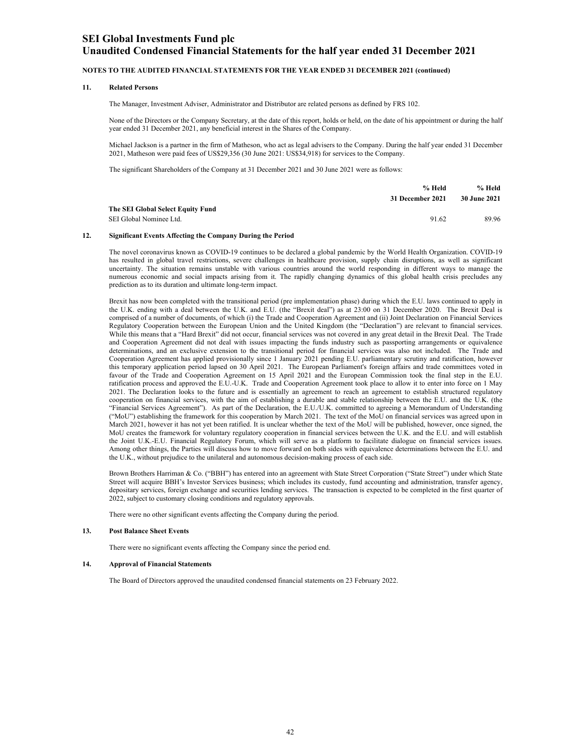### **Unaudited Condensed Financial Statements for the half year ended 31 December 2021**

#### **NOTES TO THE AUDITED FINANCIAL STATEMENTS FOR THE YEAR ENDED 31 DECEMBER 2021 (continued)**

#### **11. Related Persons**

The Manager, Investment Adviser, Administrator and Distributor are related persons as defined by FRS 102.

None of the Directors or the Company Secretary, at the date of this report, holds or held, on the date of his appointment or during the half year ended 31 December 2021, any beneficial interest in the Shares of the Company.

Michael Jackson is a partner in the firm of Matheson, who act as legal advisers to the Company. During the half year ended 31 December 2021, Matheson were paid fees of US\$29,356 (30 June 2021: US\$34,918) for services to the Company.

The significant Shareholders of the Company at 31 December 2021 and 30 June 2021 were as follows:

|                                   | % Held           | % Held              |
|-----------------------------------|------------------|---------------------|
|                                   | 31 December 2021 | <b>30 June 2021</b> |
| The SEI Global Select Equity Fund |                  |                     |
| SEI Global Nominee Ltd.           | 91.62            | 89.96               |

#### **12. Significant Events Affecting the Company During the Period**

The novel coronavirus known as COVID-19 continues to be declared a global pandemic by the World Health Organization. COVID-19 has resulted in global travel restrictions, severe challenges in healthcare provision, supply chain disruptions, as well as significant uncertainty. The situation remains unstable with various countries around the world responding in different ways to manage the numerous economic and social impacts arising from it. The rapidly changing dynamics of this global health crisis precludes any prediction as to its duration and ultimate long-term impact.

Brexit has now been completed with the transitional period (pre implementation phase) during which the E.U. laws continued to apply in the U.K. ending with a deal between the U.K. and E.U. (the "Brexit deal") as at 23:00 on 31 December 2020. The Brexit Deal is comprised of a number of documents, of which (i) the Trade and Cooperation Agreement and (ii) Joint Declaration on Financial Services Regulatory Cooperation between the European Union and the United Kingdom (the "Declaration") are relevant to financial services. While this means that a "Hard Brexit" did not occur, financial services was not covered in any great detail in the Brexit Deal. The Trade and Cooperation Agreement did not deal with issues impacting the funds industry such as passporting arrangements or equivalence determinations, and an exclusive extension to the transitional period for financial services was also not included. The Trade and Cooperation Agreement has applied provisionally since 1 January 2021 pending E.U. parliamentary scrutiny and ratification, however this temporary application period lapsed on 30 April 2021. The European Parliament's foreign affairs and trade committees voted in favour of the Trade and Cooperation Agreement on 15 April 2021 and the European Commission took the final step in the E.U. ratification process and approved the E.U.-U.K. Trade and Cooperation Agreement took place to allow it to enter into force on 1 May 2021. The Declaration looks to the future and is essentially an agreement to reach an agreement to establish structured regulatory cooperation on financial services, with the aim of establishing a durable and stable relationship between the E.U. and the U.K. (the "Financial Services Agreement"). As part of the Declaration, the E.U./U.K. committed to agreeing a Memorandum of Understanding ("MoU") establishing the framework for this cooperation by March 2021. The text of the MoU on financial services was agreed upon in March 2021, however it has not yet been ratified. It is unclear whether the text of the MoU will be published, however, once signed, the MoU creates the framework for voluntary regulatory cooperation in financial services between the U.K. and the E.U. and will establish the Joint U.K.-E.U. Financial Regulatory Forum, which will serve as a platform to facilitate dialogue on financial services issues. Among other things, the Parties will discuss how to move forward on both sides with equivalence determinations between the E.U. and the U.K., without prejudice to the unilateral and autonomous decision-making process of each side.

Brown Brothers Harriman & Co. ("BBH") has entered into an agreement with State Street Corporation ("State Street") under which State Street will acquire BBH's Investor Services business; which includes its custody, fund accounting and administration, transfer agency, depositary services, foreign exchange and securities lending services. The transaction is expected to be completed in the first quarter of 2022, subject to customary closing conditions and regulatory approvals.

There were no other significant events affecting the Company during the period.

#### **13. Post Balance Sheet Events**

There were no significant events affecting the Company since the period end.

#### **14. Approval of Financial Statements**

The Board of Directors approved the unaudited condensed financial statements on 23 February 2022.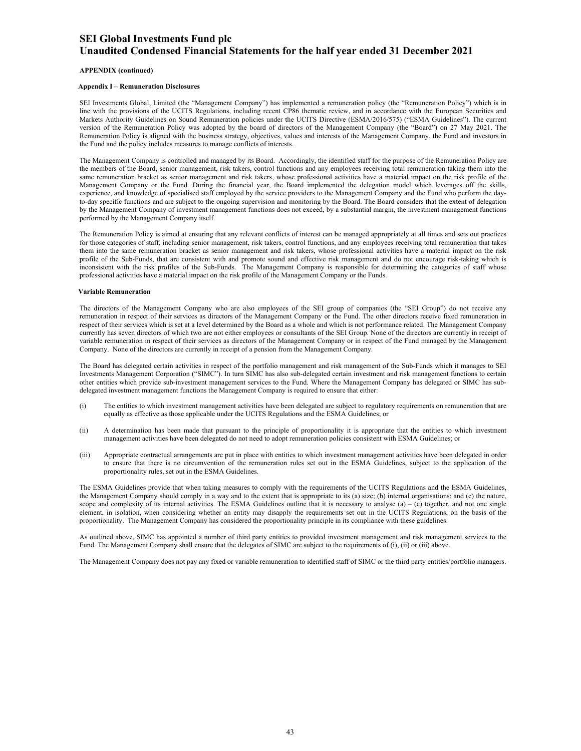#### **APPENDIX (continued)**

#### **Appendix I – Remuneration Disclosures**

SEI Investments Global, Limited (the "Management Company") has implemented a remuneration policy (the "Remuneration Policy") which is in line with the provisions of the UCITS Regulations, including recent CP86 thematic review, and in accordance with the European Securities and Markets Authority Guidelines on Sound Remuneration policies under the UCITS Directive (ESMA/2016/575) ("ESMA Guidelines"). The current version of the Remuneration Policy was adopted by the board of directors of the Management Company (the "Board") on 27 May 2021. The Remuneration Policy is aligned with the business strategy, objectives, values and interests of the Management Company, the Fund and investors in the Fund and the policy includes measures to manage conflicts of interests.

The Management Company is controlled and managed by its Board. Accordingly, the identified staff for the purpose of the Remuneration Policy are the members of the Board, senior management, risk takers, control functions and any employees receiving total remuneration taking them into the same remuneration bracket as senior management and risk takers, whose professional activities have a material impact on the risk profile of the Management Company or the Fund. During the financial year, the Board implemented the delegation model which leverages off the skills, experience, and knowledge of specialised staff employed by the service providers to the Management Company and the Fund who perform the dayto-day specific functions and are subject to the ongoing supervision and monitoring by the Board. The Board considers that the extent of delegation by the Management Company of investment management functions does not exceed, by a substantial margin, the investment management functions performed by the Management Company itself.

The Remuneration Policy is aimed at ensuring that any relevant conflicts of interest can be managed appropriately at all times and sets out practices for those categories of staff, including senior management, risk takers, control functions, and any employees receiving total remuneration that takes them into the same remuneration bracket as senior management and risk takers, whose professional activities have a material impact on the risk profile of the Sub-Funds, that are consistent with and promote sound and effective risk management and do not encourage risk-taking which is inconsistent with the risk profiles of the Sub-Funds. The Management Company is responsible for determining the categories of staff whose professional activities have a material impact on the risk profile of the Management Company or the Funds.

#### **Variable Remuneration**

The directors of the Management Company who are also employees of the SEI group of companies (the "SEI Group") do not receive any remuneration in respect of their services as directors of the Management Company or the Fund. The other directors receive fixed remuneration in respect of their services which is set at a level determined by the Board as a whole and which is not performance related. The Management Company currently has seven directors of which two are not either employees or consultants of the SEI Group. None of the directors are currently in receipt of variable remuneration in respect of their services as directors of the Management Company or in respect of the Fund managed by the Management Company. None of the directors are currently in receipt of a pension from the Management Company.

The Board has delegated certain activities in respect of the portfolio management and risk management of the Sub-Funds which it manages to SEI Investments Management Corporation ("SIMC"). In turn SIMC has also sub-delegated certain investment and risk management functions to certain other entities which provide sub-investment management services to the Fund. Where the Management Company has delegated or SIMC has subdelegated investment management functions the Management Company is required to ensure that either:

- (i) The entities to which investment management activities have been delegated are subject to regulatory requirements on remuneration that are equally as effective as those applicable under the UCITS Regulations and the ESMA Guidelines; or
- (ii) A determination has been made that pursuant to the principle of proportionality it is appropriate that the entities to which investment management activities have been delegated do not need to adopt remuneration policies consistent with ESMA Guidelines; or
- (iii) Appropriate contractual arrangements are put in place with entities to which investment management activities have been delegated in order to ensure that there is no circumvention of the remuneration rules set out in the ESMA Guidelines, subject to the application of the proportionality rules, set out in the ESMA Guidelines.

The ESMA Guidelines provide that when taking measures to comply with the requirements of the UCITS Regulations and the ESMA Guidelines, the Management Company should comply in a way and to the extent that is appropriate to its (a) size; (b) internal organisations; and (c) the nature, scope and complexity of its internal activities. The ESMA Guidelines outline that it is necessary to analyse  $(a) - (c)$  together, and not one single element, in isolation, when considering whether an entity may disapply the requirements set out in the UCITS Regulations, on the basis of the proportionality. The Management Company has considered the proportionality principle in its compliance with these guidelines.

As outlined above, SIMC has appointed a number of third party entities to provided investment management and risk management services to the Fund. The Management Company shall ensure that the delegates of SIMC are subject to the requirements of (i), (ii) or (iii) above.

The Management Company does not pay any fixed or variable remuneration to identified staff of SIMC or the third party entities/portfolio managers.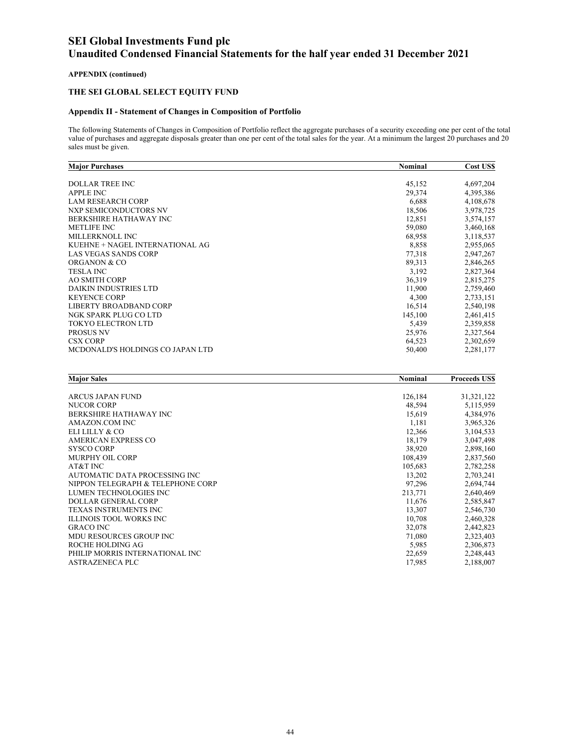### **APPENDIX (continued)**

### **THE SEI GLOBAL SELECT EQUITY FUND**

### **Appendix II - Statement of Changes in Composition of Portfolio**

The following Statements of Changes in Composition of Portfolio reflect the aggregate purchases of a security exceeding one per cent of the total value of purchases and aggregate disposals greater than one per cent of the total sales for the year. At a minimum the largest 20 purchases and 20 sales must be given.

| <b>Major Purchases</b>           | <b>Nominal</b> | Cost US\$ |
|----------------------------------|----------------|-----------|
|                                  |                |           |
| <b>DOLLAR TREE INC</b>           | 45,152         | 4,697,204 |
| <b>APPLE INC</b>                 | 29,374         | 4,395,386 |
| <b>LAM RESEARCH CORP</b>         | 6,688          | 4,108,678 |
| NXP SEMICONDUCTORS NV            | 18,506         | 3,978,725 |
| BERKSHIRE HATHAWAY INC           | 12,851         | 3,574,157 |
| <b>METLIFE INC</b>               | 59,080         | 3,460,168 |
| MILLERKNOLL INC                  | 68,958         | 3,118,537 |
| KUEHNE + NAGEL INTERNATIONAL AG  | 8,858          | 2,955,065 |
| <b>LAS VEGAS SANDS CORP</b>      | 77,318         | 2,947,267 |
| <b>ORGANON &amp; CO</b>          | 89,313         | 2,846,265 |
| <b>TESLA INC</b>                 | 3,192          | 2,827,364 |
| <b>AO SMITH CORP</b>             | 36,319         | 2,815,275 |
| <b>DAIKIN INDUSTRIES LTD</b>     | 11,900         | 2,759,460 |
| <b>KEYENCE CORP</b>              | 4,300          | 2,733,151 |
| LIBERTY BROADBAND CORP           | 16,514         | 2,540,198 |
| NGK SPARK PLUG CO LTD            | 145,100        | 2,461,415 |
| <b>TOKYO ELECTRON LTD</b>        | 5,439          | 2,359,858 |
| <b>PROSUS NV</b>                 | 25,976         | 2,327,564 |
| <b>CSX CORP</b>                  | 64,523         | 2,302,659 |
| MCDONALD'S HOLDINGS CO JAPAN LTD | 50,400         | 2,281,177 |

| <b>Major Sales</b>                | <b>Nominal</b> | <b>Proceeds USS</b> |
|-----------------------------------|----------------|---------------------|
|                                   |                |                     |
| <b>ARCUS JAPAN FUND</b>           | 126,184        | 31,321,122          |
| <b>NUCOR CORP</b>                 | 48,594         | 5,115,959           |
| <b>BERKSHIRE HATHAWAY INC</b>     | 15,619         | 4,384,976           |
| AMAZON.COM INC                    | 1,181          | 3,965,326           |
| ELILILLY & CO                     | 12,366         | 3,104,533           |
| AMERICAN EXPRESS CO               | 18,179         | 3,047,498           |
| <b>SYSCO CORP</b>                 | 38,920         | 2,898,160           |
| <b>MURPHY OIL CORP</b>            | 108,439        | 2,837,560           |
| AT&T INC                          | 105,683        | 2,782,258           |
| AUTOMATIC DATA PROCESSING INC     | 13,202         | 2,703,241           |
| NIPPON TELEGRAPH & TELEPHONE CORP | 97,296         | 2,694,744           |
| LUMEN TECHNOLOGIES INC            | 213,771        | 2,640,469           |
| <b>DOLLAR GENERAL CORP</b>        | 11,676         | 2,585,847           |
| TEXAS INSTRUMENTS INC             | 13,307         | 2,546,730           |
| <b>ILLINOIS TOOL WORKS INC</b>    | 10,708         | 2,460,328           |
| <b>GRACO INC</b>                  | 32,078         | 2,442,823           |
| <b>MDU RESOURCES GROUP INC</b>    | 71,080         | 2,323,403           |
| ROCHE HOLDING AG                  | 5,985          | 2,306,873           |
| PHILIP MORRIS INTERNATIONAL INC   | 22,659         | 2,248,443           |
| <b>ASTRAZENECA PLC</b>            | 17,985         | 2,188,007           |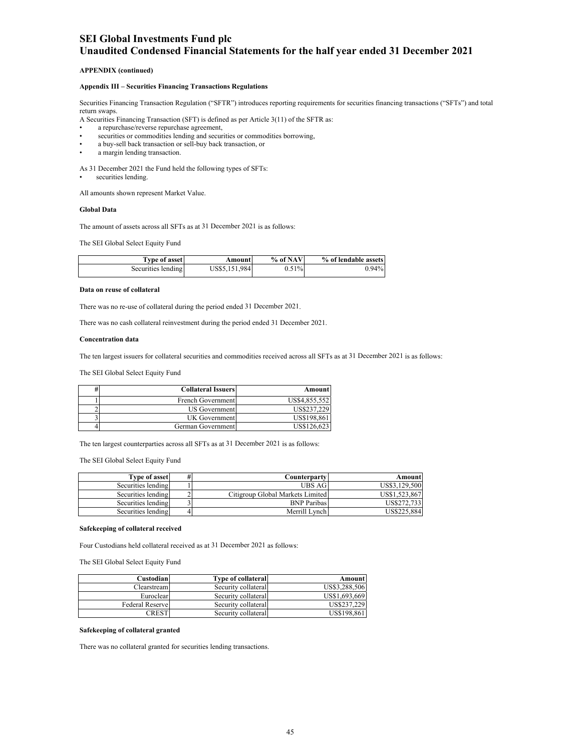#### **APPENDIX (continued)**

#### **Appendix III – Securities Financing Transactions Regulations**

Securities Financing Transaction Regulation ("SFTR") introduces reporting requirements for securities financing transactions ("SFTs") and total return swaps.

A Securities Financing Transaction (SFT) is defined as per Article 3(11) of the SFTR as:

- a repurchase/reverse repurchase agreement,
- securities or commodities lending and securities or commodities borrowing,
- a buy-sell back transaction or sell-buy back transaction, or
- a margin lending transaction.

As 31 December 2021 the Fund held the following types of SFTs:

securities lending.

All amounts shown represent Market Value.

#### **Global Data**

The amount of assets across all SFTs as at 31 December 2021 is as follows:

The SEI Global Select Equity Fund

| <b>Type of asset</b> | Amountl       | % of NAV | % of lendable assets |
|----------------------|---------------|----------|----------------------|
| Securities lending   | US\$5,151,984 | 0.51%    | $0.94\%$             |

#### **Data on reuse of collateral**

There was no re-use of collateral during the period ended 31 December 2021.

There was no cash collateral reinvestment during the period ended 31 December 2021.

#### **Concentration data**

The ten largest issuers for collateral securities and commodities received across all SFTs as at 31 December 2021 is as follows:

The SEI Global Select Equity Fund

| <b>Collateral Issuers</b> | Amount        |
|---------------------------|---------------|
| French Government         | US\$4,855,552 |
| US Government             | US\$237.229   |
| UK Government             | US\$198.861   |
| German Government         | US\$126.623   |

The ten largest counterparties across all SFTs as at 31 December 2021 is as follows:

The SEI Global Select Equity Fund

| <b>Type of asset</b> | # | Counterpartyl                    | Amount        |
|----------------------|---|----------------------------------|---------------|
| Securities lending   |   | UBS AG                           | US\$3.129.500 |
| Securities lending   |   | Citigroup Global Markets Limited | US\$1.523.867 |
| Securities lending   |   | <b>BNP</b> Paribas               | US\$272.733   |
| Securities lending   |   | Merrill Lynch                    | US\$225,884   |

#### **Safekeeping of collateral received**

Four Custodians held collateral received as at 31 December 2021 as follows:

The SEI Global Select Equity Fund

| Custodian       | <b>Type of collateral</b> | Amount        |
|-----------------|---------------------------|---------------|
| Clearstream     | Security collateral       | US\$3,288,506 |
| Euroclear       | Security collateral       | US\$1,693,669 |
| Federal Reserve | Security collateral       | US\$237.229   |
| CREST           | Security collateral       | US\$198,861   |

#### **Safekeeping of collateral granted**

There was no collateral granted for securities lending transactions.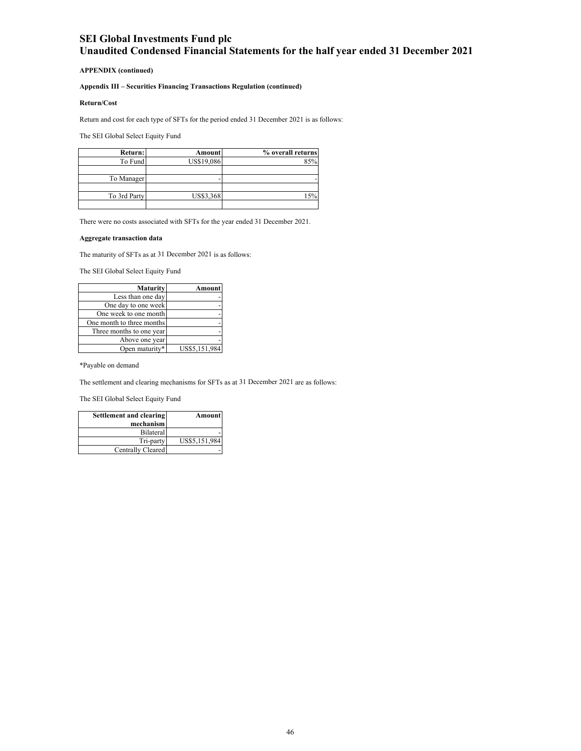#### **APPENDIX (continued)**

### **Appendix III – Securities Financing Transactions Regulation (continued)**

#### **Return/Cost**

Return and cost for each type of SFTs for the period ended 31 December 2021 is as follows:

The SEI Global Select Equity Fund

| Return:      | Amount            | % overall returns |
|--------------|-------------------|-------------------|
| To Fund      | <b>US\$19,086</b> | 85%               |
|              |                   |                   |
| To Manager   |                   |                   |
|              |                   |                   |
| To 3rd Party | US\$3,368         |                   |
|              |                   |                   |

There were no costs associated with SFTs for the year ended 31 December 2021.

#### **Aggregate transaction data**

The maturity of SFTs as at 31 December 2021 is as follows:

The SEI Global Select Equity Fund

| Maturity                  | Amount        |
|---------------------------|---------------|
| Less than one day         |               |
| One day to one week       |               |
| One week to one month     |               |
| One month to three months |               |
| Three months to one year  |               |
| Above one year            |               |
| Open maturity*            | US\$5,151,984 |

\*Payable on demand

The settlement and clearing mechanisms for SFTs as at 31 December 2021 are as follows:

The SEI Global Select Equity Fund

| Amount        | Settlement and clearing |
|---------------|-------------------------|
|               | mechanism               |
|               | Bilateral               |
| US\$5,151,984 | Tri-party               |
|               | Centrally Cleared       |